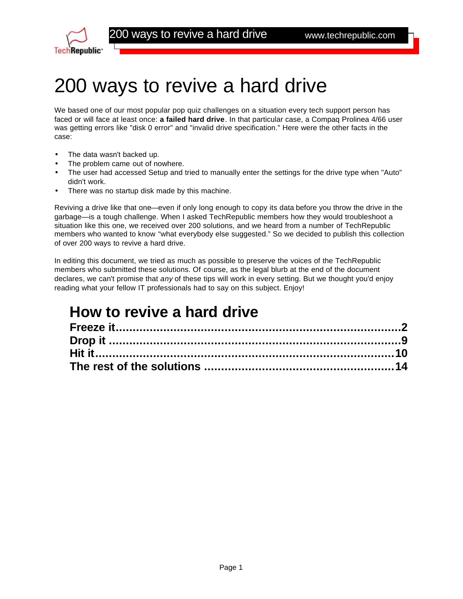

# 200 ways to revive a hard drive

We based one of our most popular pop quiz challenges on a situation every tech support person has faced or will face at least once: **a failed hard drive**. In that particular case, a Compaq Prolinea 4/66 user was getting errors like "disk 0 error" and "invalid drive specification." Here were the other facts in the case:

- The data wasn't backed up.
- The problem came out of nowhere.
- The user had accessed Setup and tried to manually enter the settings for the drive type when "Auto" didn't work.
- There was no startup disk made by this machine.

Reviving a drive like that one—even if only long enough to copy its data before you throw the drive in the garbage—is a tough challenge. When I asked TechRepublic members how they would troubleshoot a situation like this one, we received over 200 solutions, and we heard from a number of TechRepublic members who wanted to know "what everybody else suggested." So we decided to publish this collection of over 200 ways to revive a hard drive.

In editing this document, we tried as much as possible to preserve the voices of the TechRepublic members who submitted these solutions. Of course, as the legal blurb at the end of the document declares, we can't promise that *any* of these tips will work in every setting. But we thought you'd enjoy reading what your fellow IT professionals had to say on this subject. Enjoy!

# **How to revive a hard drive**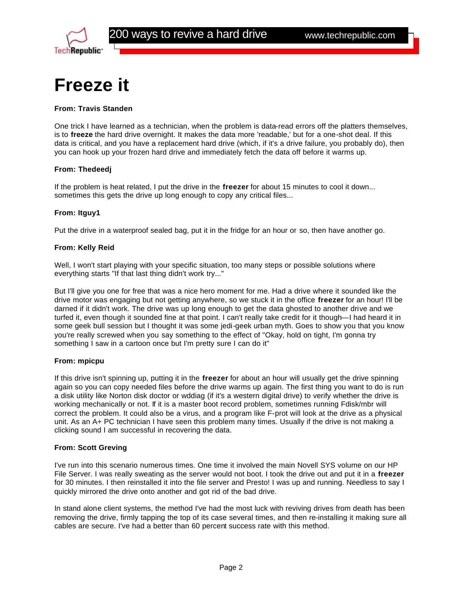

# **Freeze it**

# **From: Travis Standen**

One trick I have learned as a technician, when the problem is data-read errors off the platters themselves, is to **freeze** the hard drive overnight. It makes the data more 'readable,' but for a one-shot deal. If this data is critical, and you have a replacement hard drive (which, if it's a drive failure, you probably do), then you can hook up your frozen hard drive and immediately fetch the data off before it warms up.

# **From: Thedeedj**

If the problem is heat related, I put the drive in the **freezer** for about 15 minutes to cool it down... sometimes this gets the drive up long enough to copy any critical files...

# **From: Itguy1**

Put the drive in a waterproof sealed bag, put it in the fridge for an hour or so, then have another go.

# **From: Kelly Reid**

Well, I won't start playing with your specific situation, too many steps or possible solutions where everything starts "If that last thing didn't work try..."

But I'll give you one for free that was a nice hero moment for me. Had a drive where it sounded like the drive motor was engaging but not getting anywhere, so we stuck it in the office **freezer** for an hour! I'll be darned if it didn't work. The drive was up long enough to get the data ghosted to another drive and we turfed it, even though it sounded fine at that point. I can't really take credit for it though—I had heard it in some geek bull session but I thought it was some jedi-geek urban myth. Goes to show you that you know you're really screwed when you say something to the effect of "Okay, hold on tight, I'm gonna try something I saw in a cartoon once but I'm pretty sure I can do it"

# **From: mpicpu**

If this drive isn't spinning up, putting it in the **freezer** for about an hour will usually get the drive spinning again so you can copy needed files before the drive warms up again. The first thing you want to do is run a disk utility like Norton disk doctor or wddiag (if it's a western digital drive) to verify whether the drive is working mechanically or not. If it is a master boot record problem, sometimes running Fdisk/mbr will correct the problem. It could also be a virus, and a program like F-prot will look at the drive as a physical unit. As an A+ PC technician I have seen this problem many times. Usually if the drive is not making a clicking sound I am successful in recovering the data.

# **From: Scott Greving**

I've run into this scenario numerous times. One time it involved the main Novell SYS volume on our HP File Server. I was really sweating as the server would not boot. I took the drive out and put it in a **freezer** for 30 minutes. I then reinstalled it into the file server and Presto! I was up and running. Needless to say I quickly mirrored the drive onto another and got rid of the bad drive.

In stand alone client systems, the method I've had the most luck with reviving drives from death has been removing the drive, firmly tapping the top of its case several times, and then re-installing it making sure all cables are secure. I've had a better than 60 percent success rate with this method.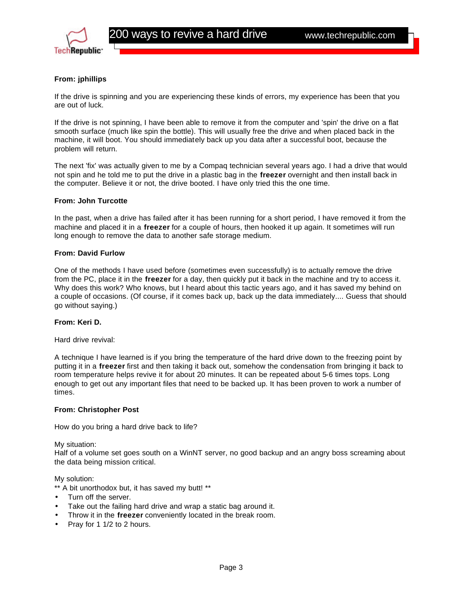

# **From: jphillips**

If the drive is spinning and you are experiencing these kinds of errors, my experience has been that you are out of luck.

If the drive is not spinning, I have been able to remove it from the computer and 'spin' the drive on a flat smooth surface (much like spin the bottle). This will usually free the drive and when placed back in the machine, it will boot. You should immediately back up you data after a successful boot, because the problem will return.

The next 'fix' was actually given to me by a Compaq technician several years ago. I had a drive that would not spin and he told me to put the drive in a plastic bag in the **freezer** overnight and then install back in the computer. Believe it or not, the drive booted. I have only tried this the one time.

#### **From: John Turcotte**

In the past, when a drive has failed after it has been running for a short period, I have removed it from the machine and placed it in a **freezer** for a couple of hours, then hooked it up again. It sometimes will run long enough to remove the data to another safe storage medium.

#### **From: David Furlow**

One of the methods I have used before (sometimes even successfully) is to actually remove the drive from the PC, place it in the **freezer** for a day, then quickly put it back in the machine and try to access it. Why does this work? Who knows, but I heard about this tactic years ago, and it has saved my behind on a couple of occasions. (Of course, if it comes back up, back up the data immediately.... Guess that should go without saying.)

#### **From: Keri D.**

Hard drive revival:

A technique I have learned is if you bring the temperature of the hard drive down to the freezing point by putting it in a **freezer** first and then taking it back out, somehow the condensation from bringing it back to room temperature helps revive it for about 20 minutes. It can be repeated about 5-6 times tops. Long enough to get out any important files that need to be backed up. It has been proven to work a number of times.

# **From: Christopher Post**

How do you bring a hard drive back to life?

My situation:

Half of a volume set goes south on a WinNT server, no good backup and an angry boss screaming about the data being mission critical.

My solution:

- \*\* A bit unorthodox but, it has saved my butt! \*\*
- Turn off the server.
- Take out the failing hard drive and wrap a static bag around it.
- Throw it in the **freezer** conveniently located in the break room.
- Pray for 1 1/2 to 2 hours.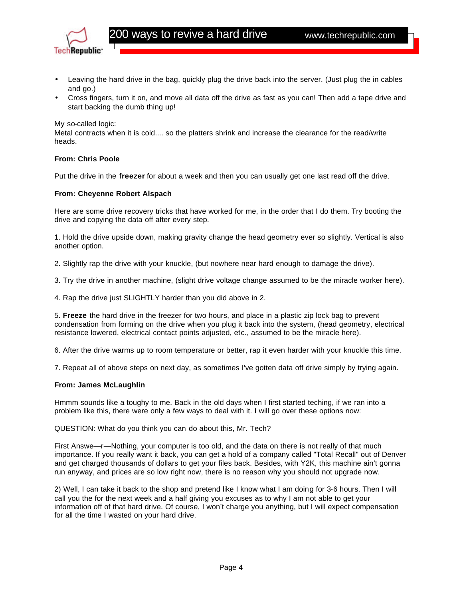



- Leaving the hard drive in the bag, quickly plug the drive back into the server. (Just plug the in cables and go.)
- Cross fingers, turn it on, and move all data off the drive as fast as you can! Then add a tape drive and start backing the dumb thing up!

My so-called logic:

Metal contracts when it is cold.... so the platters shrink and increase the clearance for the read/write heads.

#### **From: Chris Poole**

Put the drive in the **freezer** for about a week and then you can usually get one last read off the drive.

#### **From: Cheyenne Robert Alspach**

Here are some drive recovery tricks that have worked for me, in the order that I do them. Try booting the drive and copying the data off after every step.

1. Hold the drive upside down, making gravity change the head geometry ever so slightly. Vertical is also another option.

2. Slightly rap the drive with your knuckle, (but nowhere near hard enough to damage the drive).

3. Try the drive in another machine, (slight drive voltage change assumed to be the miracle worker here).

4. Rap the drive just SLIGHTLY harder than you did above in 2.

5. **Freeze** the hard drive in the freezer for two hours, and place in a plastic zip lock bag to prevent condensation from forming on the drive when you plug it back into the system, (head geometry, electrical resistance lowered, electrical contact points adjusted, etc., assumed to be the miracle here).

6. After the drive warms up to room temperature or better, rap it even harder with your knuckle this time.

7. Repeat all of above steps on next day, as sometimes I've gotten data off drive simply by trying again.

#### **From: James McLaughlin**

Hmmm sounds like a toughy to me. Back in the old days when I first started teching, if we ran into a problem like this, there were only a few ways to deal with it. I will go over these options now:

QUESTION: What do you think you can do about this, Mr. Tech?

First Answe—r—Nothing, your computer is too old, and the data on there is not really of that much importance. If you really want it back, you can get a hold of a company called "Total Recall" out of Denver and get charged thousands of dollars to get your files back. Besides, with Y2K, this machine ain't gonna run anyway, and prices are so low right now, there is no reason why you should not upgrade now.

2) Well, I can take it back to the shop and pretend like I know what I am doing for 3-6 hours. Then I will call you the for the next week and a half giving you excuses as to why I am not able to get your information off of that hard drive. Of course, I won't charge you anything, but I will expect compensation for all the time I wasted on your hard drive.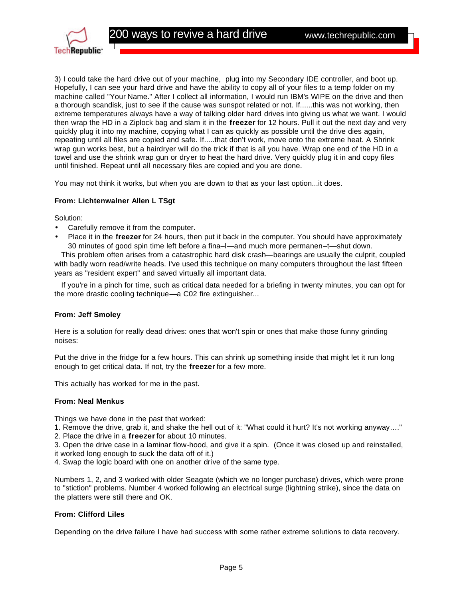

3) I could take the hard drive out of your machine, plug into my Secondary IDE controller, and boot up. Hopefully, I can see your hard drive and have the ability to copy all of your files to a temp folder on my machine called "Your Name." After I collect all information, I would run IBM's WIPE on the drive and then a thorough scandisk, just to see if the cause was sunspot related or not. If......this was not working, then extreme temperatures always have a way of talking older hard drives into giving us what we want. I would then wrap the HD in a Ziplock bag and slam it in the **freezer** for 12 hours. Pull it out the next day and very quickly plug it into my machine, copying what I can as quickly as possible until the drive dies again, repeating until all files are copied and safe. If.....that don't work, move onto the extreme heat. A Shrink wrap gun works best, but a hairdryer will do the trick if that is all you have. Wrap one end of the HD in a towel and use the shrink wrap gun or dryer to heat the hard drive. Very quickly plug it in and copy files until finished. Repeat until all necessary files are copied and you are done.

You may not think it works, but when you are down to that as your last option...it does.

# **From: Lichtenwalner Allen L TSgt**

Solution:

- Carefully remove it from the computer.
- Place it in the **freezer** for 24 hours, then put it back in the computer. You should have approximately 30 minutes of good spin time left before a fina–l—and much more permanen–t—shut down.

This problem often arises from a catastrophic hard disk crash—bearings are usually the culprit, coupled with badly worn read/write heads. I've used this technique on many computers throughout the last fifteen years as "resident expert" and saved virtually all important data.

If you're in a pinch for time, such as critical data needed for a briefing in twenty minutes, you can opt for the more drastic cooling technique—a C02 fire extinguisher...

# **From: Jeff Smoley**

Here is a solution for really dead drives: ones that won't spin or ones that make those funny grinding noises:

Put the drive in the fridge for a few hours. This can shrink up something inside that might let it run long enough to get critical data. If not, try the **freezer** for a few more.

This actually has worked for me in the past.

#### **From: Neal Menkus**

Things we have done in the past that worked:

- 1. Remove the drive, grab it, and shake the hell out of it: "What could it hurt? It's not working anyway…."
- 2. Place the drive in a **freezer** for about 10 minutes.
- 3. Open the drive case in a laminar flow-hood, and give it a spin. (Once it was closed up and reinstalled, it worked long enough to suck the data off of it.)

4. Swap the logic board with one on another drive of the same type.

Numbers 1, 2, and 3 worked with older Seagate (which we no longer purchase) drives, which were prone to "stiction" problems. Number 4 worked following an electrical surge (lightning strike), since the data on the platters were still there and OK.

# **From: Clifford Liles**

Depending on the drive failure I have had success with some rather extreme solutions to data recovery.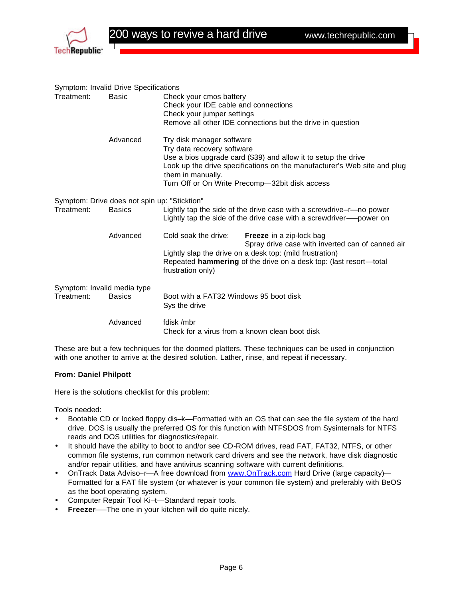

|            | Symptom: Invalid Drive Specifications        |                                                                                                                                            |  |
|------------|----------------------------------------------|--------------------------------------------------------------------------------------------------------------------------------------------|--|
| Treatment: | <b>Basic</b>                                 | Check your cmos battery                                                                                                                    |  |
|            |                                              | Check your IDE cable and connections                                                                                                       |  |
|            |                                              | Check your jumper settings                                                                                                                 |  |
|            |                                              | Remove all other IDE connections but the drive in question                                                                                 |  |
|            | Advanced                                     | Try disk manager software                                                                                                                  |  |
|            |                                              | Try data recovery software                                                                                                                 |  |
|            |                                              | Use a bios upgrade card (\$39) and allow it to setup the drive<br>Look up the drive specifications on the manufacturer's Web site and plug |  |
|            |                                              | them in manually.<br>Turn Off or On Write Precomp-32bit disk access                                                                        |  |
|            | Symptom: Drive does not spin up: "Sticktion" |                                                                                                                                            |  |
| Treatment: | <b>Basics</b>                                | Lightly tap the side of the drive case with a screwdrive-r-no power                                                                        |  |
|            |                                              | Lightly tap the side of the drive case with a screwdriver-power on                                                                         |  |
|            | Advanced                                     | Cold soak the drive:<br>Freeze in a zip-lock bag<br>Spray drive case with inverted can of canned air                                       |  |
|            |                                              | Lightly slap the drive on a desk top: (mild frustration)                                                                                   |  |
|            |                                              | Repeated hammering of the drive on a desk top: (last resort-total<br>frustration only)                                                     |  |
|            | Symptom: Invalid media type                  |                                                                                                                                            |  |
| Treatment: | <b>Basics</b>                                | Boot with a FAT32 Windows 95 boot disk<br>Sys the drive                                                                                    |  |
|            | Advanced                                     | fdisk /mbr                                                                                                                                 |  |
|            |                                              | Check for a virus from a known clean boot disk                                                                                             |  |

These are but a few techniques for the doomed platters. These techniques can be used in conjunction with one another to arrive at the desired solution. Lather, rinse, and repeat if necessary.

# **From: Daniel Philpott**

Here is the solutions checklist for this problem:

Tools needed:

- Bootable CD or locked floppy dis–k—Formatted with an OS that can see the file system of the hard drive. DOS is usually the preferred OS for this function with NTFSDOS from Sysinternals for NTFS reads and DOS utilities for diagnostics/repair.
- It should have the ability to boot to and/or see CD-ROM drives, read FAT, FAT32, NTFS, or other common file systems, run common network card drivers and see the network, have disk diagnostic and/or repair utilities, and have antivirus scanning software with current definitions.
- OnTrack Data Adviso-r—A free download from www.OnTrack.com Hard Drive (large capacity)— Formatted for a FAT file system (or whatever is your common file system) and preferably with BeOS as the boot operating system.
- Computer Repair Tool Ki–t—Standard repair tools.
- **Freezer-**—The one in your kitchen will do quite nicely.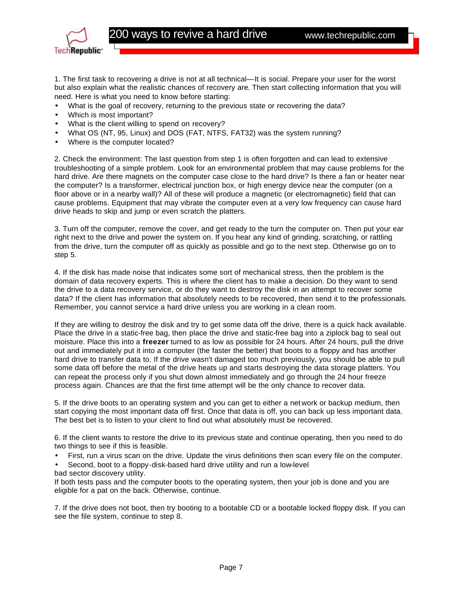

1. The first task to recovering a drive is not at all technical—It is social. Prepare your user for the worst but also explain what the realistic chances of recovery are. Then start collecting information that you will need. Here is what you need to know before starting:

• What is the goal of recovery, returning to the previous state or recovering the data?

200 ways to revive a hard drive

- Which is most important?
- What is the client willing to spend on recovery?
- What OS (NT, 95, Linux) and DOS (FAT, NTFS, FAT32) was the system running?
- Where is the computer located?

2. Check the environment: The last question from step 1 is often forgotten and can lead to extensive troubleshooting of a simple problem. Look for an environmental problem that may cause problems for the hard drive. Are there magnets on the computer case close to the hard drive? Is there a fan or heater near the computer? Is a transformer, electrical junction box, or high energy device near the computer (on a floor above or in a nearby wall)? All of these will produce a magnetic (or electromagnetic) field that can cause problems. Equipment that may vibrate the computer even at a very low frequency can cause hard drive heads to skip and jump or even scratch the platters.

3. Turn off the computer, remove the cover, and get ready to the turn the computer on. Then put your ear right next to the drive and power the system on. If you hear any kind of grinding, scratching, or rattling from the drive, turn the computer off as quickly as possible and go to the next step. Otherwise go on to step 5.

4. If the disk has made noise that indicates some sort of mechanical stress, then the problem is the domain of data recovery experts. This is where the client has to make a decision. Do they want to send the drive to a data recovery service, or do they want to destroy the disk in an attempt to recover some data? If the client has information that absolutely needs to be recovered, then send it to the professionals. Remember, you cannot service a hard drive unless you are working in a clean room.

If they are willing to destroy the disk and try to get some data off the drive, there is a quick hack available. Place the drive in a static-free bag, then place the drive and static-free bag into a ziplock bag to seal out moisture. Place this into a **freezer** turned to as low as possible for 24 hours. After 24 hours, pull the drive out and immediately put it into a computer (the faster the better) that boots to a floppy and has another hard drive to transfer data to. If the drive wasn't damaged too much previously, you should be able to pull some data off before the metal of the drive heats up and starts destroying the data storage platters. You can repeat the process only if you shut down almost immediately and go through the 24 hour freeze process again. Chances are that the first time attempt will be the only chance to recover data.

5. If the drive boots to an operating system and you can get to either a net work or backup medium, then start copying the most important data off first. Once that data is off, you can back up less important data. The best bet is to listen to your client to find out what absolutely must be recovered.

6. If the client wants to restore the drive to its previous state and continue operating, then you need to do two things to see if this is feasible.

- First, run a virus scan on the drive. Update the virus definitions then scan every file on the computer.
- Second, boot to a floppy-disk-based hard drive utility and run a low-level bad sector discovery utility.

If both tests pass and the computer boots to the operating system, then your job is done and you are eligible for a pat on the back. Otherwise, continue.

7. If the drive does not boot, then try booting to a bootable CD or a bootable locked floppy disk. If you can see the file system, continue to step 8.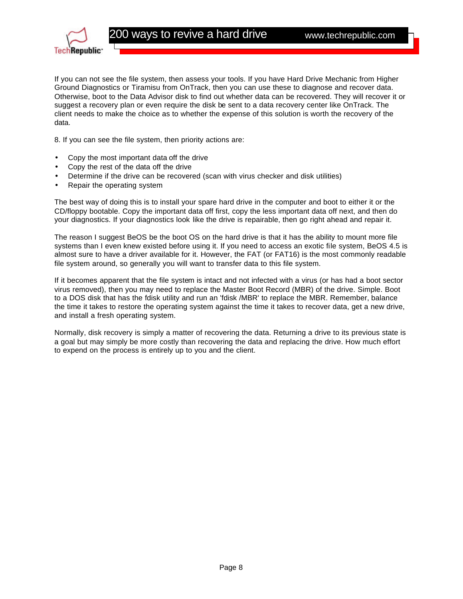

If you can not see the file system, then assess your tools. If you have Hard Drive Mechanic from Higher Ground Diagnostics or Tiramisu from OnTrack, then you can use these to diagnose and recover data. Otherwise, boot to the Data Advisor disk to find out whether data can be recovered. They will recover it or suggest a recovery plan or even require the disk be sent to a data recovery center like OnTrack. The client needs to make the choice as to whether the expense of this solution is worth the recovery of the data.

8. If you can see the file system, then priority actions are:

- Copy the most important data off the drive
- Copy the rest of the data off the drive
- Determine if the drive can be recovered (scan with virus checker and disk utilities)
- Repair the operating system

The best way of doing this is to install your spare hard drive in the computer and boot to either it or the CD/floppy bootable. Copy the important data off first, copy the less important data off next, and then do your diagnostics. If your diagnostics look like the drive is repairable, then go right ahead and repair it.

The reason I suggest BeOS be the boot OS on the hard drive is that it has the ability to mount more file systems than I even knew existed before using it. If you need to access an exotic file system, BeOS 4.5 is almost sure to have a driver available for it. However, the FAT (or FAT16) is the most commonly readable file system around, so generally you will want to transfer data to this file system.

If it becomes apparent that the file system is intact and not infected with a virus (or has had a boot sector virus removed), then you may need to replace the Master Boot Record (MBR) of the drive. Simple. Boot to a DOS disk that has the fdisk utility and run an 'fdisk /MBR' to replace the MBR. Remember, balance the time it takes to restore the operating system against the time it takes to recover data, get a new drive, and install a fresh operating system.

Normally, disk recovery is simply a matter of recovering the data. Returning a drive to its previous state is a goal but may simply be more costly than recovering the data and replacing the drive. How much effort to expend on the process is entirely up to you and the client.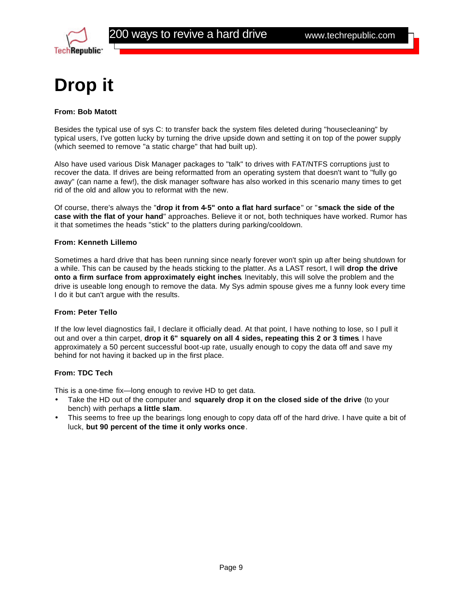

# **Drop it**

# **From: Bob Matott**

Besides the typical use of sys C: to transfer back the system files deleted during "housecleaning" by typical users, I've gotten lucky by turning the drive upside down and setting it on top of the power supply (which seemed to remove "a static charge" that had built up).

Also have used various Disk Manager packages to "talk" to drives with FAT/NTFS corruptions just to recover the data. If drives are being reformatted from an operating system that doesn't want to "fully go away" (can name a few!), the disk manager software has also worked in this scenario many times to get rid of the old and allow you to reformat with the new.

Of course, there's always the "**drop it from 4-5" onto a flat hard surface**" or "**smack the side of the case with the flat of your hand**" approaches. Believe it or not, both techniques have worked. Rumor has it that sometimes the heads "stick" to the platters during parking/cooldown.

# **From: Kenneth Lillemo**

Sometimes a hard drive that has been running since nearly forever won't spin up after being shutdown for a while. This can be caused by the heads sticking to the platter. As a LAST resort, I will **drop the drive onto a firm surface from approximately eight inches**. Inevitably, this will solve the problem and the drive is useable long enough to remove the data. My Sys admin spouse gives me a funny look every time I do it but can't argue with the results.

# **From: Peter Tello**

If the low level diagnostics fail, I declare it officially dead. At that point, I have nothing to lose, so I pull it out and over a thin carpet, **drop it 6" squarely on all 4 sides, repeating this 2 or 3 times**. I have approximately a 50 percent successful boot-up rate, usually enough to copy the data off and save my behind for not having it backed up in the first place.

# **From: TDC Tech**

This is a one-time fix—long enough to revive HD to get data.

- Take the HD out of the computer and **squarely drop it on the closed side of the drive** (to your bench) with perhaps **a little slam**.
- This seems to free up the bearings long enough to copy data off of the hard drive. I have quite a bit of luck, **but 90 percent of the time it only works once**.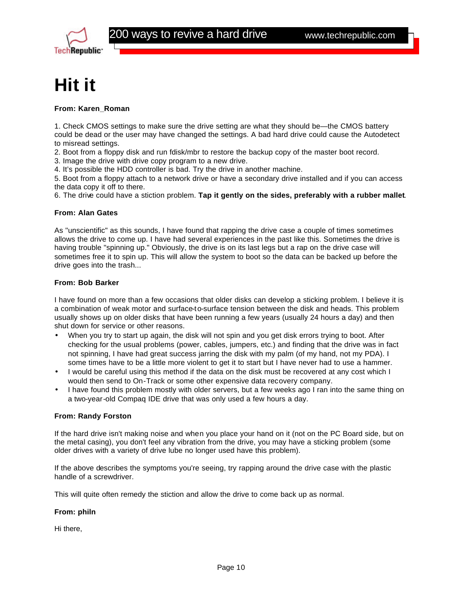

# **Hit it**

**From: Karen\_Roman**

1. Check CMOS settings to make sure the drive setting are what they should be—the CMOS battery could be dead or the user may have changed the settings. A bad hard drive could cause the Autodetect to misread settings.

2. Boot from a floppy disk and run fdisk/mbr to restore the backup copy of the master boot record.

3. Image the drive with drive copy program to a new drive.

4. It's possible the HDD controller is bad. Try the drive in another machine.

5. Boot from a floppy attach to a network drive or have a secondary drive installed and if you can access the data copy it off to there.

6. The drive could have a stiction problem. **Tap it gently on the sides, preferably with a rubber mallet**.

# **From: Alan Gates**

As "unscientific" as this sounds, I have found that rapping the drive case a couple of times sometimes allows the drive to come up. I have had several experiences in the past like this. Sometimes the drive is having trouble "spinning up." Obviously, the drive is on its last legs but a rap on the drive case will sometimes free it to spin up. This will allow the system to boot so the data can be backed up before the drive goes into the trash...

# **From: Bob Barker**

I have found on more than a few occasions that older disks can develop a sticking problem. I believe it is a combination of weak motor and surface-to-surface tension between the disk and heads. This problem usually shows up on older disks that have been running a few years (usually 24 hours a day) and then shut down for service or other reasons.

- When you try to start up again, the disk will not spin and you get disk errors trying to boot. After checking for the usual problems (power, cables, jumpers, etc.) and finding that the drive was in fact not spinning, I have had great success jarring the disk with my palm (of my hand, not my PDA). I some times have to be a little more violent to get it to start but I have never had to use a hammer.
- I would be careful using this method if the data on the disk must be recovered at any cost which I would then send to On-Track or some other expensive data recovery company.
- I have found this problem mostly with older servers, but a few weeks ago I ran into the same thing on a two-year-old Compaq IDE drive that was only used a few hours a day.

# **From: Randy Forston**

If the hard drive isn't making noise and when you place your hand on it (not on the PC Board side, but on the metal casing), you don't feel any vibration from the drive, you may have a sticking problem (some older drives with a variety of drive lube no longer used have this problem).

If the above describes the symptoms you're seeing, try rapping around the drive case with the plastic handle of a screwdriver.

This will quite often remedy the stiction and allow the drive to come back up as normal.

# **From: philn**

Hi there,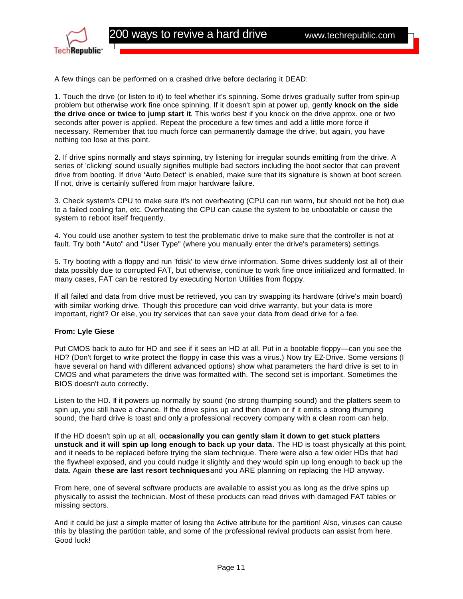

A few things can be performed on a crashed drive before declaring it DEAD:

1. Touch the drive (or listen to it) to feel whether it's spinning. Some drives gradually suffer from spin-up problem but otherwise work fine once spinning. If it doesn't spin at power up, gently **knock on the side the drive once or twice to jump start it**. This works best if you knock on the drive approx. one or two seconds after power is applied. Repeat the procedure a few times and add a little more force if necessary. Remember that too much force can permanently damage the drive, but again, you have nothing too lose at this point.

2. If drive spins normally and stays spinning, try listening for irregular sounds emitting from the drive. A series of 'clicking' sound usually signifies multiple bad sectors including the boot sector that can prevent drive from booting. If drive 'Auto Detect' is enabled, make sure that its signature is shown at boot screen. If not, drive is certainly suffered from major hardware failure.

3. Check system's CPU to make sure it's not overheating (CPU can run warm, but should not be hot) due to a failed cooling fan, etc. Overheating the CPU can cause the system to be unbootable or cause the system to reboot itself frequently.

4. You could use another system to test the problematic drive to make sure that the controller is not at fault. Try both "Auto" and "User Type" (where you manually enter the drive's parameters) settings.

5. Try booting with a floppy and run 'fdisk' to view drive information. Some drives suddenly lost all of their data possibly due to corrupted FAT, but otherwise, continue to work fine once initialized and formatted. In many cases, FAT can be restored by executing Norton Utilities from floppy.

If all failed and data from drive must be retrieved, you can try swapping its hardware (drive's main board) with similar working drive. Though this procedure can void drive warranty, but your data is more important, right? Or else, you try services that can save your data from dead drive for a fee.

# **From: Lyle Giese**

Put CMOS back to auto for HD and see if it sees an HD at all. Put in a bootable floppy—can you see the HD? (Don't forget to write protect the floppy in case this was a virus.) Now try EZ-Drive. Some versions (I have several on hand with different advanced options) show what parameters the hard drive is set to in CMOS and what parameters the drive was formatted with. The second set is important. Sometimes the BIOS doesn't auto correctly.

Listen to the HD. If it powers up normally by sound (no strong thumping sound) and the platters seem to spin up, you still have a chance. If the drive spins up and then down or if it emits a strong thumping sound, the hard drive is toast and only a professional recovery company with a clean room can help.

If the HD doesn't spin up at all, **occasionally you can gently slam it down to get stuck platters unstuck and it will spin up long enough to back up your data**. The HD is toast physically at this point, and it needs to be replaced before trying the slam technique. There were also a few older HDs that had the flywheel exposed, and you could nudge it slightly and they would spin up long enough to back up the data. Again **these are last resort techniques** and you ARE planning on replacing the HD anyway.

From here, one of several software products are available to assist you as long as the drive spins up physically to assist the technician. Most of these products can read drives with damaged FAT tables or missing sectors.

And it could be just a simple matter of losing the Active attribute for the partition! Also, viruses can cause this by blasting the partition table, and some of the professional revival products can assist from here. Good luck!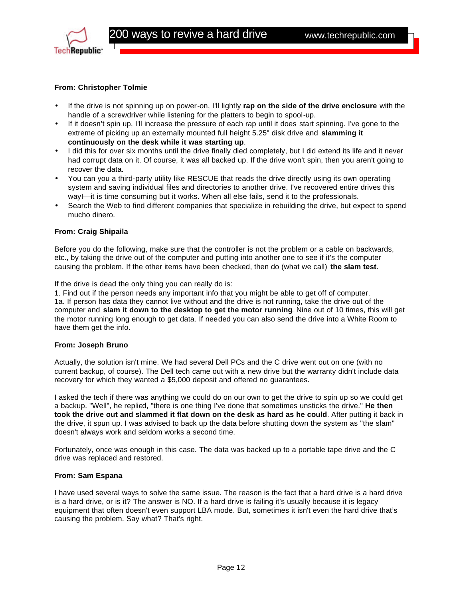

# **From: Christopher Tolmie**

- If the drive is not spinning up on power-on, I'll lightly **rap on the side of the drive enclosure** with the handle of a screwdriver while listening for the platters to begin to spool-up.
- If it doesn't spin up, I'll increase the pressure of each rap until it does start spinning. I've gone to the extreme of picking up an externally mounted full height 5.25" disk drive and **slamming it continuously on the desk while it was starting up**.
- I did this for over six months until the drive finally died completely, but I did extend its life and it never had corrupt data on it. Of course, it was all backed up. If the drive won't spin, then you aren't going to recover the data.
- You can you a third-party utility like RESCUE that reads the drive directly using its own operating system and saving individual files and directories to another drive. I've recovered entire drives this wayI—it is time consuming but it works. When all else fails, send it to the professionals.
- Search the Web to find different companies that specialize in rebuilding the drive, but expect to spend mucho dinero.

# **From: Craig Shipaila**

Before you do the following, make sure that the controller is not the problem or a cable on backwards, etc., by taking the drive out of the computer and putting into another one to see if it's the computer causing the problem. If the other items have been checked, then do (what we call) **the slam test**.

If the drive is dead the only thing you can really do is:

1. Find out if the person needs any important info that you might be able to get off of computer. 1a. If person has data they cannot live without and the drive is not running, take the drive out of the computer and **slam it down to the desktop to get the motor running**. Nine out of 10 times, this will get the motor running long enough to get data. If needed you can also send the drive into a White Room to have them get the info.

#### **From: Joseph Bruno**

Actually, the solution isn't mine. We had several Dell PCs and the C drive went out on one (with no current backup, of course). The Dell tech came out with a new drive but the warranty didn't include data recovery for which they wanted a \$5,000 deposit and offered no guarantees.

I asked the tech if there was anything we could do on our own to get the drive to spin up so we could get a backup. "Well", he replied, "there is one thing I've done that sometimes unsticks the drive." **He then took the drive out and slammed it flat down on the desk as hard as he could**. After putting it back in the drive, it spun up. I was advised to back up the data before shutting down the system as "the slam" doesn't always work and seldom works a second time.

Fortunately, once was enough in this case. The data was backed up to a portable tape drive and the C drive was replaced and restored.

#### **From: Sam Espana**

I have used several ways to solve the same issue. The reason is the fact that a hard drive is a hard drive is a hard drive, or is it? The answer is NO. If a hard drive is failing it's usually because it is legacy equipment that often doesn't even support LBA mode. But, sometimes it isn't even the hard drive that's causing the problem. Say what? That's right.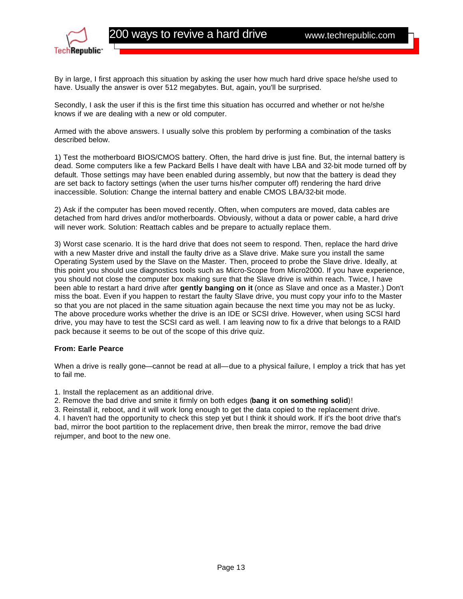

By in large, I first approach this situation by asking the user how much hard drive space he/she used to have. Usually the answer is over 512 megabytes. But, again, you'll be surprised.

Secondly, I ask the user if this is the first time this situation has occurred and whether or not he/she knows if we are dealing with a new or old computer.

Armed with the above answers. I usually solve this problem by performing a combination of the tasks described below.

1) Test the motherboard BIOS/CMOS battery. Often, the hard drive is just fine. But, the internal battery is dead. Some computers like a few Packard Bells I have dealt with have LBA and 32-bit mode turned off by default. Those settings may have been enabled during assembly, but now that the battery is dead they are set back to factory settings (when the user turns his/her computer off) rendering the hard drive inaccessible. Solution: Change the internal battery and enable CMOS LBA/32-bit mode.

2) Ask if the computer has been moved recently. Often, when computers are moved, data cables are detached from hard drives and/or motherboards. Obviously, without a data or power cable, a hard drive will never work. Solution: Reattach cables and be prepare to actually replace them.

3) Worst case scenario. It is the hard drive that does not seem to respond. Then, replace the hard drive with a new Master drive and install the faulty drive as a Slave drive. Make sure you install the same Operating System used by the Slave on the Master. Then, proceed to probe the Slave drive. Ideally, at this point you should use diagnostics tools such as Micro-Scope from Micro2000. If you have experience, you should not close the computer box making sure that the Slave drive is within reach. Twice, I have been able to restart a hard drive after **gently banging on it** (once as Slave and once as a Master.) Don't miss the boat. Even if you happen to restart the faulty Slave drive, you must copy your info to the Master so that you are not placed in the same situation again because the next time you may not be as lucky. The above procedure works whether the drive is an IDE or SCSI drive. However, when using SCSI hard drive, you may have to test the SCSI card as well. I am leaving now to fix a drive that belongs to a RAID pack because it seems to be out of the scope of this drive quiz.

# **From: Earle Pearce**

When a drive is really gone—cannot be read at all—due to a physical failure, I employ a trick that has yet to fail me.

1. Install the replacement as an additional drive.

2. Remove the bad drive and smite it firmly on both edges (**bang it on something solid**)!

3. Reinstall it, reboot, and it will work long enough to get the data copied to the replacement drive. 4. I haven't had the opportunity to check this step yet but I think it should work. If it's the boot drive that's bad, mirror the boot partition to the replacement drive, then break the mirror, remove the bad drive rejumper, and boot to the new one.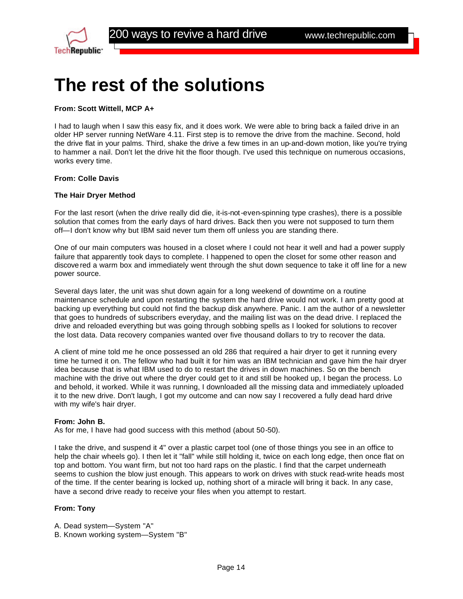



# **The rest of the solutions**

# **From: Scott Wittell, MCP A+**

I had to laugh when I saw this easy fix, and it does work. We were able to bring back a failed drive in an older HP server running NetWare 4.11. First step is to remove the drive from the machine. Second, hold the drive flat in your palms. Third, shake the drive a few times in an up-and-down motion, like you're trying to hammer a nail. Don't let the drive hit the floor though. I've used this technique on numerous occasions, works every time.

# **From: Colle Davis**

# **The Hair Dryer Method**

For the last resort (when the drive really did die, it-is-not-even-spinning type crashes), there is a possible solution that comes from the early days of hard drives. Back then you were not supposed to turn them off—I don't know why but IBM said never turn them off unless you are standing there.

One of our main computers was housed in a closet where I could not hear it well and had a power supply failure that apparently took days to complete. I happened to open the closet for some other reason and discove red a warm box and immediately went through the shut down sequence to take it off line for a new power source.

Several days later, the unit was shut down again for a long weekend of downtime on a routine maintenance schedule and upon restarting the system the hard drive would not work. I am pretty good at backing up everything but could not find the backup disk anywhere. Panic. I am the author of a newsletter that goes to hundreds of subscribers everyday, and the mailing list was on the dead drive. I replaced the drive and reloaded everything but was going through sobbing spells as I looked for solutions to recover the lost data. Data recovery companies wanted over five thousand dollars to try to recover the data.

A client of mine told me he once possessed an old 286 that required a hair dryer to get it running every time he turned it on. The fellow who had built it for him was an IBM technician and gave him the hair dryer idea because that is what IBM used to do to restart the drives in down machines. So on the bench machine with the drive out where the dryer could get to it and still be hooked up, I began the process. Lo and behold, it worked. While it was running, I downloaded all the missing data and immediately uploaded it to the new drive. Don't laugh, I got my outcome and can now say I recovered a fully dead hard drive with my wife's hair dryer.

# **From: John B.**

As for me, I have had good success with this method (about 50-50).

I take the drive, and suspend it 4" over a plastic carpet tool (one of those things you see in an office to help the chair wheels go). I then let it "fall" while still holding it, twice on each long edge, then once flat on top and bottom. You want firm, but not too hard raps on the plastic. I find that the carpet underneath seems to cushion the blow just enough. This appears to work on drives with stuck read-write heads most of the time. If the center bearing is locked up, nothing short of a miracle will bring it back. In any case, have a second drive ready to receive your files when you attempt to restart.

# **From: Tony**

A. Dead system—System "A"

B. Known working system—System "B"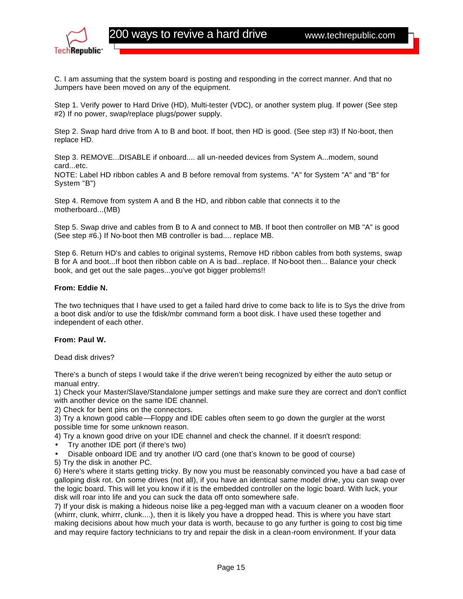

C. I am assuming that the system board is posting and responding in the correct manner. And that no Jumpers have been moved on any of the equipment.

Step 1. Verify power to Hard Drive (HD), Multi-tester (VDC), or another system plug. If power (See step #2) If no power, swap/replace plugs/power supply.

Step 2. Swap hard drive from A to B and boot. If boot, then HD is good. (See step #3) If No-boot, then replace HD.

Step 3. REMOVE...DISABLE if onboard.... all un-needed devices from System A...modem, sound card...etc.

NOTE: Label HD ribbon cables A and B before removal from systems. "A" for System "A" and "B" for System "B")

Step 4. Remove from system A and B the HD, and ribbon cable that connects it to the motherboard...(MB)

Step 5. Swap drive and cables from B to A and connect to MB. If boot then controller on MB "A" is good (See step #6.) If No-boot then MB controller is bad.... replace MB.

Step 6. Return HD's and cables to original systems, Remove HD ribbon cables from both systems, swap B for A and boot...If boot then ribbon cable on A is bad...replace. If No-boot then... Balance your check book, and get out the sale pages...you've got bigger problems!!

#### **From: Eddie N.**

The two techniques that I have used to get a failed hard drive to come back to life is to Sys the drive from a boot disk and/or to use the fdisk/mbr command form a boot disk. I have used these together and independent of each other.

#### **From: Paul W.**

Dead disk drives?

There's a bunch of steps I would take if the drive weren't being recognized by either the auto setup or manual entry.

1) Check your Master/Slave/Standalone jumper settings and make sure they are correct and don't conflict with another device on the same IDE channel.

2) Check for bent pins on the connectors.

3) Try a known good cable—Floppy and IDE cables often seem to go down the gurgler at the worst possible time for some unknown reason.

- 4) Try a known good drive on your IDE channel and check the channel. If it doesn't respond:
- Try another IDE port (if there's two)
- Disable onboard IDE and try another I/O card (one that's known to be good of course)

5) Try the disk in another PC.

6) Here's where it starts getting tricky. By now you must be reasonably convinced you have a bad case of galloping disk rot. On some drives (not all), if you have an identical same model drive, you can swap over the logic board. This will let you know if it is the embedded controller on the logic board. With luck, your disk will roar into life and you can suck the data off onto somewhere safe.

7) If your disk is making a hideous noise like a peg-legged man with a vacuum cleaner on a wooden floor (whirrr, clunk, whirrr, clunk....), then it is likely you have a dropped head. This is where you have start making decisions about how much your data is worth, because to go any further is going to cost big time and may require factory technicians to try and repair the disk in a clean-room environment. If your data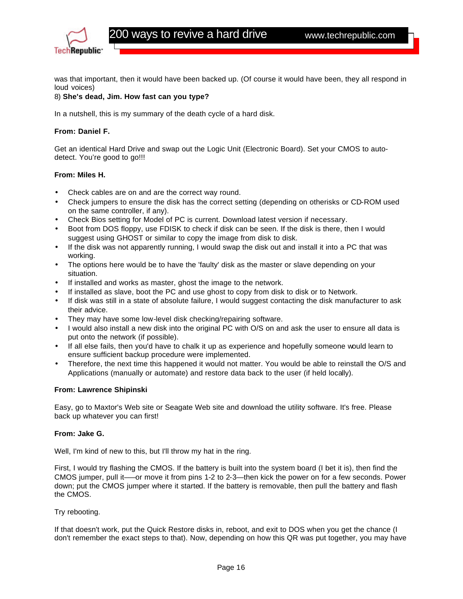

was that important, then it would have been backed up. (Of course it would have been, they all respond in loud voices)

# 8) **She's dead, Jim. How fast can you type?**

In a nutshell, this is my summary of the death cycle of a hard disk.

#### **From: Daniel F.**

Get an identical Hard Drive and swap out the Logic Unit (Electronic Board). Set your CMOS to autodetect. You're good to go!!!

#### **From: Miles H.**

- Check cables are on and are the correct way round.
- Check jumpers to ensure the disk has the correct setting (depending on otherisks or CD-ROM used on the same controller, if any).
- Check Bios setting for Model of PC is current. Download latest version if necessary.
- Boot from DOS floppy, use FDISK to check if disk can be seen. If the disk is there, then I would suggest using GHOST or similar to copy the image from disk to disk.
- If the disk was not apparently running, I would swap the disk out and install it into a PC that was working.
- The options here would be to have the 'faulty' disk as the master or slave depending on your situation.
- If installed and works as master, ghost the image to the network.
- If installed as slave, boot the PC and use ghost to copy from disk to disk or to Network.
- If disk was still in a state of absolute failure, I would suggest contacting the disk manufacturer to ask their advice.
- They may have some low-level disk checking/repairing software.
- I would also install a new disk into the original PC with O/S on and ask the user to ensure all data is put onto the network (if possible).
- If all else fails, then you'd have to chalk it up as experience and hopefully someone would learn to ensure sufficient backup procedure were implemented.
- Therefore, the next time this happened it would not matter. You would be able to reinstall the O/S and Applications (manually or automate) and restore data back to the user (if held locally).

#### **From: Lawrence Shipinski**

Easy, go to Maxtor's Web site or Seagate Web site and download the utility software. It's free. Please back up whatever you can first!

#### **From: Jake G.**

Well, I'm kind of new to this, but I'll throw my hat in the ring.

First, I would try flashing the CMOS. If the battery is built into the system board (I bet it is), then find the CMOS jumper, pull it–—or move it from pins 1-2 to 2-3—then kick the power on for a few seconds. Power down; put the CMOS jumper where it started. If the battery is removable, then pull the battery and flash the CMOS.

Try rebooting.

If that doesn't work, put the Quick Restore disks in, reboot, and exit to DOS when you get the chance (I don't remember the exact steps to that). Now, depending on how this QR was put together, you may have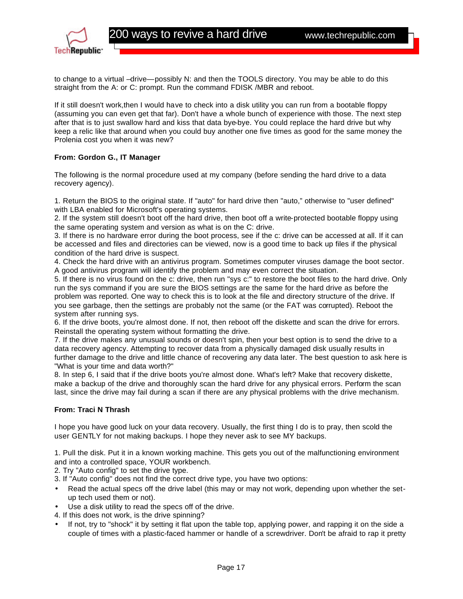

to change to a virtual –drive—possibly N: and then the TOOLS directory. You may be able to do this straight from the A: or C: prompt. Run the command FDISK /MBR and reboot.

If it still doesn't work,then I would have to check into a disk utility you can run from a bootable floppy (assuming you can even get that far). Don't have a whole bunch of experience with those. The next step after that is to just swallow hard and kiss that data bye-bye. You could replace the hard drive but why keep a relic like that around when you could buy another one five times as good for the same money the Prolenia cost you when it was new?

# **From: Gordon G., IT Manager**

The following is the normal procedure used at my company (before sending the hard drive to a data recovery agency).

1. Return the BIOS to the original state. If "auto" for hard drive then "auto," otherwise to "user defined" with LBA enabled for Microsoft's operating systems.

2. If the system still doesn't boot off the hard drive, then boot off a write-protected bootable floppy using the same operating system and version as what is on the C: drive.

3. If there is no hardware error during the boot process, see if the c: drive can be accessed at all. If it can be accessed and files and directories can be viewed, now is a good time to back up files if the physical condition of the hard drive is suspect.

4. Check the hard drive with an antivirus program. Sometimes computer viruses damage the boot sector. A good antivirus program will identify the problem and may even correct the situation.

5. If there is no virus found on the c: drive, then run "sys c:" to restore the boot files to the hard drive. Only run the sys command if you are sure the BIOS settings are the same for the hard drive as before the problem was reported. One way to check this is to look at the file and directory structure of the drive. If you see garbage, then the settings are probably not the same (or the FAT was corrupted). Reboot the system after running sys.

6. If the drive boots, you're almost done. If not, then reboot off the diskette and scan the drive for errors. Reinstall the operating system without formatting the drive.

7. If the drive makes any unusual sounds or doesn't spin, then your best option is to send the drive to a data recovery agency. Attempting to recover data from a physically damaged disk usually results in further damage to the drive and little chance of recovering any data later. The best question to ask here is "What is your time and data worth?"

8. In step 6, I said that if the drive boots you're almost done. What's left? Make that recovery diskette, make a backup of the drive and thoroughly scan the hard drive for any physical errors. Perform the scan last, since the drive may fail during a scan if there are any physical problems with the drive mechanism.

# **From: Traci N Thrash**

I hope you have good luck on your data recovery. Usually, the first thing I do is to pray, then scold the user GENTLY for not making backups. I hope they never ask to see MY backups.

1. Pull the disk. Put it in a known working machine. This gets you out of the malfunctioning environment and into a controlled space, YOUR workbench.

2. Try "Auto config" to set the drive type.

- 3. If "Auto config" does not find the correct drive type, you have two options:
- Read the actual specs off the drive label (this may or may not work, depending upon whether the setup tech used them or not).
- Use a disk utility to read the specs off of the drive.
- 4. If this does not work, is the drive spinning?
- If not, try to "shock" it by setting it flat upon the table top, applying power, and rapping it on the side a couple of times with a plastic-faced hammer or handle of a screwdriver. Don't be afraid to rap it pretty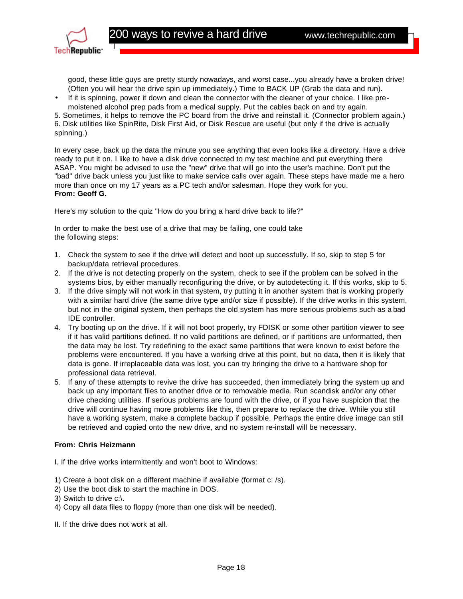

good, these little guys are pretty sturdy nowadays, and worst case...you already have a broken drive! (Often you will hear the drive spin up immediately.) Time to BACK UP (Grab the data and run).

• If it is spinning, power it down and clean the connector with the cleaner of your choice. I like premoistened alcohol prep pads from a medical supply. Put the cables back on and try again.

5. Sometimes, it helps to remove the PC board from the drive and reinstall it. (Connector problem again.) 6. Disk utilities like SpinRite, Disk First Aid, or Disk Rescue are useful (but only if the drive is actually spinning.)

In every case, back up the data the minute you see anything that even looks like a directory. Have a drive ready to put it on. I like to have a disk drive connected to my test machine and put everything there ASAP. You might be advised to use the "new" drive that will go into the user's machine. Don't put the "bad" drive back unless you just like to make service calls over again. These steps have made me a hero more than once on my 17 years as a PC tech and/or salesman. Hope they work for you. **From: Geoff G.**

Here's my solution to the quiz "How do you bring a hard drive back to life?"

In order to make the best use of a drive that may be failing, one could take the following steps:

- 1. Check the system to see if the drive will detect and boot up successfully. If so, skip to step 5 for backup/data retrieval procedures.
- 2. If the drive is not detecting properly on the system, check to see if the problem can be solved in the systems bios, by either manually reconfiguring the drive, or by autodetecting it. If this works, skip to 5.
- 3. If the drive simply will not work in that system, try putting it in another system that is working properly with a similar hard drive (the same drive type and/or size if possible). If the drive works in this system, but not in the original system, then perhaps the old system has more serious problems such as a bad IDE controller.
- 4. Try booting up on the drive. If it will not boot properly, try FDISK or some other partition viewer to see if it has valid partitions defined. If no valid partitions are defined, or if partitions are unformatted, then the data may be lost. Try redefining to the exact same partitions that were known to exist before the problems were encountered. If you have a working drive at this point, but no data, then it is likely that data is gone. If irreplaceable data was lost, you can try bringing the drive to a hardware shop for professional data retrieval.
- 5. If any of these attempts to revive the drive has succeeded, then immediately bring the system up and back up any important files to another drive or to removable media. Run scandisk and/or any other drive checking utilities. If serious problems are found with the drive, or if you have suspicion that the drive will continue having more problems like this, then prepare to replace the drive. While you still have a working system, make a complete backup if possible. Perhaps the entire drive image can still be retrieved and copied onto the new drive, and no system re-install will be necessary.

# **From: Chris Heizmann**

- I. If the drive works intermittently and won't boot to Windows:
- 1) Create a boot disk on a different machine if available (format c: /s).
- 2) Use the boot disk to start the machine in DOS.
- 3) Switch to drive c:\.
- 4) Copy all data files to floppy (more than one disk will be needed).
- II. If the drive does not work at all.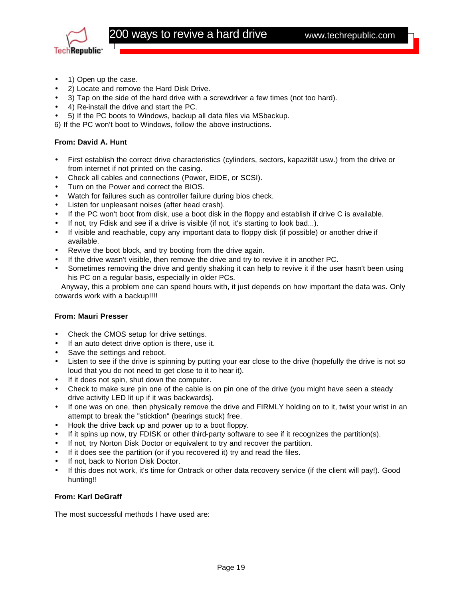

- 1) Open up the case.
- 2) Locate and remove the Hard Disk Drive.
- 3) Tap on the side of the hard drive with a screwdriver a few times (not too hard).
- 4) Re-install the drive and start the PC.
- 5) If the PC boots to Windows, backup all data files via MSbackup.

6) If the PC won't boot to Windows, follow the above instructions.

# **From: David A. Hunt**

- First establish the correct drive characteristics (cylinders, sectors, kapazität usw.) from the drive or from internet if not printed on the casing.
- Check all cables and connections (Power, EIDE, or SCSI).
- Turn on the Power and correct the BIOS.
- Watch for failures such as controller failure during bios check.
- Listen for unpleasant noises (after head crash).
- If the PC won't boot from disk, use a boot disk in the floppy and establish if drive C is available.
- If not, try Fdisk and see if a drive is visible (if not, it's starting to look bad...).
- If visible and reachable, copy any important data to floppy disk (if possible) or another drive if available.
- Revive the boot block, and try booting from the drive again.
- If the drive wasn't visible, then remove the drive and try to revive it in another PC.
- Sometimes removing the drive and gently shaking it can help to revive it if the user hasn't been using his PC on a regular basis, especially in older PCs.

Anyway, this a problem one can spend hours with, it just depends on how important the data was. Only cowards work with a backup!!!!

# **From: Mauri Presser**

- Check the CMOS setup for drive settings.
- If an auto detect drive option is there, use it.
- Save the settings and reboot.
- Listen to see if the drive is spinning by putting your ear close to the drive (hopefully the drive is not so loud that you do not need to get close to it to hear it).
- If it does not spin, shut down the computer.
- Check to make sure pin one of the cable is on pin one of the drive (you might have seen a steady drive activity LED lit up if it was backwards).
- If one was on one, then physically remove the drive and FIRMLY holding on to it, twist your wrist in an attempt to break the "sticktion" (bearings stuck) free.
- Hook the drive back up and power up to a boot floppy.
- If it spins up now, try FDISK or other third-party software to see if it recognizes the partition(s).
- If not, try Norton Disk Doctor or equivalent to try and recover the partition.
- If it does see the partition (or if you recovered it) try and read the files.
- If not, back to Norton Disk Doctor.
- If this does not work, it's time for Ontrack or other data recovery service (if the client will pay!). Good hunting!!

# **From: Karl DeGraff**

The most successful methods I have used are: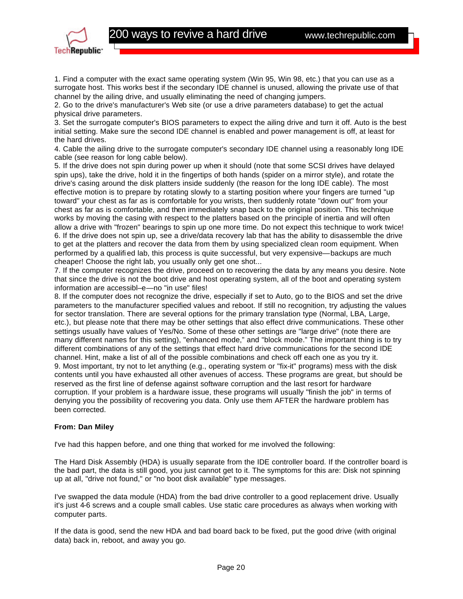

1. Find a computer with the exact same operating system (Win 95, Win 98, etc.) that you can use as a surrogate host. This works best if the secondary IDE channel is unused, allowing the private use of that channel by the ailing drive, and usually eliminating the need of changing jumpers.

2. Go to the drive's manufacturer's Web site (or use a drive parameters database) to get the actual physical drive parameters.

3. Set the surrogate computer's BIOS parameters to expect the ailing drive and turn it off. Auto is the best initial setting. Make sure the second IDE channel is enabled and power management is off, at least for the hard drives.

4. Cable the ailing drive to the surrogate computer's secondary IDE channel using a reasonably long IDE cable (see reason for long cable below).

5. If the drive does not spin during power up when it should (note that some SCSI drives have delayed spin ups), take the drive, hold it in the fingertips of both hands (spider on a mirror style), and rotate the drive's casing around the disk platters inside suddenly (the reason for the long IDE cable). The most effective motion is to prepare by rotating slowly to a starting position where your fingers are turned "up toward" your chest as far as is comfortable for you wrists, then suddenly rotate "down out" from your chest as far as is comfortable, and then immediately snap back to the original position. This technique works by moving the casing with respect to the platters based on the principle of inertia and will often allow a drive with "frozen" bearings to spin up one more time. Do not expect this technique to work twice! 6. If the drive does not spin up, see a drive/data recovery lab that has the ability to disassemble the drive to get at the platters and recover the data from them by using specialized clean room equipment. When performed by a qualifi ed lab, this process is quite successful, but very expensive—backups are much cheaper! Choose the right lab, you usually only get one shot...

7. If the computer recognizes the drive, proceed on to recovering the data by any means you desire. Note that since the drive is not the boot drive and host operating system, all of the boot and operating system information are accessibl–e—no "in use" files!

8. If the computer does not recognize the drive, especially if set to Auto, go to the BIOS and set the drive parameters to the manufacturer specified values and reboot. If still no recognition, try adjusting the values for sector translation. There are several options for the primary translation type (Normal, LBA, Large, etc.), but please note that there may be other settings that also effect drive communications. These other settings usually have values of Yes/No. Some of these other settings are "large drive" (note there are many different names for this setting), "enhanced mode," and "block mode." The important thing is to try different combinations of any of the settings that effect hard drive communications for the second IDE channel. Hint, make a list of all of the possible combinations and check off each one as you try it. 9. Most important, try not to let anything (e.g., operating system or "fix-it" programs) mess with the disk contents until you have exhausted all other avenues of access. These programs are great, but should be reserved as the first line of defense against software corruption and the last resort for hardware corruption. If your problem is a hardware issue, these programs will usually "finish the job" in terms of denying you the possibility of recovering you data. Only use them AFTER the hardware problem has been corrected.

# **From: Dan Miley**

I've had this happen before, and one thing that worked for me involved the following:

The Hard Disk Assembly (HDA) is usually separate from the IDE controller board. If the controller board is the bad part, the data is still good, you just cannot get to it. The symptoms for this are: Disk not spinning up at all, "drive not found," or "no boot disk available" type messages.

I've swapped the data module (HDA) from the bad drive controller to a good replacement drive. Usually it's just 4-6 screws and a couple small cables. Use static care procedures as always when working with computer parts.

If the data is good, send the new HDA and bad board back to be fixed, put the good drive (with original data) back in, reboot, and away you go.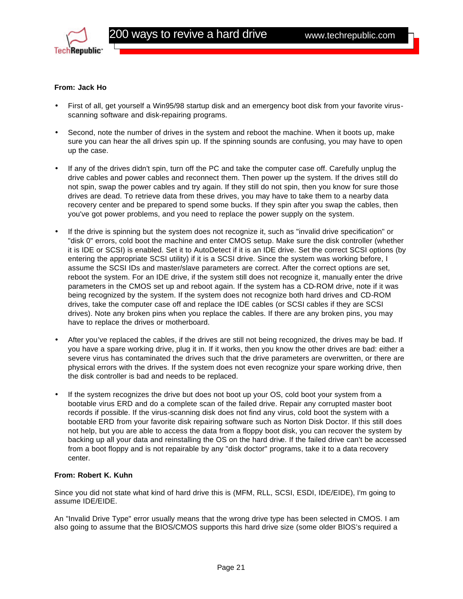

### **From: Jack Ho**

- First of all, get yourself a Win95/98 startup disk and an emergency boot disk from your favorite virusscanning software and disk-repairing programs.
- Second, note the number of drives in the system and reboot the machine. When it boots up, make sure you can hear the all drives spin up. If the spinning sounds are confusing, you may have to open up the case.
- If any of the drives didn't spin, turn off the PC and take the computer case off. Carefully unplug the drive cables and power cables and reconnect them. Then power up the system. If the drives still do not spin, swap the power cables and try again. If they still do not spin, then you know for sure those drives are dead. To retrieve data from these drives, you may have to take them to a nearby data recovery center and be prepared to spend some bucks. If they spin after you swap the cables, then you've got power problems, and you need to replace the power supply on the system.
- If the drive is spinning but the system does not recognize it, such as "invalid drive specification" or "disk 0" errors, cold boot the machine and enter CMOS setup. Make sure the disk controller (whether it is IDE or SCSI) is enabled. Set it to AutoDetect if it is an IDE drive. Set the correct SCSI options (by entering the appropriate SCSI utility) if it is a SCSI drive. Since the system was working before, I assume the SCSI IDs and master/slave parameters are correct. After the correct options are set, reboot the system. For an IDE drive, if the system still does not recognize it, manually enter the drive parameters in the CMOS set up and reboot again. If the system has a CD-ROM drive, note if it was being recognized by the system. If the system does not recognize both hard drives and CD-ROM drives, take the computer case off and replace the IDE cables (or SCSI cables if they are SCSI drives). Note any broken pins when you replace the cables. If there are any broken pins, you may have to replace the drives or motherboard.
- After you've replaced the cables, if the drives are still not being recognized, the drives may be bad. If you have a spare working drive, plug it in. If it works, then you know the other drives are bad: either a severe virus has contaminated the drives such that the drive parameters are overwritten, or there are physical errors with the drives. If the system does not even recognize your spare working drive, then the disk controller is bad and needs to be replaced.
- If the system recognizes the drive but does not boot up your OS, cold boot your system from a bootable virus ERD and do a complete scan of the failed drive. Repair any corrupted master boot records if possible. If the virus-scanning disk does not find any virus, cold boot the system with a bootable ERD from your favorite disk repairing software such as Norton Disk Doctor. If this still does not help, but you are able to access the data from a floppy boot disk, you can recover the system by backing up all your data and reinstalling the OS on the hard drive. If the failed drive can't be accessed from a boot floppy and is not repairable by any "disk doctor" programs, take it to a data recovery center.

### **From: Robert K. Kuhn**

Since you did not state what kind of hard drive this is (MFM, RLL, SCSI, ESDI, IDE/EIDE), I'm going to assume IDE/EIDE.

An "Invalid Drive Type" error usually means that the wrong drive type has been selected in CMOS. I am also going to assume that the BIOS/CMOS supports this hard drive size (some older BIOS's required a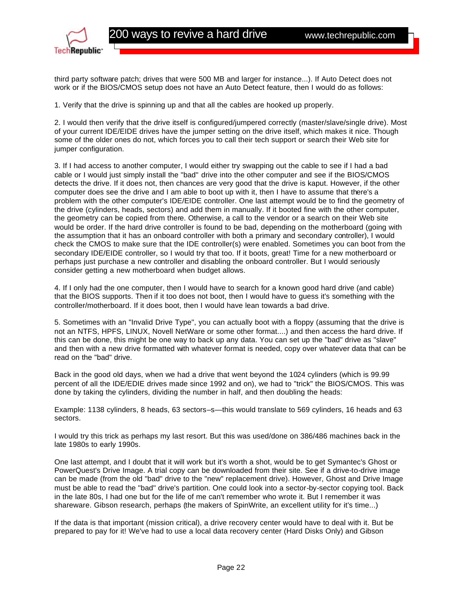

third party software patch; drives that were 500 MB and larger for instance...). If Auto Detect does not work or if the BIOS/CMOS setup does not have an Auto Detect feature, then I would do as follows:

1. Verify that the drive is spinning up and that all the cables are hooked up properly.

2. I would then verify that the drive itself is configured/jumpered correctly (master/slave/single drive). Most of your current IDE/EIDE drives have the jumper setting on the drive itself, which makes it nice. Though some of the older ones do not, which forces you to call their tech support or search their Web site for jumper configuration.

3. If I had access to another computer, I would either try swapping out the cable to see if I had a bad cable or I would just simply install the "bad" drive into the other computer and see if the BIOS/CMOS detects the drive. If it does not, then chances are very good that the drive is kaput. However, if the other computer does see the drive and I am able to boot up with it, then I have to assume that there's a problem with the other computer's IDE/EIDE controller. One last attempt would be to find the geometry of the drive (cylinders, heads, sectors) and add them in manually. If it booted fine with the other computer, the geometry can be copied from there. Otherwise, a call to the vendor or a search on their Web site would be order. If the hard drive controller is found to be bad, depending on the motherboard (going with the assumption that it has an onboard controller with both a primary and secondary controller), I would check the CMOS to make sure that the IDE controller(s) were enabled. Sometimes you can boot from the secondary IDE/EIDE controller, so I would try that too. If it boots, great! Time for a new motherboard or perhaps just purchase a new controller and disabling the onboard controller. But I would seriously consider getting a new motherboard when budget allows.

4. If I only had the one computer, then I would have to search for a known good hard drive (and cable) that the BIOS supports. Then if it too does not boot, then I would have to guess it's something with the controller/motherboard. If it does boot, then I would have lean towards a bad drive.

5. Sometimes with an "Invalid Drive Type", you can actually boot with a floppy (assuming that the drive is not an NTFS, HPFS, LINUX, Novell NetWare or some other format....) and then access the hard drive. If this can be done, this might be one way to back up any data. You can set up the "bad" drive as "slave" and then with a new drive formatted with whatever format is needed, copy over whatever data that can be read on the "bad" drive.

Back in the good old days, when we had a drive that went beyond the 1024 cylinders (which is 99.99 percent of all the IDE/EDIE drives made since 1992 and on), we had to "trick" the BIOS/CMOS. This was done by taking the cylinders, dividing the number in half, and then doubling the heads:

Example: 1138 cylinders, 8 heads, 63 sectors–s—this would translate to 569 cylinders, 16 heads and 63 sectors.

I would try this trick as perhaps my last resort. But this was used/done on 386/486 machines back in the late 1980s to early 1990s.

One last attempt, and I doubt that it will work but it's worth a shot, would be to get Symantec's Ghost or PowerQuest's Drive Image. A trial copy can be downloaded from their site. See if a drive-to-drive image can be made (from the old "bad" drive to the "new" replacement drive). However, Ghost and Drive Image must be able to read the "bad" drive's partition. One could look into a sector-by-sector copying tool. Back in the late 80s, I had one but for the life of me can't remember who wrote it. But I remember it was shareware. Gibson research, perhaps (the makers of SpinWrite, an excellent utility for it's time...)

If the data is that important (mission critical), a drive recovery center would have to deal with it. But be prepared to pay for it! We've had to use a local data recovery center (Hard Disks Only) and Gibson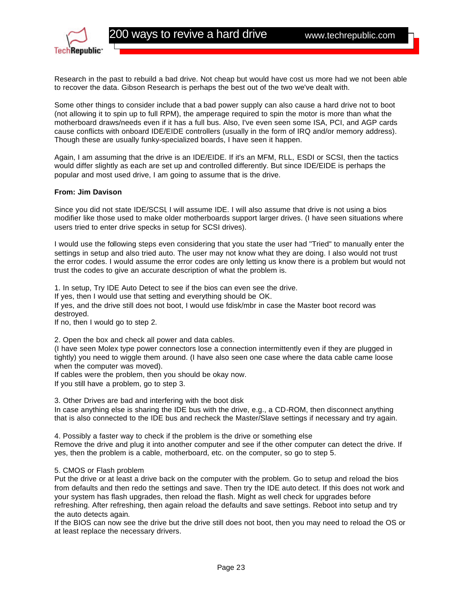

Research in the past to rebuild a bad drive. Not cheap but would have cost us more had we not been able to recover the data. Gibson Research is perhaps the best out of the two we've dealt with.

Some other things to consider include that a bad power supply can also cause a hard drive not to boot (not allowing it to spin up to full RPM), the amperage required to spin the motor is more than what the motherboard draws/needs even if it has a full bus. Also, I've even seen some ISA, PCI, and AGP cards cause conflicts with onboard IDE/EIDE controllers (usually in the form of IRQ and/or memory address). Though these are usually funky-specialized boards, I have seen it happen.

Again, I am assuming that the drive is an IDE/EIDE. If it's an MFM, RLL, ESDI or SCSI, then the tactics would differ slightly as each are set up and controlled differently. But since IDE/EIDE is perhaps the popular and most used drive, I am going to assume that is the drive.

#### **From: Jim Davison**

Since you did not state IDE/SCSI, I will assume IDE. I will also assume that drive is not using a bios modifier like those used to make older motherboards support larger drives. (I have seen situations where users tried to enter drive specks in setup for SCSI drives).

I would use the following steps even considering that you state the user had "Tried" to manually enter the settings in setup and also tried auto. The user may not know what they are doing. I also would not trust the error codes. I would assume the error codes are only letting us know there is a problem but would not trust the codes to give an accurate description of what the problem is.

1. In setup, Try IDE Auto Detect to see if the bios can even see the drive.

If yes, then I would use that setting and everything should be OK.

If yes, and the drive still does not boot, I would use fdisk/mbr in case the Master boot record was destroyed.

If no, then I would go to step 2.

2. Open the box and check all power and data cables.

(I have seen Molex type power connectors lose a connection intermittently even if they are plugged in tightly) you need to wiggle them around. (I have also seen one case where the data cable came loose when the computer was moved).

If cables were the problem, then you should be okay now.

If you still have a problem, go to step 3.

3. Other Drives are bad and interfering with the boot disk

In case anything else is sharing the IDE bus with the drive, e.g., a CD-ROM, then disconnect anything that is also connected to the IDE bus and recheck the Master/Slave settings if necessary and try again.

4. Possibly a faster way to check if the problem is the drive or something else Remove the drive and plug it into another computer and see if the other computer can detect the drive. If yes, then the problem is a cable, motherboard, etc. on the computer, so go to step 5.

#### 5. CMOS or Flash problem

Put the drive or at least a drive back on the computer with the problem. Go to setup and reload the bios from defaults and then redo the settings and save. Then try the IDE auto detect. If this does not work and your system has flash upgrades, then reload the flash. Might as well check for upgrades before refreshing. After refreshing, then again reload the defaults and save settings. Reboot into setup and try the auto detects again.

If the BIOS can now see the drive but the drive still does not boot, then you may need to reload the OS or at least replace the necessary drivers.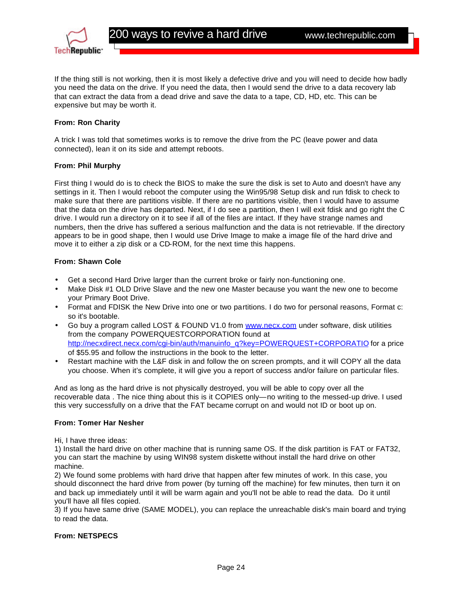

If the thing still is not working, then it is most likely a defective drive and you will need to decide how badly you need the data on the drive. If you need the data, then I would send the drive to a data recovery lab that can extract the data from a dead drive and save the data to a tape, CD, HD, etc. This can be expensive but may be worth it.

# **From: Ron Charity**

A trick I was told that sometimes works is to remove the drive from the PC (leave power and data connected), lean it on its side and attempt reboots.

#### **From: Phil Murphy**

First thing I would do is to check the BIOS to make the sure the disk is set to Auto and doesn't have any settings in it. Then I would reboot the computer using the Win95/98 Setup disk and run fdisk to check to make sure that there are partitions visible. If there are no partitions visible, then I would have to assume that the data on the drive has departed. Next, if I do see a partition, then I will exit fdisk and go right the C drive. I would run a directory on it to see if all of the files are intact. If they have strange names and numbers, then the drive has suffered a serious malfunction and the data is not retrievable. If the directory appears to be in good shape, then I would use Drive Image to make a image file of the hard drive and move it to either a zip disk or a CD-ROM, for the next time this happens.

#### **From: Shawn Cole**

- Get a second Hard Drive larger than the current broke or fairly non-functioning one.
- Make Disk #1 OLD Drive Slave and the new one Master because you want the new one to become your Primary Boot Drive.
- Format and FDISK the New Drive into one or two partitions. I do two for personal reasons, Format c: so it's bootable.
- Go buy a program called LOST & FOUND V1.0 from www.necx.com under software, disk utilities from the company POWERQUESTCORPORATION found at http://necxdirect.necx.com/cgi-bin/auth/manuinfo\_q?key=POWERQUEST+CORPORATIO for a price of \$55.95 and follow the instructions in the book to the letter.
- Restart machine with the L&F disk in and follow the on screen prompts, and it will COPY all the data you choose. When it's complete, it will give you a report of success and/or failure on particular files.

And as long as the hard drive is not physically destroyed, you will be able to copy over all the recoverable data . The nice thing about this is it COPIES only—no writing to the messed-up drive. I used this very successfully on a drive that the FAT became corrupt on and would not ID or boot up on.

#### **From: Tomer Har Nesher**

Hi, I have three ideas:

1) Install the hard drive on other machine that is running same OS. If the disk partition is FAT or FAT32, you can start the machine by using WIN98 system diskette without install the hard drive on other machine.

2) We found some problems with hard drive that happen after few minutes of work. In this case, you should disconnect the hard drive from power (by turning off the machine) for few minutes, then turn it on and back up immediately until it will be warm again and you'll not be able to read the data. Do it until you'll have all files copied.

3) If you have same drive (SAME MODEL), you can replace the unreachable disk's main board and trying to read the data.

# **From: NETSPECS**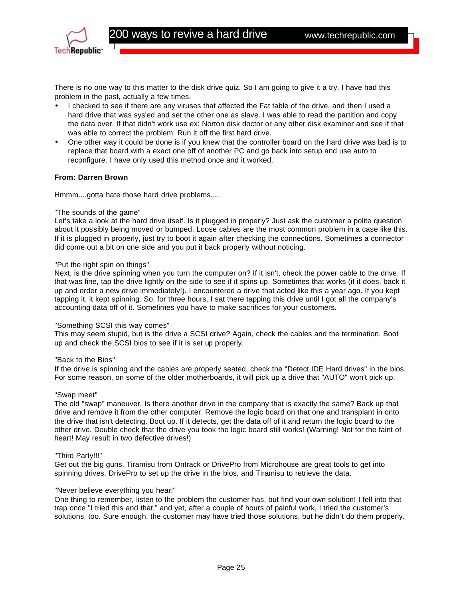

There is no one way to this matter to the disk drive quiz. So I am going to give it a try. I have had this problem in the past, actually a few times.

- I checked to see if there are any viruses that affected the Fat table of the drive, and then I used a hard drive that was sys'ed and set the other one as slave. I was able to read the partition and copy the data over. If that didn't work use ex: Norton disk doctor or any other disk examiner and see if that was able to correct the problem. Run it off the first hard drive.
- One other way it could be done is if you knew that the controller board on the hard drive was bad is to replace that board with a exact one off of another PC and go back into setup and use auto to reconfigure. I have only used this method once and it worked.

#### **From: Darren Brown**

Hmmm....gotta hate those hard drive problems.....

#### "The sounds of the game"

Let's take a look at the hard drive itself. Is it plugged in properly? Just ask the customer a polite question about it possibly being moved or bumped. Loose cables are the most common problem in a case like this. If it is plugged in properly, just try to boot it again after checking the connections. Sometimes a connector did come out a bit on one side and you put it back properly without noticing.

#### "Put the right spin on things"

Next, is the drive spinning when you turn the computer on? If it isn't, check the power cable to the drive. If that was fine, tap the drive lightly on the side to see if it spins up. Sometimes that works (if it does, back it up and order a new drive immediately!). I encountered a drive that acted like this a year ago. If you kept tapping it, it kept spinning. So, for three hours, I sat there tapping this drive until I got all the company's accounting data off of it. Sometimes you have to make sacrifices for your customers.

#### "Something SCSI this way comes"

This may seem stupid, but is the drive a SCSI drive? Again, check the cables and the termination. Boot up and check the SCSI bios to see if it is set up properly.

#### "Back to the Bios"

If the drive is spinning and the cables are properly seated, check the "Detect IDE Hard drives" in the bios. For some reason, on some of the older motherboards, it will pick up a drive that "AUTO" won't pick up.

#### "Swap meet"

The old "swap" maneuver. Is there another drive in the company that is exactly the same? Back up that drive and remove it from the other computer. Remove the logic board on that one and transplant in onto the drive that isn't detecting. Boot up. If it detects, get the data off of it and return the logic board to the other drive. Double check that the drive you took the logic board still works! (Warning! Not for the faint of heart! May result in two defective drives!)

#### "Third Party!!!"

Get out the big guns. Tiramisu from Ontrack or DrivePro from Microhouse are great tools to get into spinning drives. DrivePro to set up the drive in the bios, and Tiramisu to retrieve the data.

#### "Never believe everything you hear!"

One thing to remember, listen to the problem the customer has, but find your own solution! I fell into that trap once "I tried this and that," and yet, after a couple of hours of painful work, I tried the customer's solutions, too. Sure enough, the customer may have tried those solutions, but he didn't do them properly.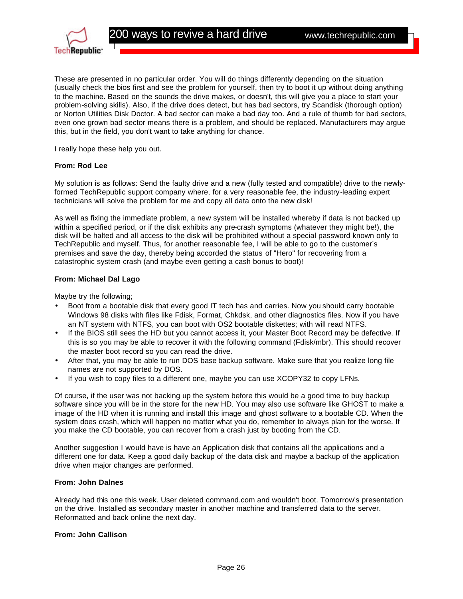

These are presented in no particular order. You will do things differently depending on the situation (usually check the bios first and see the problem for yourself, then try to boot it up without doing anything to the machine. Based on the sounds the drive makes, or doesn't, this will give you a place to start your problem-solving skills). Also, if the drive does detect, but has bad sectors, try Scandisk (thorough option) or Norton Utilities Disk Doctor. A bad sector can make a bad day too. And a rule of thumb for bad sectors, even one grown bad sector means there is a problem, and should be replaced. Manufacturers may argue this, but in the field, you don't want to take anything for chance.

I really hope these help you out.

#### **From: Rod Lee**

My solution is as follows: Send the faulty drive and a new (fully tested and compatible) drive to the newlyformed TechRepublic support company where, for a very reasonable fee, the industry-leading expert technicians will solve the problem for me and copy all data onto the new disk!

As well as fixing the immediate problem, a new system will be installed whereby if data is not backed up within a specified period, or if the disk exhibits any pre-crash symptoms (whatever they might be!), the disk will be halted and all access to the disk will be prohibited without a special password known only to TechRepublic and myself. Thus, for another reasonable fee, I will be able to go to the customer's premises and save the day, thereby being accorded the status of "Hero" for recovering from a catastrophic system crash (and maybe even getting a cash bonus to boot)!

#### **From: Michael Dal Lago**

Maybe try the following;

- Boot from a bootable disk that every good IT tech has and carries. Now you should carry bootable Windows 98 disks with files like Fdisk, Format, Chkdsk, and other diagnostics files. Now if you have an NT system with NTFS, you can boot with OS2 bootable diskettes; with will read NTFS.
- If the BIOS still sees the HD but you cannot access it, your Master Boot Record may be defective. If this is so you may be able to recover it with the following command (Fdisk/mbr). This should recover the master boot record so you can read the drive.
- After that, you may be able to run DOS base backup software. Make sure that you realize long file names are not supported by DOS.
- If you wish to copy files to a different one, maybe you can use XCOPY32 to copy LFNs.

Of course, if the user was not backing up the system before this would be a good time to buy backup software since you will be in the store for the new HD. You may also use software like GHOST to make a image of the HD when it is running and install this image and ghost software to a bootable CD. When the system does crash, which will happen no matter what you do, remember to always plan for the worse. If you make the CD bootable, you can recover from a crash just by booting from the CD.

Another suggestion I would have is have an Application disk that contains all the applications and a different one for data. Keep a good daily backup of the data disk and maybe a backup of the application drive when major changes are performed.

# **From: John Dalnes**

Already had this one this week. User deleted command.com and wouldn't boot. Tomorrow's presentation on the drive. Installed as secondary master in another machine and transferred data to the server. Reformatted and back online the next day.

# **From: John Callison**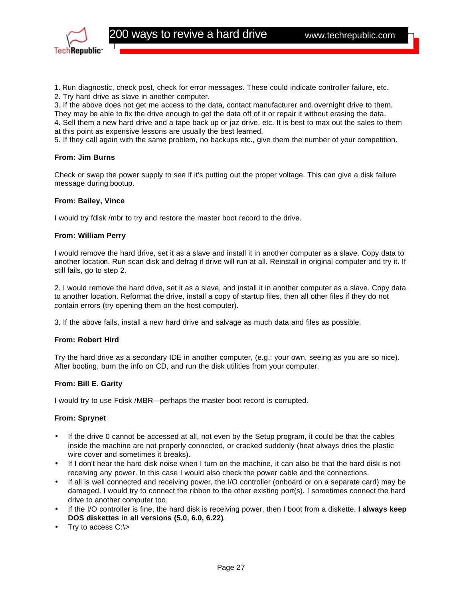

1. Run diagnostic, check post, check for error messages. These could indicate controller failure, etc.

200 ways to revive a hard drive

2. Try hard drive as slave in another computer.

3. If the above does not get me access to the data, contact manufacturer and overnight drive to them.

They may be able to fix the drive enough to get the data off of it or repair it without erasing the data.

4. Sell them a new hard drive and a tape back up or jaz drive, etc. It is best to max out the sales to them at this point as expensive lessons are usually the best learned.

5. If they call again with the same problem, no backups etc., give them the number of your competition.

#### **From: Jim Burns**

Check or swap the power supply to see if it's putting out the proper voltage. This can give a disk failure message during bootup.

#### **From: Bailey, Vince**

I would try fdisk /mbr to try and restore the master boot record to the drive.

#### **From: William Perry**

I would remove the hard drive, set it as a slave and install it in another computer as a slave. Copy data to another location. Run scan disk and defrag if drive will run at all. Reinstall in original computer and try it. If still fails, go to step 2.

2. I would remove the hard drive, set it as a slave, and install it in another computer as a slave. Copy data to another location. Reformat the drive, install a copy of startup files, then all other files if they do not contain errors (try opening them on the host computer).

3. If the above fails, install a new hard drive and salvage as much data and files as possible.

#### **From: Robert Hird**

Try the hard drive as a secondary IDE in another computer, (e.g.: your own, seeing as you are so nice). After booting, burn the info on CD, and run the disk utilities from your computer.

# **From: Bill E. Garity**

I would try to use Fdisk /MBR—perhaps the master boot record is corrupted.

# **From: Sprynet**

- If the drive 0 cannot be accessed at all, not even by the Setup program, it could be that the cables inside the machine are not properly connected, or cracked suddenly (heat always dries the plastic wire cover and sometimes it breaks).
- If I don't hear the hard disk noise when I turn on the machine, it can also be that the hard disk is not receiving any power. In this case I would also check the power cable and the connections.
- If all is well connected and receiving power, the I/O controller (onboard or on a separate card) may be damaged. I would try to connect the ribbon to the other existing port(s). I sometimes connect the hard drive to another computer too.
- If the I/O controller is fine, the hard disk is receiving power, then I boot from a diskette. **I always keep DOS diskettes in all versions (5.0, 6.0, 6.22)**.
- Try to access C:\>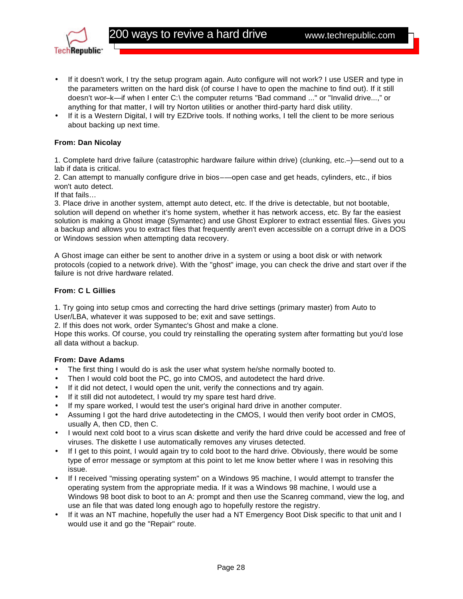

- If it doesn't work, I try the setup program again. Auto configure will not work? I use USER and type in the parameters written on the hard disk (of course I have to open the machine to find out). If it still doesn't wor–k—if when I enter C:\ the computer returns "Bad command ..." or "Invalid drive...," or anything for that matter, I will try Norton utilities or another third-party hard disk utility.
- If it is a Western Digital, I will try EZDrive tools. If nothing works, I tell the client to be more serious about backing up next time.

# **From: Dan Nicolay**

1. Complete hard drive failure (catastrophic hardware failure within drive) (clunking, etc.–)—send out to a lab if data is critical.

2. Can attempt to manually configure drive in bios–—open case and get heads, cylinders, etc., if bios won't auto detect.

If that fails…

3. Place drive in another system, attempt auto detect, etc. If the drive is detectable, but not bootable, solution will depend on whether it's home system, whether it has network access, etc. By far the easiest solution is making a Ghost image (Symantec) and use Ghost Explorer to extract essential files. Gives you a backup and allows you to extract files that frequently aren't even accessible on a corrupt drive in a DOS or Windows session when attempting data recovery.

A Ghost image can either be sent to another drive in a system or using a boot disk or with network protocols (copied to a network drive). With the "ghost" image, you can check the drive and start over if the failure is not drive hardware related.

# **From: C L Gillies**

1. Try going into setup cmos and correcting the hard drive settings (primary master) from Auto to User/LBA, whatever it was supposed to be; exit and save settings.

2. If this does not work, order Symantec's Ghost and make a clone.

Hope this works. Of course, you could try reinstalling the operating system after formatting but you'd lose all data without a backup.

# **From: Dave Adams**

- The first thing I would do is ask the user what system he/she normally booted to.
- Then I would cold boot the PC, go into CMOS, and autodetect the hard drive.
- If it did not detect, I would open the unit, verify the connections and try again.
- If it still did not autodetect, I would try my spare test hard drive.
- If my spare worked, I would test the user's original hard drive in another computer.
- Assuming I got the hard drive autodetecting in the CMOS, I would then verify boot order in CMOS, usually A, then CD, then C.
- I would next cold boot to a virus scan diskette and verify the hard drive could be accessed and free of viruses. The diskette I use automatically removes any viruses detected.
- If I get to this point, I would again try to cold boot to the hard drive. Obviously, there would be some type of error message or symptom at this point to let me know better where I was in resolving this issue.
- If I received "missing operating system" on a Windows 95 machine, I would attempt to transfer the operating system from the appropriate media. If it was a Windows 98 machine, I would use a Windows 98 boot disk to boot to an A: prompt and then use the Scanreg command, view the log, and use an file that was dated long enough ago to hopefully restore the registry.
- If it was an NT machine, hopefully the user had a NT Emergency Boot Disk specific to that unit and I would use it and go the "Repair" route.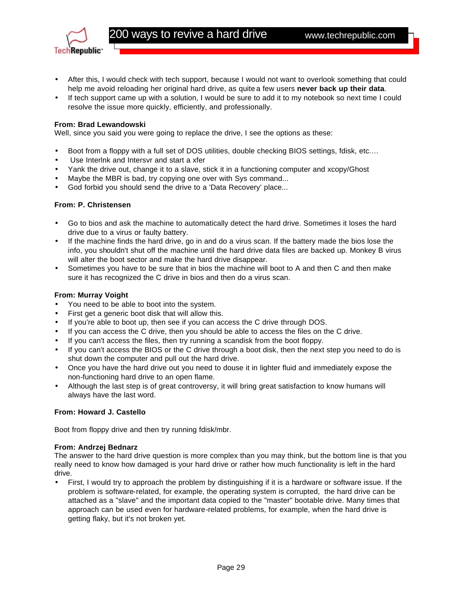

- After this, I would check with tech support, because I would not want to overlook something that could help me avoid reloading her original hard drive, as quite a few users **never back up their data**.
- If tech support came up with a solution, I would be sure to add it to my notebook so next time I could resolve the issue more quickly, efficiently, and professionally.

# **From: Brad Lewandowski**

Well, since you said you were going to replace the drive, I see the options as these:

- Boot from a floppy with a full set of DOS utilities, double checking BIOS settings, fdisk, etc...
- Use Interlnk and Intersvr and start a xfer
- Yank the drive out, change it to a slave, stick it in a functioning computer and xcopy/Ghost
- Maybe the MBR is bad, try copying one over with Sys command...
- God forbid you should send the drive to a 'Data Recovery' place...

#### **From: P. Christensen**

- Go to bios and ask the machine to automatically detect the hard drive. Sometimes it loses the hard drive due to a virus or faulty battery.
- If the machine finds the hard drive, go in and do a virus scan. If the battery made the bios lose the info, you shouldn't shut off the machine until the hard drive data files are backed up. Monkey B virus will alter the boot sector and make the hard drive disappear.
- Sometimes you have to be sure that in bios the machine will boot to A and then C and then make sure it has recognized the C drive in bios and then do a virus scan.

#### **From: Murray Voight**

- You need to be able to boot into the system.
- First get a generic boot disk that will allow this.
- If you're able to boot up, then see if you can access the C drive through DOS.
- If you can access the C drive, then you should be able to access the files on the C drive.
- If you can't access the files, then try running a scandisk from the boot floppy.
- If you can't access the BIOS or the C drive through a boot disk, then the next step you need to do is shut down the computer and pull out the hard drive.
- Once you have the hard drive out you need to douse it in lighter fluid and immediately expose the non-functioning hard drive to an open flame.
- Although the last step is of great controversy, it will bring great satisfaction to know humans will always have the last word.

#### **From: Howard J. Castello**

Boot from floppy drive and then try running fdisk/mbr.

#### **From: Andrzej Bednarz**

The answer to the hard drive question is more complex than you may think, but the bottom line is that you really need to know how damaged is your hard drive or rather how much functionality is left in the hard drive.

• First, I would try to approach the problem by distinguishing if it is a hardware or software issue. If the problem is software-related, for example, the operating system is corrupted, the hard drive can be attached as a "slave" and the important data copied to the "master" bootable drive. Many times that approach can be used even for hardware-related problems, for example, when the hard drive is getting flaky, but it's not broken yet.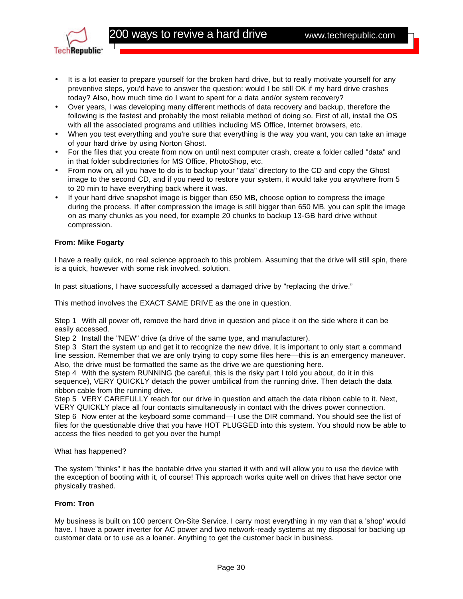

- It is a lot easier to prepare yourself for the broken hard drive, but to really motivate yourself for any preventive steps, you'd have to answer the question: would I be still OK if my hard drive crashes today? Also, how much time do I want to spent for a data and/or system recovery?
- Over years, I was developing many different methods of data recovery and backup, therefore the following is the fastest and probably the most reliable method of doing so. First of all, install the OS with all the associated programs and utilities including MS Office, Internet browsers, etc.
- When you test everything and you're sure that everything is the way you want, you can take an image of your hard drive by using Norton Ghost.
- For the files that you create from now on until next computer crash, create a folder called "data" and in that folder subdirectories for MS Office, PhotoShop, etc.
- From now on, all you have to do is to backup your "data" directory to the CD and copy the Ghost image to the second CD, and if you need to restore your system, it would take you anywhere from 5 to 20 min to have everything back where it was.
- If your hard drive snapshot image is bigger than 650 MB, choose option to compress the image during the process. If after compression the image is still bigger than 650 MB, you can split the image on as many chunks as you need, for example 20 chunks to backup 13-GB hard drive without compression.

# **From: Mike Fogarty**

I have a really quick, no real science approach to this problem. Assuming that the drive will still spin, there is a quick, however with some risk involved, solution.

In past situations, I have successfully accessed a damaged drive by "replacing the drive."

This method involves the EXACT SAME DRIVE as the one in question.

Step 1 With all power off, remove the hard drive in question and place it on the side where it can be easily accessed.

Step 2 Install the "NEW" drive (a drive of the same type, and manufacturer).

Step 3 Start the system up and get it to recognize the new drive. It is important to only start a command line session. Remember that we are only trying to copy some files here—this is an emergency maneuver. Also, the drive must be formatted the same as the drive we are questioning here.

Step 4 With the system RUNNING (be careful, this is the risky part I told you about, do it in this sequence), VERY QUICKLY detach the power umbilical from the running drive. Then detach the data ribbon cable from the running drive.

Step 5 VERY CAREFULLY reach for our drive in question and attach the data ribbon cable to it. Next, VERY QUICKLY place all four contacts simultaneously in contact with the drives power connection.

Step 6 Now enter at the keyboard some command—I use the DIR command. You should see the list of files for the questionable drive that you have HOT PLUGGED into this system. You should now be able to access the files needed to get you over the hump!

What has happened?

The system "thinks" it has the bootable drive you started it with and will allow you to use the device with the exception of booting with it, of course! This approach works quite well on drives that have sector one physically trashed.

# **From: Tron**

My business is built on 100 percent On-Site Service. I carry most everything in my van that a 'shop' would have. I have a power inverter for AC power and two network-ready systems at my disposal for backing up customer data or to use as a loaner. Anything to get the customer back in business.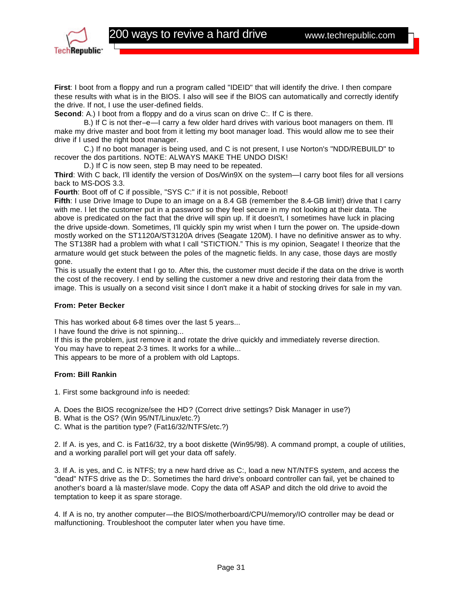

**First**: I boot from a floppy and run a program called "IDEID" that will identify the drive. I then compare these results with what is in the BIOS. I also will see if the BIOS can automatically and correctly identify the drive. If not, I use the user-defined fields.

**Second:** A.) I boot from a floppy and do a virus scan on drive C:. If C is there.

 B.) If C is not ther–e—I carry a few older hard drives with various boot managers on them. I'll make my drive master and boot from it letting my boot manager load. This would allow me to see their drive if I used the right boot manager.

 C.) If no boot manager is being used, and C is not present, I use Norton's "NDD/REBUILD" to recover the dos partitions. NOTE: ALWAYS MAKE THE UNDO DISK!

D.) If C is now seen, step B may need to be repeated.

Third: With C back, I'll identify the version of Dos/Win9X on the system-I carry boot files for all versions back to MS-DOS 3.3.

**Fourth**: Boot off of C if possible, "SYS C:" if it is not possible, Reboot!

**Fifth**: I use Drive Image to Dupe to an image on a 8.4 GB (remember the 8.4-GB limit!) drive that I carry with me. I let the customer put in a password so they feel secure in my not looking at their data. The above is predicated on the fact that the drive will spin up. If it doesn't, I sometimes have luck in placing the drive upside-down. Sometimes, I'll quickly spin my wrist when I turn the power on. The upside-down mostly worked on the ST1120A/ST3120A drives (Seagate 120M). I have no definitive answer as to why. The ST138R had a problem with what I call "STICTION." This is my opinion, Seagate! I theorize that the armature would get stuck between the poles of the magnetic fields. In any case, those days are mostly gone.

This is usually the extent that I go to. After this, the customer must decide if the data on the drive is worth the cost of the recovery. I end by selling the customer a new drive and restoring their data from the image. This is usually on a second visit since I don't make it a habit of stocking drives for sale in my van.

# **From: Peter Becker**

This has worked about 6-8 times over the last 5 years...

I have found the drive is not spinning...

If this is the problem, just remove it and rotate the drive quickly and immediately reverse direction.

You may have to repeat 2-3 times. It works for a while...

This appears to be more of a problem with old Laptops.

# **From: Bill Rankin**

1. First some background info is needed:

A. Does the BIOS recognize/see the HD? (Correct drive settings? Disk Manager in use?)

- B. What is the OS? (Win 95/NT/Linux/etc.?)
- C. What is the partition type? (Fat16/32/NTFS/etc.?)

2. If A. is yes, and C. is Fat16/32, try a boot diskette (Win95/98). A command prompt, a couple of utilities, and a working parallel port will get your data off safely.

3. If A. is yes, and C. is NTFS; try a new hard drive as C:, load a new NT/NTFS system, and access the "dead" NTFS drive as the D:. Sometimes the hard drive's onboard controller can fail, yet be chained to another's board a là master/slave mode. Copy the data off ASAP and ditch the old drive to avoid the temptation to keep it as spare storage.

4. If A is no, try another computer—the BIOS/motherboard/CPU/memory/IO controller may be dead or malfunctioning. Troubleshoot the computer later when you have time.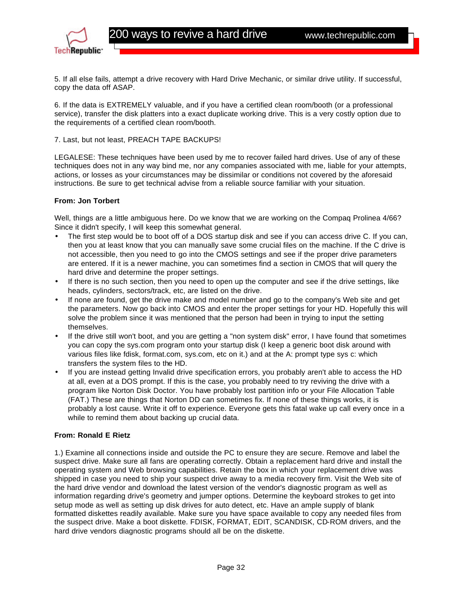

5. If all else fails, attempt a drive recovery with Hard Drive Mechanic, or similar drive utility. If successful, copy the data off ASAP.

6. If the data is EXTREMELY valuable, and if you have a certified clean room/booth (or a professional service), transfer the disk platters into a exact duplicate working drive. This is a very costly option due to the requirements of a certified clean room/booth.

# 7. Last, but not least, PREACH TAPE BACKUPS!

LEGALESE: These techniques have been used by me to recover failed hard drives. Use of any of these techniques does not in any way bind me, nor any companies associated with me, liable for your attempts, actions, or losses as your circumstances may be dissimilar or conditions not covered by the aforesaid instructions. Be sure to get technical advise from a reliable source familiar with your situation.

# **From: Jon Torbert**

Well, things are a little ambiguous here. Do we know that we are working on the Compaq Prolinea 4/66? Since it didn't specify, I will keep this somewhat general.

- The first step would be to boot off of a DOS startup disk and see if you can access drive C. If you can, then you at least know that you can manually save some crucial files on the machine. If the C drive is not accessible, then you need to go into the CMOS settings and see if the proper drive parameters are entered. If it is a newer machine, you can sometimes find a section in CMOS that will query the hard drive and determine the proper settings.
- If there is no such section, then you need to open up the computer and see if the drive settings, like heads, cylinders, sectors/track, etc, are listed on the drive.
- If none are found, get the drive make and model number and go to the company's Web site and get the parameters. Now go back into CMOS and enter the proper settings for your HD. Hopefully this will solve the problem since it was mentioned that the person had been in trying to input the setting themselves.
- If the drive still won't boot, and you are getting a "non system disk" error, I have found that sometimes you can copy the sys.com program onto your startup disk (I keep a generic boot disk around with various files like fdisk, format.com, sys.com, etc on it.) and at the A: prompt type sys c: which transfers the system files to the HD.
- If you are instead getting Invalid drive specification errors, you probably aren't able to access the HD at all, even at a DOS prompt. If this is the case, you probably need to try reviving the drive with a program like Norton Disk Doctor. You have probably lost partition info or your File Allocation Table (FAT.) These are things that Norton DD can sometimes fix. If none of these things works, it is probably a lost cause. Write it off to experience. Everyone gets this fatal wake up call every once in a while to remind them about backing up crucial data.

# **From: Ronald E Rietz**

1.) Examine all connections inside and outside the PC to ensure they are secure. Remove and label the suspect drive. Make sure all fans are operating correctly. Obtain a replacement hard drive and install the operating system and Web browsing capabilities. Retain the box in which your replacement drive was shipped in case you need to ship your suspect drive away to a media recovery firm. Visit the Web site of the hard drive vendor and download the latest version of the vendor's diagnostic program as well as information regarding drive's geometry and jumper options. Determine the keyboard strokes to get into setup mode as well as setting up disk drives for auto detect, etc. Have an ample supply of blank formatted diskettes readily available. Make sure you have space available to copy any needed files from the suspect drive. Make a boot diskette. FDISK, FORMAT, EDIT, SCANDISK, CD-ROM drivers, and the hard drive vendors diagnostic programs should all be on the diskette.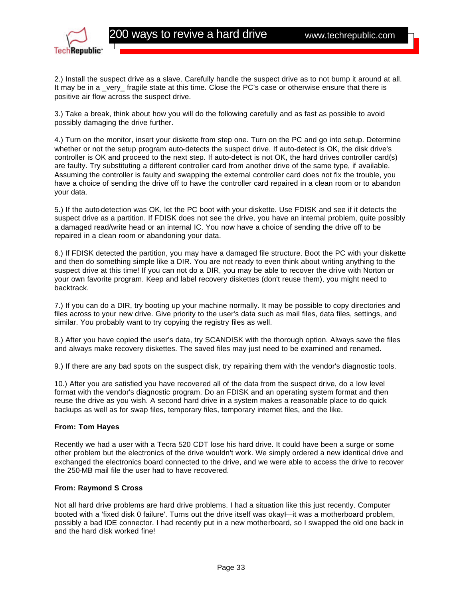

2.) Install the suspect drive as a slave. Carefully handle the suspect drive as to not bump it around at all. It may be in a very fragile state at this time. Close the PC's case or otherwise ensure that there is positive air flow across the suspect drive.

3.) Take a break, think about how you will do the following carefully and as fast as possible to avoid possibly damaging the drive further.

4.) Turn on the monitor, insert your diskette from step one. Turn on the PC and go into setup. Determine whether or not the setup program auto-detects the suspect drive. If auto-detect is OK, the disk drive's controller is OK and proceed to the next step. If auto-detect is not OK, the hard drives controller card(s) are faulty. Try substituting a different controller card from another drive of the same type, if available. Assuming the controller is faulty and swapping the external controller card does not fix the trouble, you have a choice of sending the drive off to have the controller card repaired in a clean room or to abandon your data.

5.) If the auto-detection was OK, let the PC boot with your diskette. Use FDISK and see if it detects the suspect drive as a partition. If FDISK does not see the drive, you have an internal problem, quite possibly a damaged read/write head or an internal IC. You now have a choice of sending the drive off to be repaired in a clean room or abandoning your data.

6.) If FDISK detected the partition, you may have a damaged file structure. Boot the PC with your diskette and then do something simple like a DIR. You are not ready to even think about writing anything to the suspect drive at this time! If you can not do a DIR, you may be able to recover the drive with Norton or your own favorite program. Keep and label recovery diskettes (don't reuse them), you might need to backtrack.

7.) If you can do a DIR, try booting up your machine normally. It may be possible to copy directories and files across to your new drive. Give priority to the user's data such as mail files, data files, settings, and similar. You probably want to try copying the registry files as well.

8.) After you have copied the user's data, try SCANDISK with the thorough option. Always save the files and always make recovery diskettes. The saved files may just need to be examined and renamed.

9.) If there are any bad spots on the suspect disk, try repairing them with the vendor's diagnostic tools.

10.) After you are satisfied you have recovered all of the data from the suspect drive, do a low level format with the vendor's diagnostic program. Do an FDISK and an operating system format and then reuse the drive as you wish. A second hard drive in a system makes a reasonable place to do quick backups as well as for swap files, temporary files, temporary internet files, and the like.

# **From: Tom Hayes**

Recently we had a user with a Tecra 520 CDT lose his hard drive. It could have been a surge or some other problem but the electronics of the drive wouldn't work. We simply ordered a new identical drive and exchanged the electronics board connected to the drive, and we were able to access the drive to recover the 250-MB mail file the user had to have recovered.

#### **From: Raymond S Cross**

Not all hard drive problems are hard drive problems. I had a situation like this just recently. Computer booted with a 'fixed disk 0 failure'. Turns out the drive itself was okayI—it was a motherboard problem, possibly a bad IDE connector. I had recently put in a new motherboard, so I swapped the old one back in and the hard disk worked fine!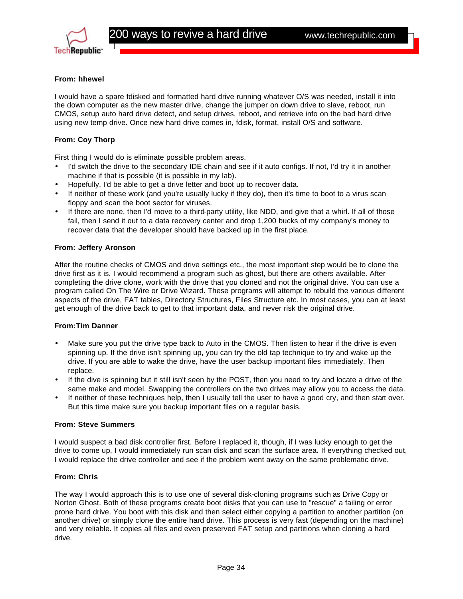# **From: hhewel**

I would have a spare fdisked and formatted hard drive running whatever O/S was needed, install it into the down computer as the new master drive, change the jumper on down drive to slave, reboot, run CMOS, setup auto hard drive detect, and setup drives, reboot, and retrieve info on the bad hard drive using new temp drive. Once new hard drive comes in, fdisk, format, install O/S and software.

# **From: Coy Thorp**

First thing I would do is eliminate possible problem areas.

- I'd switch the drive to the secondary IDE chain and see if it auto configs. If not, I'd try it in another machine if that is possible (it is possible in my lab).
- Hopefully, I'd be able to get a drive letter and boot up to recover data.
- If neither of these work (and you're usually lucky if they do), then it's time to boot to a virus scan floppy and scan the boot sector for viruses.
- If there are none, then I'd move to a third-party utility, like NDD, and give that a whirl. If all of those fail, then I send it out to a data recovery center and drop 1,200 bucks of my company's money to recover data that the developer should have backed up in the first place.

#### **From: Jeffery Aronson**

After the routine checks of CMOS and drive settings etc., the most important step would be to clone the drive first as it is. I would recommend a program such as ghost, but there are others available. After completing the drive clone, work with the drive that you cloned and not the original drive. You can use a program called On The Wire or Drive Wizard. These programs will attempt to rebuild the various different aspects of the drive, FAT tables, Directory Structures, Files Structure etc. In most cases, you can at least get enough of the drive back to get to that important data, and never risk the original drive.

#### **From:Tim Danner**

- Make sure you put the drive type back to Auto in the CMOS. Then listen to hear if the drive is even spinning up. If the drive isn't spinning up, you can try the old tap technique to try and wake up the drive. If you are able to wake the drive, have the user backup important files immediately. Then replace.
- If the dive is spinning but it still isn't seen by the POST, then you need to try and locate a drive of the same make and model. Swapping the controllers on the two drives may allow you to access the data.
- If neither of these techniques help, then I usually tell the user to have a good cry, and then start over. But this time make sure you backup important files on a regular basis.

# **From: Steve Summers**

I would suspect a bad disk controller first. Before I replaced it, though, if I was lucky enough to get the drive to come up, I would immediately run scan disk and scan the surface area. If everything checked out, I would replace the drive controller and see if the problem went away on the same problematic drive.

# **From: Chris**

The way I would approach this is to use one of several disk-cloning programs such as Drive Copy or Norton Ghost. Both of these programs create boot disks that you can use to "rescue" a failing or error prone hard drive. You boot with this disk and then select either copying a partition to another partition (on another drive) or simply clone the entire hard drive. This process is very fast (depending on the machine) and very reliable. It copies all files and even preserved FAT setup and partitions when cloning a hard drive.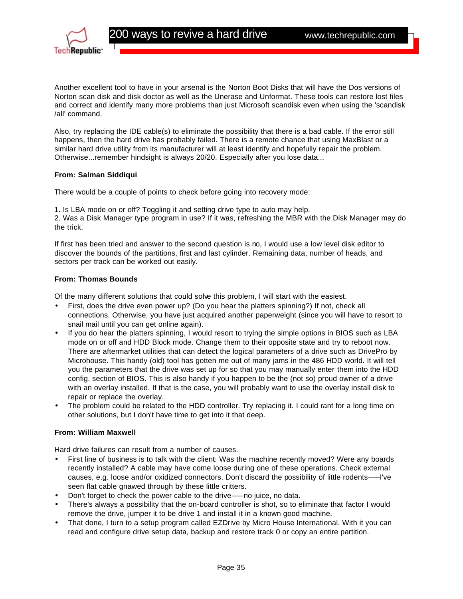

Another excellent tool to have in your arsenal is the Norton Boot Disks that will have the Dos versions of Norton scan disk and disk doctor as well as the Unerase and Unformat. These tools can restore lost files and correct and identify many more problems than just Microsoft scandisk even when using the 'scandisk /all' command.

Also, try replacing the IDE cable(s) to eliminate the possibility that there is a bad cable. If the error still happens, then the hard drive has probably failed. There is a remote chance that using MaxBlast or a similar hard drive utility from its manufacturer will at least identify and hopefully repair the problem. Otherwise...remember hindsight is always 20/20. Especially after you lose data...

#### **From: Salman Siddiqui**

There would be a couple of points to check before going into recovery mode:

1. Is LBA mode on or off? Toggling it and setting drive type to auto may help.

2. Was a Disk Manager type program in use? If it was, refreshing the MBR with the Disk Manager may do the trick.

If first has been tried and answer to the second question is no, I would use a low level disk editor to discover the bounds of the partitions, first and last cylinder. Remaining data, number of heads, and sectors per track can be worked out easily.

#### **From: Thomas Bounds**

Of the many different solutions that could solve this problem, I will start with the easiest.

- First, does the drive even power up? (Do you hear the platters spinning?) If not, check all connections. Otherwise, you have just acquired another paperweight (since you will have to resort to snail mail until you can get online again).
- If you do hear the platters spinning, I would resort to trying the simple options in BIOS such as LBA mode on or off and HDD Block mode. Change them to their opposite state and try to reboot now. There are aftermarket utilities that can detect the logical parameters of a drive such as DrivePro by Microhouse. This handy (old) tool has gotten me out of many jams in the 486 HDD world. It will tell you the parameters that the drive was set up for so that you may manually enter them into the HDD config. section of BIOS. This is also handy if you happen to be the (not so) proud owner of a drive with an overlay installed. If that is the case, you will probably want to use the overlay install disk to repair or replace the overlay.
- The problem could be related to the HDD controller. Try replacing it. I could rant for a long time on other solutions, but I don't have time to get into it that deep.

# **From: William Maxwell**

Hard drive failures can result from a number of causes.

- First line of business is to talk with the client: Was the machine recently moved? Were any boards recently installed? A cable may have come loose during one of these operations. Check external causes, e.g. loose and/or oxidized connectors. Don't discard the possibility of little rodents–—I've seen flat cable gnawed through by these little critters.
- Don't forget to check the power cable to the drive–—no juice, no data.
- There's always a possibility that the on-board controller is shot, so to eliminate that factor I would remove the drive, jumper it to be drive 1 and install it in a known good machine.
- That done, I turn to a setup program called EZDrive by Micro House International. With it you can read and configure drive setup data, backup and restore track 0 or copy an entire partition.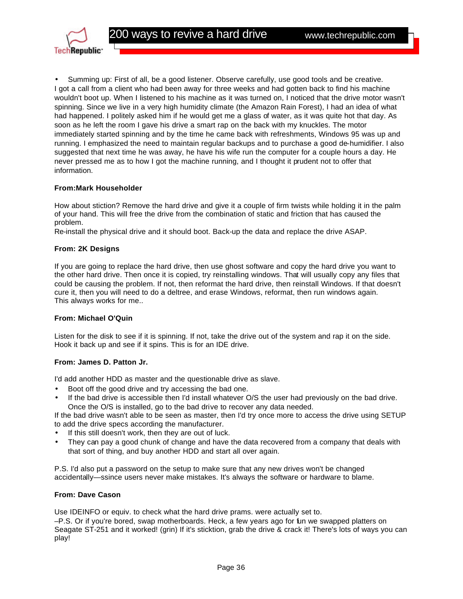

• Summing up: First of all, be a good listener. Observe carefully, use good tools and be creative. I got a call from a client who had been away for three weeks and had gotten back to find his machine wouldn't boot up. When I listened to his machine as it was turned on, I noticed that the drive motor wasn't spinning. Since we live in a very high humidity climate (the Amazon Rain Forest), I had an idea of what had happened. I politely asked him if he would get me a glass of water, as it was quite hot that day. As soon as he left the room I gave his drive a smart rap on the back with my knuckles. The motor immediately started spinning and by the time he came back with refreshments, Windows 95 was up and running. I emphasized the need to maintain regular backups and to purchase a good de-humidifier. I also suggested that next time he was away, he have his wife run the computer for a couple hours a day. He never pressed me as to how I got the machine running, and I thought it prudent not to offer that information.

# **From:Mark Householder**

How about stiction? Remove the hard drive and give it a couple of firm twists while holding it in the palm of your hand. This will free the drive from the combination of static and friction that has caused the problem.

Re-install the physical drive and it should boot. Back-up the data and replace the drive ASAP.

#### **From: 2K Designs**

If you are going to replace the hard drive, then use ghost software and copy the hard drive you want to the other hard drive. Then once it is copied, try reinstalling windows. That will usually copy any files that could be causing the problem. If not, then reformat the hard drive, then reinstall Windows. If that doesn't cure it, then you will need to do a deltree, and erase Windows, reformat, then run windows again. This always works for me..

#### **From: Michael O'Quin**

Listen for the disk to see if it is spinning. If not, take the drive out of the system and rap it on the side. Hook it back up and see if it spins. This is for an IDE drive.

#### **From: James D. Patton Jr.**

I'd add another HDD as master and the questionable drive as slave.

- Boot off the good drive and try accessing the bad one.
- If the bad drive is accessible then I'd install whatever O/S the user had previously on the bad drive. Once the O/S is installed, go to the bad drive to recover any data needed.

If the bad drive wasn't able to be seen as master, then I'd try once more to access the drive using SETUP to add the drive specs according the manufacturer.

- If this still doesn't work, then they are out of luck.
- They can pay a good chunk of change and have the data recovered from a company that deals with that sort of thing, and buy another HDD and start all over again.

P.S. I'd also put a password on the setup to make sure that any new drives won't be changed accidentally—ssince users never make mistakes. It's always the software or hardware to blame.

#### **From: Dave Cason**

Use IDEINFO or equiv. to check what the hard drive prams. were actually set to.

–P.S. Or if you're bored, swap motherboards. Heck, a few years ago for fun we swapped platters on Seagate ST-251 and it worked! (grin) If it's sticktion, grab the drive & crack it! There's lots of ways you can play!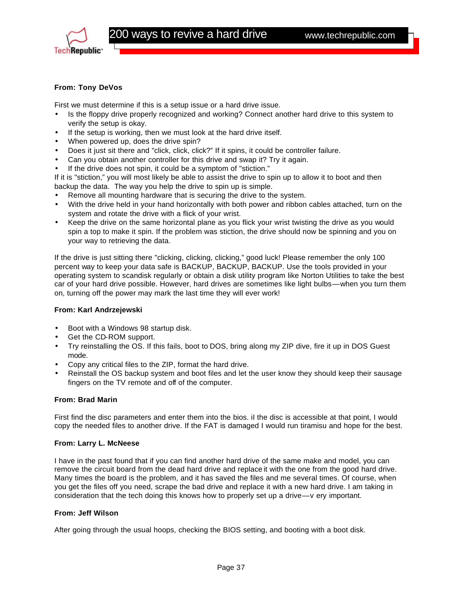

## **From: Tony DeVos**

First we must determine if this is a setup issue or a hard drive issue.

- Is the floppy drive properly recognized and working? Connect another hard drive to this system to verify the setup is okay.
- If the setup is working, then we must look at the hard drive itself.
- When powered up, does the drive spin?
- Does it just sit there and "click, click, click?" If it spins, it could be controller failure.
- Can you obtain another controller for this drive and swap it? Try it again.
- If the drive does not spin, it could be a symptom of "stiction."

If it is "stiction," you will most likely be able to assist the drive to spin up to allow it to boot and then backup the data. The way you help the drive to spin up is simple.

- Remove all mounting hardware that is securing the drive to the system.
- With the drive held in your hand horizontally with both power and ribbon cables attached, turn on the system and rotate the drive with a flick of your wrist.
- Keep the drive on the same horizontal plane as you flick your wrist twisting the drive as you would spin a top to make it spin. If the problem was stiction, the drive should now be spinning and you on your way to retrieving the data.

If the drive is just sitting there "clicking, clicking, clicking," good luck! Please remember the only 100 percent way to keep your data safe is BACKUP, BACKUP, BACKUP. Use the tools provided in your operating system to scandisk regularly or obtain a disk utility program like Norton Utilities to take the best car of your hard drive possible. However, hard drives are sometimes like light bulbs—when you turn them on, turning off the power may mark the last time they will ever work!

## **From: Karl Andrzejewski**

- Boot with a Windows 98 startup disk.
- Get the CD-ROM support.
- Try reinstalling the OS. If this fails, boot to DOS, bring along my ZIP dive, fire it up in DOS Guest mode.
- Copy any critical files to the ZIP, format the hard drive.
- Reinstall the OS backup system and boot files and let the user know they should keep their sausage fingers on the TV remote and off of the computer.

## **From: Brad Marin**

First find the disc parameters and enter them into the bios. iI the disc is accessible at that point, I would copy the needed files to another drive. If the FAT is damaged I would run tiramisu and hope for the best.

## **From: Larry L. McNeese**

I have in the past found that if you can find another hard drive of the same make and model, you can remove the circuit board from the dead hard drive and replace it with the one from the good hard drive. Many times the board is the problem, and it has saved the files and me several times. Of course, when you get the files off you need, scrape the bad drive and replace it with a new hard drive. I am taking in consideration that the tech doing this knows how to properly set up a drive—v ery important.

## **From: Jeff Wilson**

After going through the usual hoops, checking the BIOS setting, and booting with a boot disk.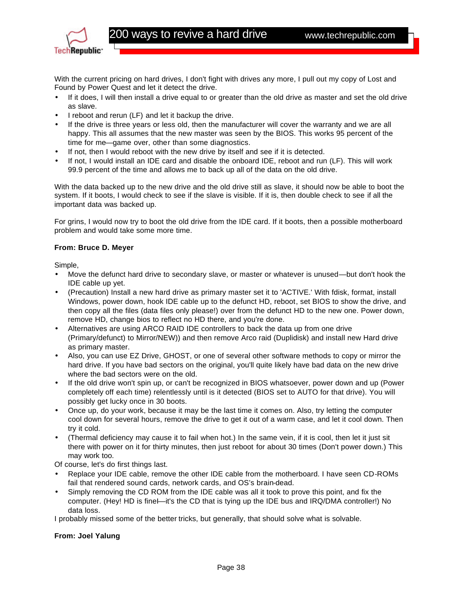

With the current pricing on hard drives, I don't fight with drives any more, I pull out my copy of Lost and Found by Power Quest and let it detect the drive.

- If it does, I will then install a drive equal to or greater than the old drive as master and set the old drive as slave.
- I reboot and rerun (LF) and let it backup the drive.
- If the drive is three years or less old, then the manufacturer will cover the warranty and we are all happy. This all assumes that the new master was seen by the BIOS. This works 95 percent of the time for me—game over, other than some diagnostics.
- If not, then I would reboot with the new drive by itself and see if it is detected.

200 ways to revive a hard drive

• If not, I would install an IDE card and disable the onboard IDE, reboot and run (LF). This will work 99.9 percent of the time and allows me to back up all of the data on the old drive.

With the data backed up to the new drive and the old drive still as slave, it should now be able to boot the system. If it boots, I would check to see if the slave is visible. If it is, then double check to see if all the important data was backed up.

For grins, I would now try to boot the old drive from the IDE card. If it boots, then a possible motherboard problem and would take some more time.

## **From: Bruce D. Meyer**

Simple,

- Move the defunct hard drive to secondary slave, or master or whatever is unused—but don't hook the IDE cable up yet.
- (Precaution) Install a new hard drive as primary master set it to 'ACTIVE.' With fdisk, format, install Windows, power down, hook IDE cable up to the defunct HD, reboot, set BIOS to show the drive, and then copy all the files (data files only please!) over from the defunct HD to the new one. Power down, remove HD, change bios to reflect no HD there, and you're done.
- Alternatives are using ARCO RAID IDE controllers to back the data up from one drive (Primary/defunct) to Mirror/NEW)) and then remove Arco raid (Duplidisk) and install new Hard drive as primary master.
- Also, you can use EZ Drive, GHOST, or one of several other software methods to copy or mirror the hard drive. If you have bad sectors on the original, you'll quite likely have bad data on the new drive where the bad sectors were on the old.
- If the old drive won't spin up, or can't be recognized in BIOS whatsoever, power down and up (Power completely off each time) relentlessly until is it detected (BIOS set to AUTO for that drive). You will possibly get lucky once in 30 boots.
- Once up, do your work, because it may be the last time it comes on. Also, try letting the computer cool down for several hours, remove the drive to get it out of a warm case, and let it cool down. Then try it cold.
- (Thermal deficiency may cause it to fail when hot.) In the same vein, if it is cool, then let it just sit there with power on it for thirty minutes, then just reboot for about 30 times (Don't power down.) This may work too.

Of course, let's do first things last.

- Replace your IDE cable, remove the other IDE cable from the motherboard. I have seen CD-ROMs fail that rendered sound cards, network cards, and OS's brain-dead.
- Simply removing the CD ROM from the IDE cable was all it took to prove this point, and fix the computer. (Hey! HD is fineI—it's the CD that is tying up the IDE bus and IRQ/DMA controller!) No data loss.

I probably missed some of the better tricks, but generally, that should solve what is solvable.

## **From: Joel Yalung**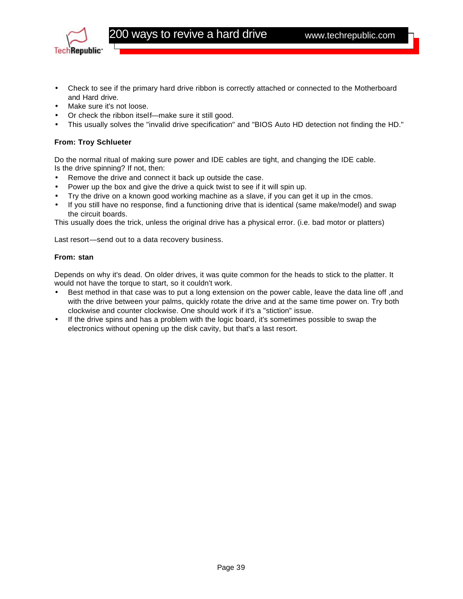

- Check to see if the primary hard drive ribbon is correctly attached or connected to the Motherboard and Hard drive.
- Make sure it's not loose.
- Or check the ribbon itself—make sure it still good.
- This usually solves the "invalid drive specification" and "BIOS Auto HD detection not finding the HD."

## **From: Troy Schlueter**

Do the normal ritual of making sure power and IDE cables are tight, and changing the IDE cable. Is the drive spinning? If not, then:

- Remove the drive and connect it back up outside the case.
- Power up the box and give the drive a quick twist to see if it will spin up.

200 ways to revive a hard drive

- Try the drive on a known good working machine as a slave, if you can get it up in the cmos.
- If you still have no response, find a functioning drive that is identical (same make/model) and swap the circuit boards.

This usually does the trick, unless the original drive has a physical error. (i.e. bad motor or platters)

Last resort—send out to a data recovery business.

### **From: stan**

Depends on why it's dead. On older drives, it was quite common for the heads to stick to the platter. It would not have the torque to start, so it couldn't work.

- Best method in that case was to put a long extension on the power cable, leave the data line off ,and with the drive between your palms, quickly rotate the drive and at the same time power on. Try both clockwise and counter clockwise. One should work if it's a "stiction" issue.
- If the drive spins and has a problem with the logic board, it's sometimes possible to swap the electronics without opening up the disk cavity, but that's a last resort.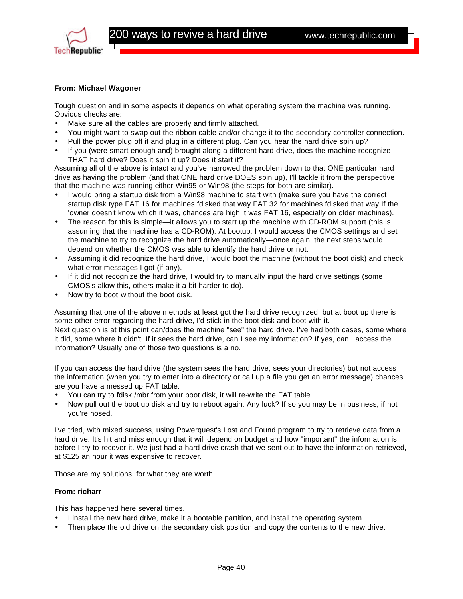

### **From: Michael Wagoner**

Tough question and in some aspects it depends on what operating system the machine was running. Obvious checks are:

- Make sure all the cables are properly and firmly attached.
- You might want to swap out the ribbon cable and/or change it to the secondary controller connection.
- Pull the power plug off it and plug in a different plug. Can you hear the hard drive spin up?
- If you (were smart enough and) brought along a different hard drive, does the machine recognize THAT hard drive? Does it spin it up? Does it start it?

Assuming all of the above is intact and you've narrowed the problem down to that ONE particular hard drive as having the problem (and that ONE hard drive DOES spin up), I'll tackle it from the perspective that the machine was running either Win95 or Win98 (the steps for both are similar).

- I would bring a startup disk from a Win98 machine to start with (make sure you have the correct startup disk type FAT 16 for machines fdisked that way FAT 32 for machines fdisked that way If the 'owner doesn't know which it was, chances are high it was FAT 16, especially on older machines).
- The reason for this is simple—it allows you to start up the machine with CD-ROM support (this is assuming that the machine has a CD-ROM). At bootup, I would access the CMOS settings and set the machine to try to recognize the hard drive automatically—once again, the next steps would depend on whether the CMOS was able to identify the hard drive or not.
- Assuming it did recognize the hard drive, I would boot the machine (without the boot disk) and check what error messages I got (if any).
- If it did not recognize the hard drive, I would try to manually input the hard drive settings (some CMOS's allow this, others make it a bit harder to do).
- Now try to boot without the boot disk.

Assuming that one of the above methods at least got the hard drive recognized, but at boot up there is some other error regarding the hard drive, I'd stick in the boot disk and boot with it. Next question is at this point can/does the machine "see" the hard drive. I've had both cases, some where it did, some where it didn't. If it sees the hard drive, can I see my information? If yes, can I access the information? Usually one of those two questions is a no.

If you can access the hard drive (the system sees the hard drive, sees your directories) but not access the information (when you try to enter into a directory or call up a file you get an error message) chances are you have a messed up FAT table.

- You can try to fdisk /mbr from your boot disk, it will re-write the FAT table.
- Now pull out the boot up disk and try to reboot again. Any luck? If so you may be in business, if not you're hosed.

I've tried, with mixed success, using Powerquest's Lost and Found program to try to retrieve data from a hard drive. It's hit and miss enough that it will depend on budget and how "important" the information is before I try to recover it. We just had a hard drive crash that we sent out to have the information retrieved, at \$125 an hour it was expensive to recover.

Those are my solutions, for what they are worth.

## **From: richarr**

This has happened here several times.

- I install the new hard drive, make it a bootable partition, and install the operating system.
- Then place the old drive on the secondary disk position and copy the contents to the new drive.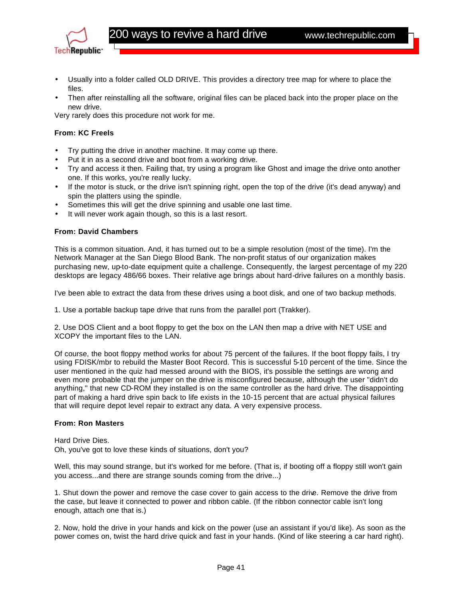

- Usually into a folder called OLD DRIVE. This provides a directory tree map for where to place the files.
- Then after reinstalling all the software, original files can be placed back into the proper place on the new drive.

Very rarely does this procedure not work for me.

# **From: KC Freels**

- Try putting the drive in another machine. It may come up there.
- Put it in as a second drive and boot from a working drive.
- Try and access it then. Failing that, try using a program like Ghost and image the drive onto another one. If this works, you're really lucky.
- If the motor is stuck, or the drive isn't spinning right, open the top of the drive (it's dead anyway) and spin the platters using the spindle.
- Sometimes this will get the drive spinning and usable one last time.
- It will never work again though, so this is a last resort.

# **From: David Chambers**

This is a common situation. And, it has turned out to be a simple resolution (most of the time). I'm the Network Manager at the San Diego Blood Bank. The non-profit status of our organization makes purchasing new, up-to-date equipment quite a challenge. Consequently, the largest percentage of my 220 desktops are legacy 486/66 boxes. Their relative age brings about hard-drive failures on a monthly basis.

I've been able to extract the data from these drives using a boot disk, and one of two backup methods.

1. Use a portable backup tape drive that runs from the parallel port (Trakker).

2. Use DOS Client and a boot floppy to get the box on the LAN then map a drive with NET USE and XCOPY the important files to the LAN.

Of course, the boot floppy method works for about 75 percent of the failures. If the boot floppy fails, I try using FDISK/mbr to rebuild the Master Boot Record. This is successful 5-10 percent of the time. Since the user mentioned in the quiz had messed around with the BIOS, it's possible the settings are wrong and even more probable that the jumper on the drive is misconfigured because, although the user "didn't do anything," that new CD-ROM they installed is on the same controller as the hard drive. The disappointing part of making a hard drive spin back to life exists in the 10-15 percent that are actual physical failures that will require depot level repair to extract any data. A very expensive process.

## **From: Ron Masters**

Hard Drive Dies. Oh, you've got to love these kinds of situations, don't you?

Well, this may sound strange, but it's worked for me before. (That is, if booting off a floppy still won't gain you access...and there are strange sounds coming from the drive...)

1. Shut down the power and remove the case cover to gain access to the drive. Remove the drive from the case, but leave it connected to power and ribbon cable. (If the ribbon connector cable isn't long enough, attach one that is.)

2. Now, hold the drive in your hands and kick on the power (use an assistant if you'd like). As soon as the power comes on, twist the hard drive quick and fast in your hands. (Kind of like steering a car hard right).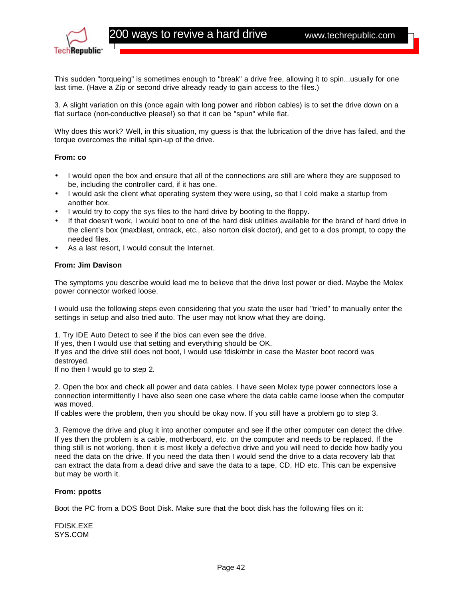

This sudden "torqueing" is sometimes enough to "break" a drive free, allowing it to spin...usually for one last time. (Have a Zip or second drive already ready to gain access to the files.)

3. A slight variation on this (once again with long power and ribbon cables) is to set the drive down on a flat surface (non-conductive please!) so that it can be "spun" while flat.

Why does this work? Well, in this situation, my guess is that the lubrication of the drive has failed, and the torque overcomes the initial spin-up of the drive.

### **From: co**

- I would open the box and ensure that all of the connections are still are where they are supposed to be, including the controller card, if it has one.
- I would ask the client what operating system they were using, so that I cold make a startup from another box.
- I would try to copy the sys files to the hard drive by booting to the floppy.

200 ways to revive a hard drive

- If that doesn't work, I would boot to one of the hard disk utilities available for the brand of hard drive in the client's box (maxblast, ontrack, etc., also norton disk doctor), and get to a dos prompt, to copy the needed files.
- As a last resort, I would consult the Internet.

### **From: Jim Davison**

The symptoms you describe would lead me to believe that the drive lost power or died. Maybe the Molex power connector worked loose.

I would use the following steps even considering that you state the user had "tried" to manually enter the settings in setup and also tried auto. The user may not know what they are doing.

1. Try IDE Auto Detect to see if the bios can even see the drive.

If yes, then I would use that setting and everything should be OK.

If yes and the drive still does not boot, I would use fdisk/mbr in case the Master boot record was destroyed.

If no then I would go to step 2.

2. Open the box and check all power and data cables. I have seen Molex type power connectors lose a connection intermittently I have also seen one case where the data cable came loose when the computer was moved.

If cables were the problem, then you should be okay now. If you still have a problem go to step 3.

3. Remove the drive and plug it into another computer and see if the other computer can detect the drive. If yes then the problem is a cable, motherboard, etc. on the computer and needs to be replaced. If the thing still is not working, then it is most likely a defective drive and you will need to decide how badly you need the data on the drive. If you need the data then I would send the drive to a data recovery lab that can extract the data from a dead drive and save the data to a tape, CD, HD etc. This can be expensive but may be worth it.

### **From: ppotts**

Boot the PC from a DOS Boot Disk. Make sure that the boot disk has the following files on it:

FDISK.EXE SYS.COM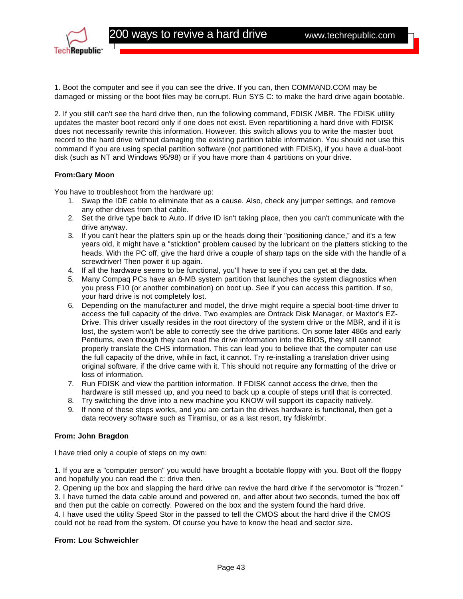

1. Boot the computer and see if you can see the drive. If you can, then COMMAND.COM may be damaged or missing or the boot files may be corrupt. Run SYS C: to make the hard drive again bootable.

200 ways to revive a hard drive

2. If you still can't see the hard drive then, run the following command, FDISK /MBR. The FDISK utility updates the master boot record only if one does not exist. Even repartitioning a hard drive with FDISK does not necessarily rewrite this information. However, this switch allows you to write the master boot record to the hard drive without damaging the existing partition table information. You should not use this command if you are using special partition software (not partitioned with FDISK), if you have a dual-boot disk (such as NT and Windows 95/98) or if you have more than 4 partitions on your drive.

### **From:Gary Moon**

You have to troubleshoot from the hardware up:

- 1. Swap the IDE cable to eliminate that as a cause. Also, check any jumper settings, and remove any other drives from that cable.
- 2. Set the drive type back to Auto. If drive ID isn't taking place, then you can't communicate with the drive anyway.
- 3. If you can't hear the platters spin up or the heads doing their "positioning dance," and it's a few years old, it might have a "sticktion" problem caused by the lubricant on the platters sticking to the heads. With the PC off, give the hard drive a couple of sharp taps on the side with the handle of a screwdriver! Then power it up again.
- 4. If all the hardware seems to be functional, you'll have to see if you can get at the data.
- 5. Many Compaq PCs have an 8-MB system partition that launches the system diagnostics when you press F10 (or another combination) on boot up. See if you can access this partition. If so, your hard drive is not completely lost.
- 6. Depending on the manufacturer and model, the drive might require a special boot-time driver to access the full capacity of the drive. Two examples are Ontrack Disk Manager, or Maxtor's EZ-Drive. This driver usually resides in the root directory of the system drive or the MBR, and if it is lost, the system won't be able to correctly see the drive partitions. On some later 486s and early Pentiums, even though they can read the drive information into the BIOS, they still cannot properly translate the CHS information. This can lead you to believe that the computer can use the full capacity of the drive, while in fact, it cannot. Try re-installing a translation driver using original software, if the drive came with it. This should not require any formatting of the drive or loss of information.
- 7. Run FDISK and view the partition information. If FDISK cannot access the drive, then the hardware is still messed up, and you need to back up a couple of steps until that is corrected.
- 8. Try switching the drive into a new machine you KNOW will support its capacity natively.
- 9. If none of these steps works, and you are certain the drives hardware is functional, then get a data recovery software such as Tiramisu, or as a last resort, try fdisk/mbr.

### **From: John Bragdon**

I have tried only a couple of steps on my own:

1. If you are a "computer person" you would have brought a bootable floppy with you. Boot off the floppy and hopefully you can read the c: drive then.

2. Opening up the box and slapping the hard drive can revive the hard drive if the servomotor is "frozen." 3. I have turned the data cable around and powered on, and after about two seconds, turned the box off and then put the cable on correctly. Powered on the box and the system found the hard drive.

4. I have used the utility Speed Stor in the passed to tell the CMOS about the hard drive if the CMOS could not be read from the system. Of course you have to know the head and sector size.

### **From: Lou Schweichler**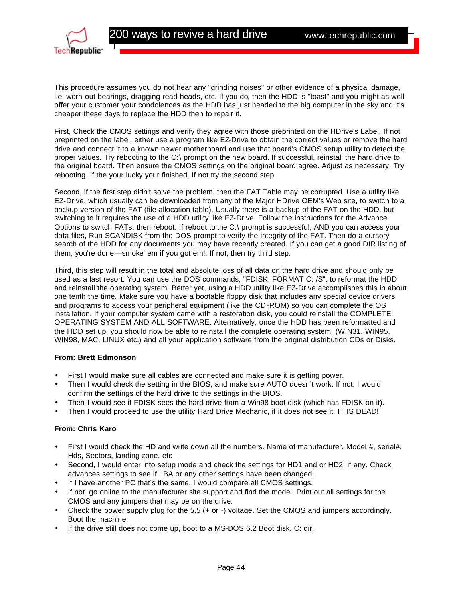

This procedure assumes you do not hear any "grinding noises" or other evidence of a physical damage, i.e. worn-out bearings, dragging read heads, etc. If you do, then the HDD is "toast" and you might as well offer your customer your condolences as the HDD has just headed to the big computer in the sky and it's cheaper these days to replace the HDD then to repair it.

First, Check the CMOS settings and verify they agree with those preprinted on the HDrive's Label, If not preprinted on the label, either use a program like EZ-Drive to obtain the correct values or remove the hard drive and connect it to a known newer motherboard and use that board's CMOS setup utility to detect the proper values. Try rebooting to the C:\ prompt on the new board. If successful, reinstall the hard drive to the original board. Then ensure the CMOS settings on the original board agree. Adjust as necessary. Try rebooting. If the your lucky your finished. If not try the second step.

Second, if the first step didn't solve the problem, then the FAT Table may be corrupted. Use a utility like EZ-Drive, which usually can be downloaded from any of the Major HDrive OEM's Web site, to switch to a backup version of the FAT (file allocation table). Usually there is a backup of the FAT on the HDD, but switching to it requires the use of a HDD utility like EZ-Drive. Follow the instructions for the Advance Options to switch FATs, then reboot. If reboot to the C:\ prompt is successful, AND you can access your data files, Run SCANDISK from the DOS prompt to verify the integrity of the FAT. Then do a cursory search of the HDD for any documents you may have recently created. If you can get a good DIR listing of them, you're done—smoke' em if you got em!. If not, then try third step.

Third, this step will result in the total and absolute loss of all data on the hard drive and should only be used as a last resort. You can use the DOS commands, "FDISK, FORMAT C: /S", to reformat the HDD and reinstall the operating system. Better yet, using a HDD utility like EZ-Drive accomplishes this in about one tenth the time. Make sure you have a bootable floppy disk that includes any special device drivers and programs to access your peripheral equipment (like the CD-ROM) so you can complete the OS installation. If your computer system came with a restoration disk, you could reinstall the COMPLETE OPERATING SYSTEM AND ALL SOFTWARE. Alternatively, once the HDD has been reformatted and the HDD set up, you should now be able to reinstall the complete operating system, (WIN31, WIN95, WIN98, MAC, LINUX etc.) and all your application software from the original distribution CDs or Disks.

## **From: Brett Edmonson**

- First I would make sure all cables are connected and make sure it is getting power.
- Then I would check the setting in the BIOS, and make sure AUTO doesn't work. If not, I would confirm the settings of the hard drive to the settings in the BIOS.
- Then I would see if FDISK sees the hard drive from a Win98 boot disk (which has FDISK on it).
- Then I would proceed to use the utility Hard Drive Mechanic, if it does not see it, IT IS DEAD!

## **From: Chris Karo**

- First I would check the HD and write down all the numbers. Name of manufacturer, Model #, serial#, Hds, Sectors, landing zone, etc
- Second, I would enter into setup mode and check the settings for HD1 and or HD2, if any. Check advances settings to see if LBA or any other settings have been changed.
- If I have another PC that's the same, I would compare all CMOS settings.
- If not, go online to the manufacturer site support and find the model. Print out all settings for the CMOS and any jumpers that may be on the drive.
- Check the power supply plug for the 5.5 (+ or -) voltage. Set the CMOS and jumpers accordingly. Boot the machine.
- If the drive still does not come up, boot to a MS-DOS 6.2 Boot disk. C: dir.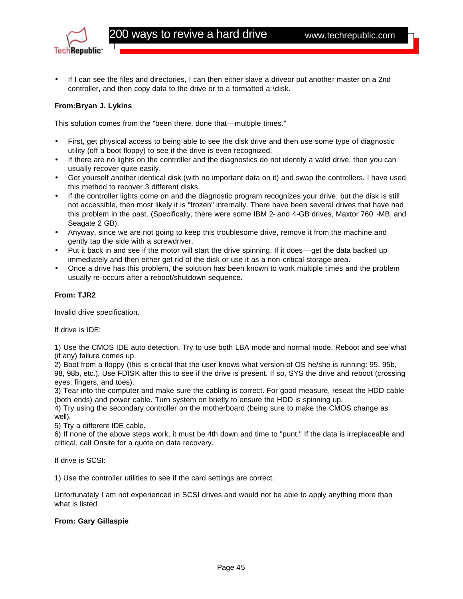

• If I can see the files and directories, I can then either slave a driveor put another master on a 2nd controller, and then copy data to the drive or to a formatted a:\disk.

### **From:Bryan J. Lykins**

This solution comes from the "been there, done that—multiple times."

200 ways to revive a hard drive

- First, get physical access to being able to see the disk drive and then use some type of diagnostic utility (off a boot floppy) to see if the drive is even recognized.
- If there are no lights on the controller and the diagnostics do not identify a valid drive, then you can usually recover quite easily.
- Get yourself another identical disk (with no important data on it) and swap the controllers. I have used this method to recover 3 different disks.
- If the controller lights come on and the diagnostic program recognizes your drive, but the disk is still not accessible, then most likely it is "frozen" internally. There have been several drives that have had this problem in the past. (Specifically, there were some IBM 2- and 4-GB drives, Maxtor 760 -MB, and Seagate 2 GB).
- Anyway, since we are not going to keep this troublesome drive, remove it from the machine and gently tap the side with a screwdriver.
- Put it back in and see if the motor will start the drive spinning. If it does—get the data backed up immediately and then either get rid of the disk or use it as a non-critical storage area.
- Once a drive has this problem, the solution has been known to work multiple times and the problem usually re-occurs after a reboot/shutdown sequence.

### **From: TJR2**

Invalid drive specification.

If drive is IDE:

1) Use the CMOS IDE auto detection. Try to use both LBA mode and normal mode. Reboot and see what (if any) failure comes up.

2) Boot from a floppy (this is critical that the user knows what version of OS he/she is running: 95, 95b, 98, 98b, etc.). Use FDISK after this to see if the drive is present. If so, SYS the drive and reboot (crossing

eyes, fingers, and toes).

3) Tear into the computer and make sure the cabling is correct. For good measure, reseat the HDD cable (both ends) and power cable. Turn system on briefly to ensure the HDD is spinning up.

4) Try using the secondary controller on the motherboard (being sure to make the CMOS change as well).

5) Try a different IDE cable.

6) If none of the above steps work, it must be 4th down and time to "punt." If the data is irreplaceable and critical, call Onsite for a quote on data recovery.

If drive is SCSI:

1) Use the controller utilities to see if the card settings are correct.

Unfortunately I am not experienced in SCSI drives and would not be able to apply anything more than what is listed.

### **From: Gary Gillaspie**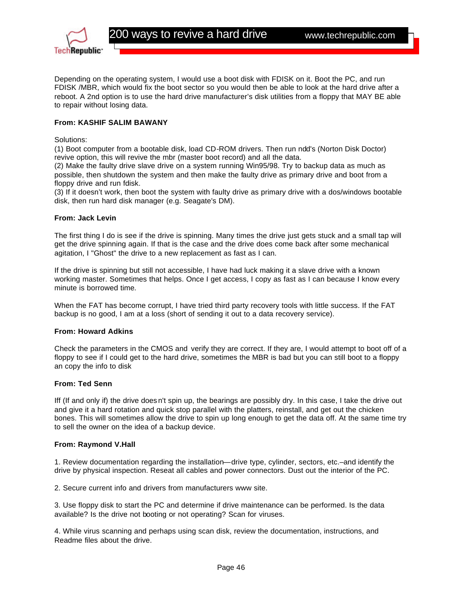

Depending on the operating system, I would use a boot disk with FDISK on it. Boot the PC, and run FDISK /MBR, which would fix the boot sector so you would then be able to look at the hard drive after a reboot. A 2nd option is to use the hard drive manufacturer's disk utilities from a floppy that MAY BE able to repair without losing data.

## **From: KASHIF SALIM BAWANY**

Solutions:

(1) Boot computer from a bootable disk, load CD-ROM drivers. Then run ndd's (Norton Disk Doctor) revive option, this will revive the mbr (master boot record) and all the data.

(2) Make the faulty drive slave drive on a system running Win95/98. Try to backup data as much as possible, then shutdown the system and then make the faulty drive as primary drive and boot from a floppy drive and run fdisk.

(3) If it doesn't work, then boot the system with faulty drive as primary drive with a dos/windows bootable disk, then run hard disk manager (e.g. Seagate's DM).

### **From: Jack Levin**

The first thing I do is see if the drive is spinning. Many times the drive just gets stuck and a small tap will get the drive spinning again. If that is the case and the drive does come back after some mechanical agitation, I "Ghost" the drive to a new replacement as fast as I can.

If the drive is spinning but still not accessible, I have had luck making it a slave drive with a known working master. Sometimes that helps. Once I get access, I copy as fast as I can because I know every minute is borrowed time.

When the FAT has become corrupt, I have tried third party recovery tools with little success. If the FAT backup is no good, I am at a loss (short of sending it out to a data recovery service).

### **From: Howard Adkins**

Check the parameters in the CMOS and verify they are correct. If they are, I would attempt to boot off of a floppy to see if I could get to the hard drive, sometimes the MBR is bad but you can still boot to a floppy an copy the info to disk

### **From: Ted Senn**

Iff (If and only if) the drive does n't spin up, the bearings are possibly dry. In this case, I take the drive out and give it a hard rotation and quick stop parallel with the platters, reinstall, and get out the chicken bones. This will sometimes allow the drive to spin up long enough to get the data off. At the same time try to sell the owner on the idea of a backup device.

### **From: Raymond V.Hall**

1. Review documentation regarding the installation—drive type, cylinder, sectors, etc.–and identify the drive by physical inspection. Reseat all cables and power connectors. Dust out the interior of the PC.

2. Secure current info and drivers from manufacturers www site.

3. Use floppy disk to start the PC and determine if drive maintenance can be performed. Is the data available? Is the drive not booting or not operating? Scan for viruses.

4. While virus scanning and perhaps using scan disk, review the documentation, instructions, and Readme files about the drive.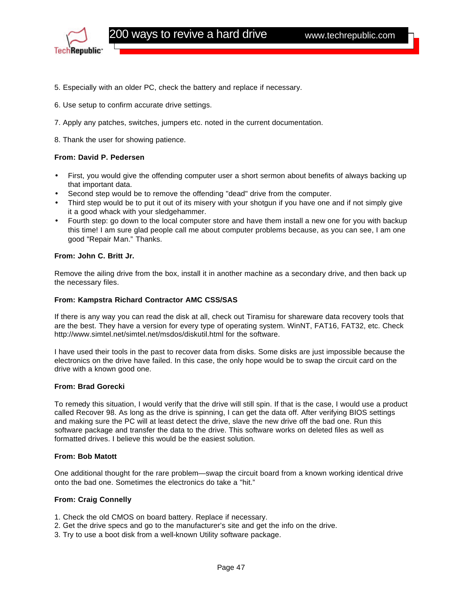

- 5. Especially with an older PC, check the battery and replace if necessary.
- 6. Use setup to confirm accurate drive settings.
- 7. Apply any patches, switches, jumpers etc. noted in the current documentation.
- 8. Thank the user for showing patience.

### **From: David P. Pedersen**

- First, you would give the offending computer user a short sermon about benefits of always backing up that important data.
- Second step would be to remove the offending "dead" drive from the computer.
- Third step would be to put it out of its misery with your shotgun if you have one and if not simply give it a good whack with your sledgehammer.
- Fourth step: go down to the local computer store and have them install a new one for you with backup this time! I am sure glad people call me about computer problems because, as you can see, I am one good "Repair Man." Thanks.

### **From: John C. Britt Jr.**

Remove the ailing drive from the box, install it in another machine as a secondary drive, and then back up the necessary files.

### **From: Kampstra Richard Contractor AMC CSS/SAS**

If there is any way you can read the disk at all, check out Tiramisu for shareware data recovery tools that are the best. They have a version for every type of operating system. WinNT, FAT16, FAT32, etc. Check http://www.simtel.net/simtel.net/msdos/diskutil.html for the software.

I have used their tools in the past to recover data from disks. Some disks are just impossible because the electronics on the drive have failed. In this case, the only hope would be to swap the circuit card on the drive with a known good one.

## **From: Brad Gorecki**

To remedy this situation, I would verify that the drive will still spin. If that is the case, I would use a product called Recover 98. As long as the drive is spinning, I can get the data off. After verifying BIOS settings and making sure the PC will at least detect the drive, slave the new drive off the bad one. Run this software package and transfer the data to the drive. This software works on deleted files as well as formatted drives. I believe this would be the easiest solution.

### **From: Bob Matott**

One additional thought for the rare problem—swap the circuit board from a known working identical drive onto the bad one. Sometimes the electronics do take a "hit."

### **From: Craig Connelly**

- 1. Check the old CMOS on board battery. Replace if necessary.
- 2. Get the drive specs and go to the manufacturer's site and get the info on the drive.
- 3. Try to use a boot disk from a well-known Utility software package.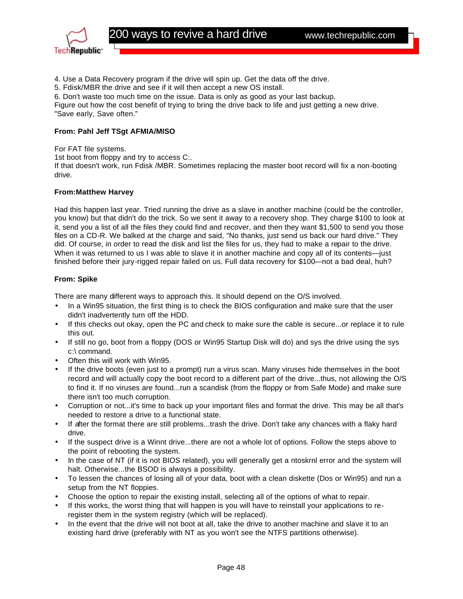

4. Use a Data Recovery program if the drive will spin up. Get the data off the drive.

5. Fdisk/MBR the drive and see if it will then accept a new OS install.

6. Don't waste too much time on the issue. Data is only as good as your last backup.

Figure out how the cost benefit of trying to bring the drive back to life and just getting a new drive. "Save early, Save often."

## **From: Pahl Jeff TSgt AFMIA/MISO**

For FAT file systems.

1st boot from floppy and try to access C:.

If that doesn't work, run Fdisk /MBR. Sometimes replacing the master boot record will fix a non-booting drive.

## **From:Matthew Harvey**

Had this happen last year. Tried running the drive as a slave in another machine (could be the controller, you know) but that didn't do the trick. So we sent it away to a recovery shop. They charge \$100 to look at it, send you a list of all the files they could find and recover, and then they want \$1,500 to send you those files on a CD-R. We balked at the charge and said, "No thanks, just send us back our hard drive." They did. Of course, in order to read the disk and list the files for us, they had to make a repair to the drive. When it was returned to us I was able to slave it in another machine and copy all of its contents—just finished before their jury-rigged repair failed on us. Full data recovery for \$100—not a bad deal, huh?

# **From: Spike**

There are many different ways to approach this. It should depend on the O/S involved.

- In a Win95 situation, the first thing is to check the BIOS configuration and make sure that the user didn't inadvertently turn off the HDD.
- If this checks out okay, open the PC and check to make sure the cable is secure...or replace it to rule this out.
- If still no go, boot from a floppy (DOS or Win95 Startup Disk will do) and sys the drive using the sys c:\ command.
- Often this will work with Win95.
- If the drive boots (even just to a prompt) run a virus scan. Many viruses hide themselves in the boot record and will actually copy the boot record to a different part of the drive...thus, not allowing the O/S to find it. If no viruses are found...run a scandisk (from the floppy or from Safe Mode) and make sure there isn't too much corruption.
- Corruption or not...it's time to back up your important files and format the drive. This may be all that's needed to restore a drive to a functional state.
- If after the format there are still problems...trash the drive. Don't take any chances with a flaky hard drive.
- If the suspect drive is a Winnt drive...there are not a whole lot of options. Follow the steps above to the point of rebooting the system.
- In the case of NT (if it is not BIOS related), you will generally get a ntoskrnl error and the system will halt. Otherwise...the BSOD is always a possibility.
- To lessen the chances of losing all of your data, boot with a clean diskette (Dos or Win95) and run a setup from the NT floppies.
- Choose the option to repair the existing install, selecting all of the options of what to repair.
- If this works, the worst thing that will happen is you will have to reinstall your applications to reregister them in the system registry (which will be replaced).
- In the event that the drive will not boot at all, take the drive to another machine and slave it to an existing hard drive (preferably with NT as you won't see the NTFS partitions otherwise).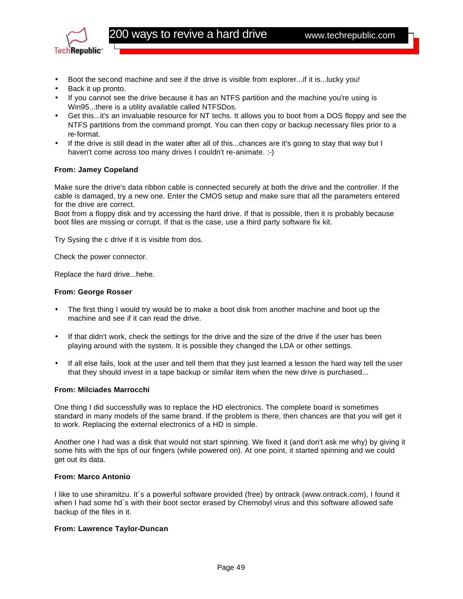

- Boot the second machine and see if the drive is visible from explorer...if it is...lucky you!
- Back it up pronto.
- If you cannot see the drive because it has an NTFS partition and the machine you're using is Win95...there is a utility available called NTFSDos.
- Get this...it's an invaluable resource for NT techs. It allows you to boot from a DOS floppy and see the NTFS partitions from the command prompt. You can then copy or backup necessary files prior to a re-format.
- If the drive is still dead in the water after all of this...chances are it's going to stay that way but I haven't come across too many drives I couldn't re-animate. :-)

## **From: Jamey Copeland**

Make sure the drive's data ribbon cable is connected securely at both the drive and the controller. If the cable is damaged, try a new one. Enter the CMOS setup and make sure that all the parameters entered for the drive are correct.

Boot from a floppy disk and try accessing the hard drive. If that is possible, then it is probably because boot files are missing or corrupt. If that is the case, use a third party software fix kit.

Try Sysing the c drive if it is visible from dos.

Check the power connector.

Replace the hard drive...hehe.

### **From: George Rosser**

- The first thing I would try would be to make a boot disk from another machine and boot up the machine and see if it can read the drive.
- If that didn't work, check the settings for the drive and the size of the drive if the user has been playing around with the system. It is possible they changed the LDA or other settings.
- If all else fails, look at the user and tell them that they just learned a lesson the hard way tell the user that they should invest in a tape backup or similar item when the new drive is purchased...

### **From: Milciades Marrocchi**

One thing I did successfully was to replace the HD electronics. The complete board is sometimes standard in many models of the same brand. If the problem is there, then chances are that you will get it to work. Replacing the external electronics of a HD is simple.

Another one I had was a disk that would not start spinning. We fixed it (and don't ask me why) by giving it some hits with the tips of our fingers (while powered on). At one point, it started spinning and we could get out its data.

## **From: Marco Antonio**

I like to use shiramitzu. It´s a powerful software provided (free) by ontrack (www.ontrack.com), I found it when I had some hd´s with their boot sector erased by Chernobyl virus and this software allowed safe backup of the files in it.

## **From: Lawrence Taylor-Duncan**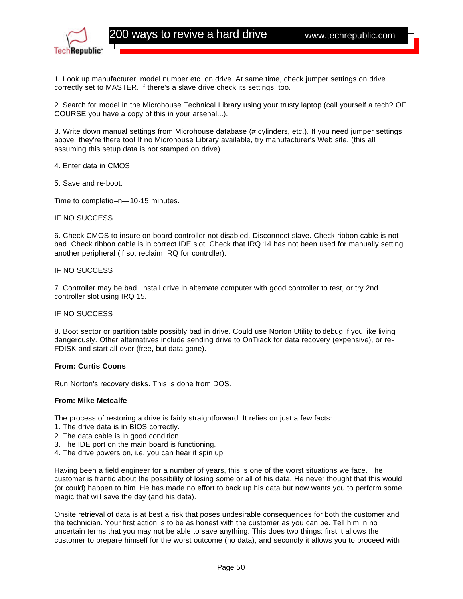

1. Look up manufacturer, model number etc. on drive. At same time, check jumper settings on drive correctly set to MASTER. If there's a slave drive check its settings, too.

2. Search for model in the Microhouse Technical Library using your trusty laptop (call yourself a tech? OF COURSE you have a copy of this in your arsenal...).

3. Write down manual settings from Microhouse database (# cylinders, etc.). If you need jumper settings above, they're there too! If no Microhouse Library available, try manufacturer's Web site, (this all assuming this setup data is not stamped on drive).

4. Enter data in CMOS

5. Save and re-boot.

Time to completio–n—10-15 minutes.

#### IF NO SUCCESS

6. Check CMOS to insure on-board controller not disabled. Disconnect slave. Check ribbon cable is not bad. Check ribbon cable is in correct IDE slot. Check that IRQ 14 has not been used for manually setting another peripheral (if so, reclaim IRQ for controller).

### IF NO SUCCESS

7. Controller may be bad. Install drive in alternate computer with good controller to test, or try 2nd controller slot using IRQ 15.

### IF NO SUCCESS

8. Boot sector or partition table possibly bad in drive. Could use Norton Utility to debug if you like living dangerously. Other alternatives include sending drive to OnTrack for data recovery (expensive), or re-FDISK and start all over (free, but data gone).

### **From: Curtis Coons**

Run Norton's recovery disks. This is done from DOS.

#### **From: Mike Metcalfe**

The process of restoring a drive is fairly straightforward. It relies on just a few facts:

- 1. The drive data is in BIOS correctly.
- 2. The data cable is in good condition.
- 3. The IDE port on the main board is functioning.
- 4. The drive powers on, i.e. you can hear it spin up.

Having been a field engineer for a number of years, this is one of the worst situations we face. The customer is frantic about the possibility of losing some or all of his data. He never thought that this would (or could) happen to him. He has made no effort to back up his data but now wants you to perform some magic that will save the day (and his data).

Onsite retrieval of data is at best a risk that poses undesirable consequences for both the customer and the technician. Your first action is to be as honest with the customer as you can be. Tell him in no uncertain terms that you may not be able to save anything. This does two things: first it allows the customer to prepare himself for the worst outcome (no data), and secondly it allows you to proceed with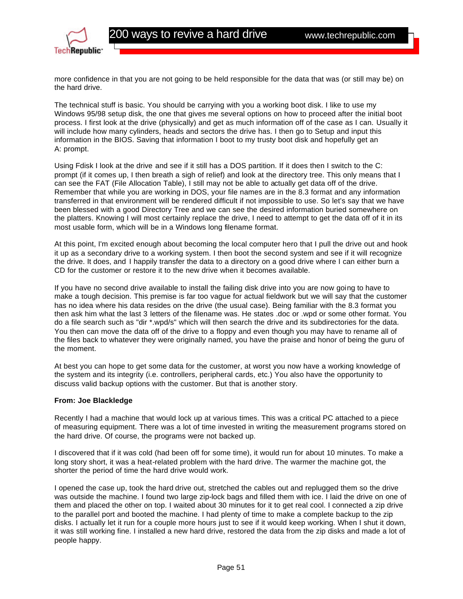

more confidence in that you are not going to be held responsible for the data that was (or still may be) on the hard drive.

The technical stuff is basic. You should be carrying with you a working boot disk. I like to use my Windows 95/98 setup disk, the one that gives me several options on how to proceed after the initial boot process. I first look at the drive (physically) and get as much information off of the case as I can. Usually it will include how many cylinders, heads and sectors the drive has. I then go to Setup and input this information in the BIOS. Saving that information I boot to my trusty boot disk and hopefully get an A: prompt.

Using Fdisk I look at the drive and see if it still has a DOS partition. If it does then I switch to the C: prompt (if it comes up, I then breath a sigh of relief) and look at the directory tree. This only means that I can see the FAT (File Allocation Table), I still may not be able to actually get data off of the drive. Remember that while you are working in DOS, your file names are in the 8.3 format and any information transferred in that environment will be rendered difficult if not impossible to use. So let's say that we have been blessed with a good Directory Tree and we can see the desired information buried somewhere on the platters. Knowing I will most certainly replace the drive, I need to attempt to get the data off of it in its most usable form, which will be in a Windows long filename format.

At this point, I'm excited enough about becoming the local computer hero that I pull the drive out and hook it up as a secondary drive to a working system. I then boot the second system and see if it will recognize the drive. It does, and I happily transfer the data to a directory on a good drive where I can either burn a CD for the customer or restore it to the new drive when it becomes available.

If you have no second drive available to install the failing disk drive into you are now going to have to make a tough decision. This premise is far too vague for actual fieldwork but we will say that the customer has no idea where his data resides on the drive (the usual case). Being familiar with the 8.3 format you then ask him what the last 3 letters of the filename was. He states .doc or .wpd or some other format. You do a file search such as "dir \*.wpd/s" which will then search the drive and its subdirectories for the data. You then can move the data off of the drive to a floppy and even though you may have to rename all of the files back to whatever they were originally named, you have the praise and honor of being the guru of the moment.

At best you can hope to get some data for the customer, at worst you now have a working knowledge of the system and its integrity (i.e. controllers, peripheral cards, etc.) You also have the opportunity to discuss valid backup options with the customer. But that is another story.

## **From: Joe Blackledge**

Recently I had a machine that would lock up at various times. This was a critical PC attached to a piece of measuring equipment. There was a lot of time invested in writing the measurement programs stored on the hard drive. Of course, the programs were not backed up.

I discovered that if it was cold (had been off for some time), it would run for about 10 minutes. To make a long story short, it was a heat-related problem with the hard drive. The warmer the machine got, the shorter the period of time the hard drive would work.

I opened the case up, took the hard drive out, stretched the cables out and replugged them so the drive was outside the machine. I found two large zip-lock bags and filled them with ice. I laid the drive on one of them and placed the other on top. I waited about 30 minutes for it to get real cool. I connected a zip drive to the parallel port and booted the machine. I had plenty of time to make a complete backup to the zip disks. I actually let it run for a couple more hours just to see if it would keep working. When I shut it down, it was still working fine. I installed a new hard drive, restored the data from the zip disks and made a lot of people happy.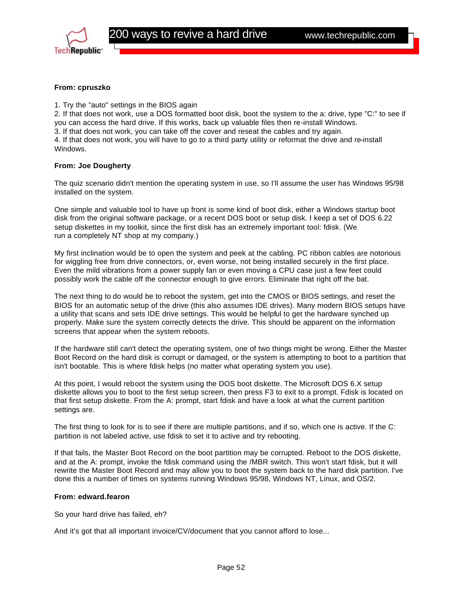

### **From: cpruszko**

1. Try the "auto" settings in the BIOS again

2. If that does not work, use a DOS formatted boot disk, boot the system to the a: drive, type "C:" to see if you can access the hard drive. If this works, back up valuable files then re-install Windows. 3. If that does not work, you can take off the cover and reseat the cables and try again. 4. If that does not work, you will have to go to a third party utility or reformat the drive and re-install Windows.

## **From: Joe Dougherty**

The quiz scenario didn't mention the operating system in use, so I'll assume the user has Windows 95/98 installed on the system.

One simple and valuable tool to have up front is some kind of boot disk, either a Windows startup boot disk from the original software package, or a recent DOS boot or setup disk. I keep a set of DOS 6.22 setup diskettes in my toolkit, since the first disk has an extremely important tool: fdisk. (We run a completely NT shop at my company.)

My first inclination would be to open the system and peek at the cabling. PC ribbon cables are notorious for wiggling free from drive connectors, or, even worse, not being installed securely in the first place. Even the mild vibrations from a power supply fan or even moving a CPU case just a few feet could possibly work the cable off the connector enough to give errors. Eliminate that right off the bat.

The next thing to do would be to reboot the system, get into the CMOS or BIOS settings, and reset the BIOS for an automatic setup of the drive (this also assumes IDE drives). Many modern BIOS setups have a utility that scans and sets IDE drive settings. This would be helpful to get the hardware synched up properly. Make sure the system correctly detects the drive. This should be apparent on the information screens that appear when the system reboots.

If the hardware still can't detect the operating system, one of two things might be wrong. Either the Master Boot Record on the hard disk is corrupt or damaged, or the system is attempting to boot to a partition that isn't bootable. This is where fdisk helps (no matter what operating system you use).

At this point, I would reboot the system using the DOS boot diskette. The Microsoft DOS 6.X setup diskette allows you to boot to the first setup screen, then press F3 to exit to a prompt. Fdisk is located on that first setup diskette. From the A: prompt, start fdisk and have a look at what the current partition settings are.

The first thing to look for is to see if there are multiple partitions, and if so, which one is active. If the C: partition is not labeled active, use fdisk to set it to active and try rebooting.

If that fails, the Master Boot Record on the boot partition may be corrupted. Reboot to the DOS diskette, and at the A: prompt, invoke the fdisk command using the /MBR switch. This won't start fdisk, but it will rewrite the Master Boot Record and may allow you to boot the system back to the hard disk partition. I've done this a number of times on systems running Windows 95/98, Windows NT, Linux, and OS/2.

### **From: edward.fearon**

So your hard drive has failed, eh?

And it's got that all important invoice/CV/document that you cannot afford to lose...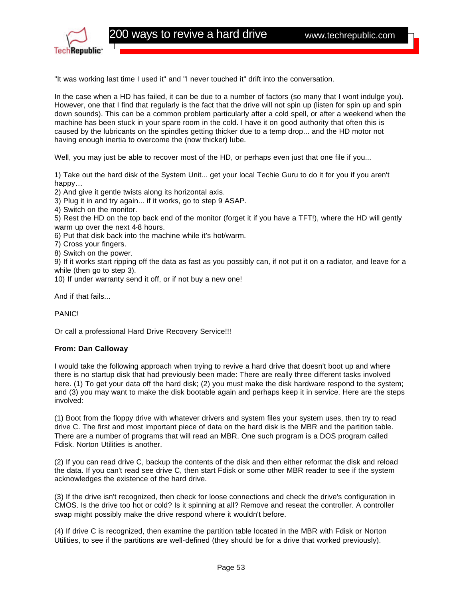

"It was working last time I used it" and "I never touched it" drift into the conversation.

200 ways to revive a hard drive

In the case when a HD has failed, it can be due to a number of factors (so many that I wont indulge you). However, one that I find that regularly is the fact that the drive will not spin up (listen for spin up and spin down sounds). This can be a common problem particularly after a cold spell, or after a weekend when the machine has been stuck in your spare room in the cold. I have it on good authority that often this is caused by the lubricants on the spindles getting thicker due to a temp drop... and the HD motor not having enough inertia to overcome the (now thicker) lube.

Well, you may just be able to recover most of the HD, or perhaps even just that one file if you...

1) Take out the hard disk of the System Unit... get your local Techie Guru to do it for you if you aren't happy…

2) And give it gentle twists along its horizontal axis.

3) Plug it in and try again... if it works, go to step 9 ASAP.

4) Switch on the monitor.

5) Rest the HD on the top back end of the monitor (forget it if you have a TFT!), where the HD will gently warm up over the next 4-8 hours.

6) Put that disk back into the machine while it's hot/warm.

7) Cross your fingers.

8) Switch on the power.

9) If it works start ripping off the data as fast as you possibly can, if not put it on a radiator, and leave for a while (then go to step 3).

10) If under warranty send it off, or if not buy a new one!

And if that fails...

PANIC!

Or call a professional Hard Drive Recovery Service!!!

### **From: Dan Calloway**

I would take the following approach when trying to revive a hard drive that doesn't boot up and where there is no startup disk that had previously been made: There are really three different tasks involved here. (1) To get your data off the hard disk; (2) you must make the disk hardware respond to the system; and (3) you may want to make the disk bootable again and perhaps keep it in service. Here are the steps involved:

(1) Boot from the floppy drive with whatever drivers and system files your system uses, then try to read drive C. The first and most important piece of data on the hard disk is the MBR and the partition table. There are a number of programs that will read an MBR. One such program is a DOS program called Fdisk. Norton Utilities is another.

(2) If you can read drive C, backup the contents of the disk and then either reformat the disk and reload the data. If you can't read see drive C, then start Fdisk or some other MBR reader to see if the system acknowledges the existence of the hard drive.

(3) If the drive isn't recognized, then check for loose connections and check the drive's configuration in CMOS. Is the drive too hot or cold? Is it spinning at all? Remove and reseat the controller. A controller swap might possibly make the drive respond where it wouldn't before.

(4) If drive C is recognized, then examine the partition table located in the MBR with Fdisk or Norton Utilities, to see if the partitions are well-defined (they should be for a drive that worked previously).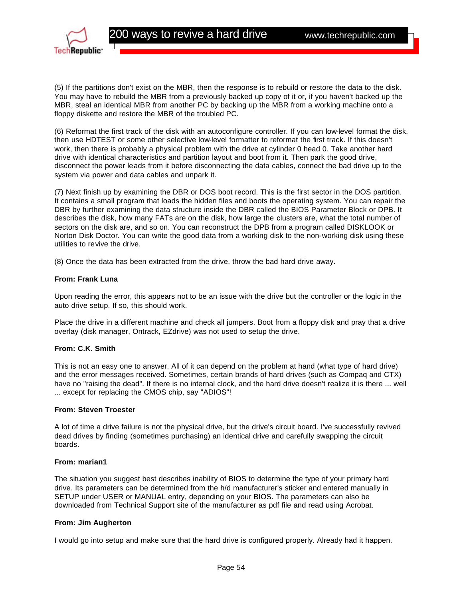

(5) If the partitions don't exist on the MBR, then the response is to rebuild or restore the data to the disk. You may have to rebuild the MBR from a previously backed up copy of it or, if you haven't backed up the MBR, steal an identical MBR from another PC by backing up the MBR from a working machine onto a floppy diskette and restore the MBR of the troubled PC.

(6) Reformat the first track of the disk with an autoconfigure controller. If you can low-level format the disk, then use HDTEST or some other selective low-level formatter to reformat the first track. If this doesn't work, then there is probably a physical problem with the drive at cylinder 0 head 0. Take another hard drive with identical characteristics and partition layout and boot from it. Then park the good drive, disconnect the power leads from it before disconnecting the data cables, connect the bad drive up to the system via power and data cables and unpark it.

(7) Next finish up by examining the DBR or DOS boot record. This is the first sector in the DOS partition. It contains a small program that loads the hidden files and boots the operating system. You can repair the DBR by further examining the data structure inside the DBR called the BIOS Parameter Block or DPB. It describes the disk, how many FATs are on the disk, how large the clusters are, what the total number of sectors on the disk are, and so on. You can reconstruct the DPB from a program called DISKLOOK or Norton Disk Doctor. You can write the good data from a working disk to the non-working disk using these utilities to revive the drive.

(8) Once the data has been extracted from the drive, throw the bad hard drive away.

### **From: Frank Luna**

Upon reading the error, this appears not to be an issue with the drive but the controller or the logic in the auto drive setup. If so, this should work.

Place the drive in a different machine and check all jumpers. Boot from a floppy disk and pray that a drive overlay (disk manager, Ontrack, EZdrive) was not used to setup the drive.

## **From: C.K. Smith**

This is not an easy one to answer. All of it can depend on the problem at hand (what type of hard drive) and the error messages received. Sometimes, certain brands of hard drives (such as Compaq and CTX) have no "raising the dead". If there is no internal clock, and the hard drive doesn't realize it is there ... well ... except for replacing the CMOS chip, say "ADIOS"!

### **From: Steven Troester**

A lot of time a drive failure is not the physical drive, but the drive's circuit board. I've successfully revived dead drives by finding (sometimes purchasing) an identical drive and carefully swapping the circuit boards.

### **From: marian1**

The situation you suggest best describes inability of BIOS to determine the type of your primary hard drive. Its parameters can be determined from the h/d manufacturer's sticker and entered manually in SETUP under USER or MANUAL entry, depending on your BIOS. The parameters can also be downloaded from Technical Support site of the manufacturer as pdf file and read using Acrobat.

## **From: Jim Augherton**

I would go into setup and make sure that the hard drive is configured properly. Already had it happen.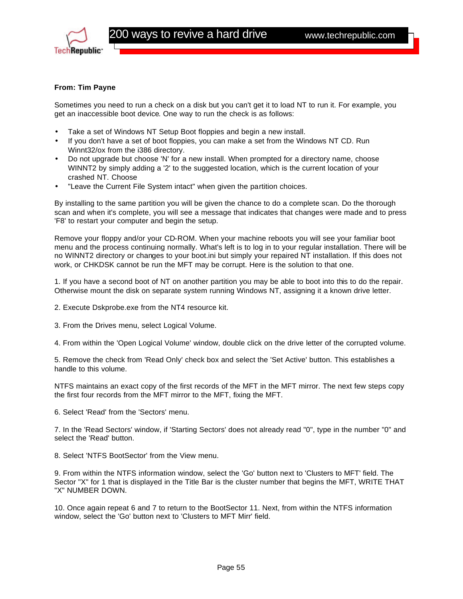

### **From: Tim Payne**

Sometimes you need to run a check on a disk but you can't get it to load NT to run it. For example, you get an inaccessible boot device. One way to run the check is as follows:

- Take a set of Windows NT Setup Boot floppies and begin a new install.
- If you don't have a set of boot floppies, you can make a set from the Windows NT CD. Run Winnt32/ox from the i386 directory.
- Do not upgrade but choose 'N' for a new install. When prompted for a directory name, choose WINNT2 by simply adding a '2' to the suggested location, which is the current location of your crashed NT. Choose
- "Leave the Current File System intact" when given the partition choices.

By installing to the same partition you will be given the chance to do a complete scan. Do the thorough scan and when it's complete, you will see a message that indicates that changes were made and to press 'F8' to restart your computer and begin the setup.

Remove your floppy and/or your CD-ROM. When your machine reboots you will see your familiar boot menu and the process continuing normally. What's left is to log in to your regular installation. There will be no WINNT2 directory or changes to your boot.ini but simply your repaired NT installation. If this does not work, or CHKDSK cannot be run the MFT may be corrupt. Here is the solution to that one.

1. If you have a second boot of NT on another partition you may be able to boot into this to do the repair. Otherwise mount the disk on separate system running Windows NT, assigning it a known drive letter.

2. Execute Dskprobe.exe from the NT4 resource kit.

3. From the Drives menu, select Logical Volume.

4. From within the 'Open Logical Volume' window, double click on the drive letter of the corrupted volume.

5. Remove the check from 'Read Only' check box and select the 'Set Active' button. This establishes a handle to this volume.

NTFS maintains an exact copy of the first records of the MFT in the MFT mirror. The next few steps copy the first four records from the MFT mirror to the MFT, fixing the MFT.

6. Select 'Read' from the 'Sectors' menu.

7. In the 'Read Sectors' window, if 'Starting Sectors' does not already read "0", type in the number "0" and select the 'Read' button.

8. Select 'NTFS BootSector' from the View menu.

9. From within the NTFS information window, select the 'Go' button next to 'Clusters to MFT' field. The Sector "X" for 1 that is displayed in the Title Bar is the cluster number that begins the MFT, WRITE THAT "X" NUMBER DOWN.

10. Once again repeat 6 and 7 to return to the BootSector 11. Next, from within the NTFS information window, select the 'Go' button next to 'Clusters to MFT Mirr' field.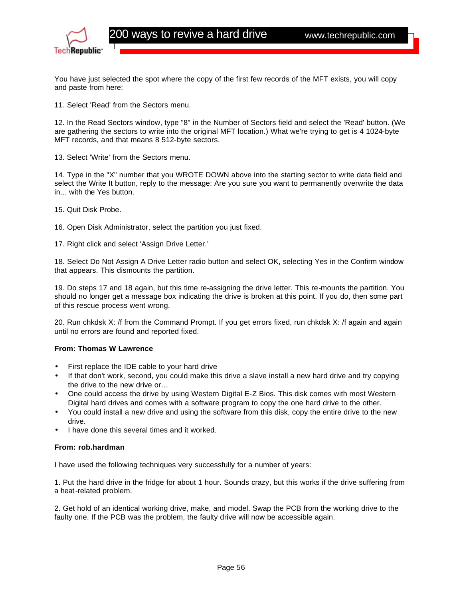

You have just selected the spot where the copy of the first few records of the MFT exists, you will copy and paste from here:

11. Select 'Read' from the Sectors menu.

12. In the Read Sectors window, type "8" in the Number of Sectors field and select the 'Read' button. (We are gathering the sectors to write into the original MFT location.) What we're trying to get is 4 1024-byte MFT records, and that means 8 512-byte sectors.

13. Select 'Write' from the Sectors menu.

14. Type in the "X" number that you WROTE DOWN above into the starting sector to write data field and select the Write It button, reply to the message: Are you sure you want to permanently overwrite the data in... with the Yes button.

- 15. Quit Disk Probe.
- 16. Open Disk Administrator, select the partition you just fixed.

17. Right click and select 'Assign Drive Letter.'

18. Select Do Not Assign A Drive Letter radio button and select OK, selecting Yes in the Confirm window that appears. This dismounts the partition.

19. Do steps 17 and 18 again, but this time re-assigning the drive letter. This re-mounts the partition. You should no longer get a message box indicating the drive is broken at this point. If you do, then some part of this rescue process went wrong.

20. Run chkdsk X: /f from the Command Prompt. If you get errors fixed, run chkdsk X: /f again and again until no errors are found and reported fixed.

### **From: Thomas W Lawrence**

- First replace the IDE cable to your hard drive
- If that don't work, second, you could make this drive a slave install a new hard drive and try copying the drive to the new drive or…
- One could access the drive by using Western Digital E-Z Bios. This disk comes with most Western Digital hard drives and comes with a software program to copy the one hard drive to the other.
- You could install a new drive and using the software from this disk, copy the entire drive to the new drive.
- I have done this several times and it worked.

### **From: rob.hardman**

I have used the following techniques very successfully for a number of years:

1. Put the hard drive in the fridge for about 1 hour. Sounds crazy, but this works if the drive suffering from a heat-related problem.

2. Get hold of an identical working drive, make, and model. Swap the PCB from the working drive to the faulty one. If the PCB was the problem, the faulty drive will now be accessible again.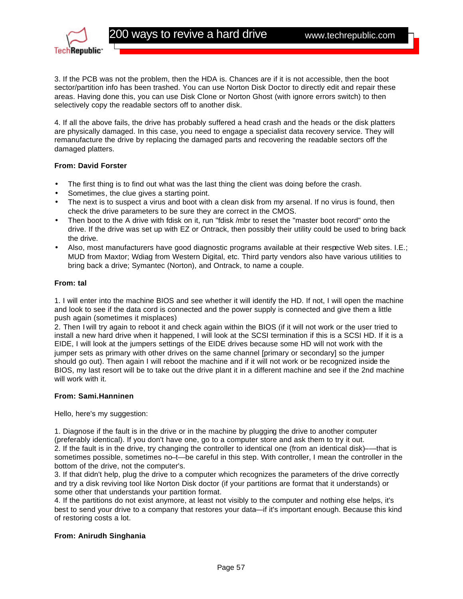

3. If the PCB was not the problem, then the HDA is. Chances are if it is not accessible, then the boot sector/partition info has been trashed. You can use Norton Disk Doctor to directly edit and repair these areas. Having done this, you can use Disk Clone or Norton Ghost (with ignore errors switch) to then selectively copy the readable sectors off to another disk.

200 ways to revive a hard drive

4. If all the above fails, the drive has probably suffered a head crash and the heads or the disk platters are physically damaged. In this case, you need to engage a specialist data recovery service. They will remanufacture the drive by replacing the damaged parts and recovering the readable sectors off the damaged platters.

### **From: David Forster**

- The first thing is to find out what was the last thing the client was doing before the crash.
- Sometimes, the clue gives a starting point.
- The next is to suspect a virus and boot with a clean disk from my arsenal. If no virus is found, then check the drive parameters to be sure they are correct in the CMOS.
- Then boot to the A drive with fdisk on it, run "fdisk /mbr to reset the "master boot record" onto the drive. If the drive was set up with EZ or Ontrack, then possibly their utility could be used to bring back the drive.
- Also, most manufacturers have good diagnostic programs available at their respective Web sites. I.E.; MUD from Maxtor; Wdiag from Western Digital, etc. Third party vendors also have various utilities to bring back a drive; Symantec (Norton), and Ontrack, to name a couple.

### **From: tal**

1. I will enter into the machine BIOS and see whether it will identify the HD. If not, I will open the machine and look to see if the data cord is connected and the power supply is connected and give them a little push again (sometimes it misplaces)

2. Then I will try again to reboot it and check again within the BIOS (if it will not work or the user tried to install a new hard drive when it happened, I will look at the SCSI termination if this is a SCSI HD. If it is a EIDE, I will look at the jumpers settings of the EIDE drives because some HD will not work with the jumper sets as primary with other drives on the same channel [primary or secondary] so the jumper should go out). Then again I will reboot the machine and if it will not work or be recognized inside the BIOS, my last resort will be to take out the drive plant it in a different machine and see if the 2nd machine will work with it.

### **From: Sami.Hanninen**

Hello, here's my suggestion:

1. Diagnose if the fault is in the drive or in the machine by plugging the drive to another computer (preferably identical). If you don't have one, go to a computer store and ask them to try it out. 2. If the fault is in the drive, try changing the controller to identical one (from an identical disk)–—that is sometimes possible, sometimes no–t—be careful in this step. With controller, I mean the controller in the bottom of the drive, not the computer's.

3. If that didn't help, plug the drive to a computer which recognizes the parameters of the drive correctly and try a disk reviving tool like Norton Disk doctor (if your partitions are format that it understands) or some other that understands your partition format.

4. If the partitions do not exist anymore, at least not visibly to the computer and nothing else helps, it's best to send your drive to a company that restores your data—if it's important enough. Because this kind of restoring costs a lot.

### **From: Anirudh Singhania**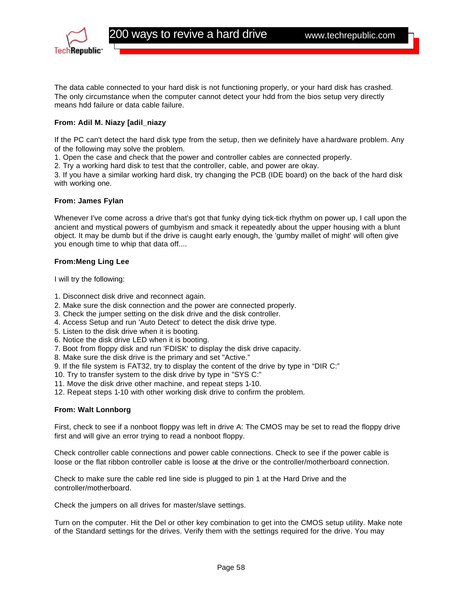

The data cable connected to your hard disk is not functioning properly, or your hard disk has crashed. The only circumstance when the computer cannot detect your hdd from the bios setup very directly means hdd failure or data cable failure.

## **From: Adil M. Niazy [adil\_niazy**

If the PC can't detect the hard disk type from the setup, then we definitely have a hardware problem. Any of the following may solve the problem.

1. Open the case and check that the power and controller cables are connected properly.

2. Try a working hard disk to test that the controller, cable, and power are okay.

3. If you have a similar working hard disk, try changing the PCB (IDE board) on the back of the hard disk with working one.

### **From: James Fylan**

Whenever I've come across a drive that's got that funky dying tick-tick rhythm on power up, I call upon the ancient and mystical powers of gumbyism and smack it repeatedly about the upper housing with a blunt object. It may be dumb but if the drive is caught early enough, the 'gumby mallet of might' will often give you enough time to whip that data off....

## **From:Meng Ling Lee**

I will try the following:

- 1. Disconnect disk drive and reconnect again.
- 2. Make sure the disk connection and the power are connected properly.
- 3. Check the jumper setting on the disk drive and the disk controller.
- 4. Access Setup and run 'Auto Detect' to detect the disk drive type.
- 5. Listen to the disk drive when it is booting.
- 6. Notice the disk drive LED when it is booting.
- 7. Boot from floppy disk and run 'FDISK' to display the disk drive capacity.
- 8. Make sure the disk drive is the primary and set "Active."
- 9. If the file system is FAT32, try to display the content of the drive by type in "DIR C:"
- 10. Try to transfer system to the disk drive by type in "SYS C:"
- 11. Move the disk drive other machine, and repeat steps 1-10.
- 12. Repeat steps 1-10 with other working disk drive to confirm the problem.

# **From: Walt Lonnborg**

First, check to see if a nonboot floppy was left in drive A: The CMOS may be set to read the floppy drive first and will give an error trying to read a nonboot floppy.

Check controller cable connections and power cable connections. Check to see if the power cable is loose or the flat ribbon controller cable is loose at the drive or the controller/motherboard connection.

Check to make sure the cable red line side is plugged to pin 1 at the Hard Drive and the controller/motherboard.

Check the jumpers on all drives for master/slave settings.

Turn on the computer. Hit the Del or other key combination to get into the CMOS setup utility. Make note of the Standard settings for the drives. Verify them with the settings required for the drive. You may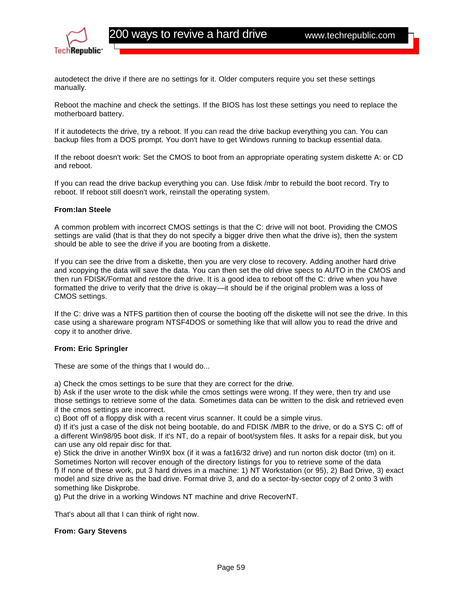

autodetect the drive if there are no settings for it. Older computers require you set these settings manually.

Reboot the machine and check the settings. If the BIOS has lost these settings you need to replace the motherboard battery.

If it autodetects the drive, try a reboot. If you can read the drive backup everything you can. You can backup files from a DOS prompt. You don't have to get Windows running to backup essential data.

If the reboot doesn't work: Set the CMOS to boot from an appropriate operating system diskette A: or CD and reboot.

If you can read the drive backup everything you can. Use fdisk /mbr to rebuild the boot record. Try to reboot. If reboot still doesn't work, reinstall the operating system.

### **From:Ian Steele**

A common problem with incorrect CMOS settings is that the C: drive will not boot. Providing the CMOS settings are valid (that is that they do not specify a bigger drive then what the drive is), then the system should be able to see the drive if you are booting from a diskette.

If you can see the drive from a diskette, then you are very close to recovery. Adding another hard drive and xcopying the data will save the data. You can then set the old drive specs to AUTO in the CMOS and then run FDISK/Format and restore the drive. It is a good idea to reboot off the C: drive when you have formatted the drive to verify that the drive is okay—it should be if the original problem was a loss of CMOS settings.

If the C: drive was a NTFS partition then of course the booting off the diskette will not see the drive. In this case using a shareware program NTSF4DOS or something like that will allow you to read the drive and copy it to another drive.

### **From: Eric Springler**

These are some of the things that I would do...

a) Check the cmos settings to be sure that they are correct for the drive.

b) Ask if the user wrote to the disk while the cmos settings were wrong. If they were, then try and use those settings to retrieve some of the data. Sometimes data can be written to the disk and retrieved even if the cmos settings are incorrect.

c) Boot off of a floppy disk with a recent virus scanner. It could be a simple virus.

d) If it's just a case of the disk not being bootable, do and FDISK /MBR to the drive, or do a SYS C: off of a different Win98/95 boot disk. If it's NT, do a repair of boot/system files. It asks for a repair disk, but you can use any old repair disc for that.

e) Stick the drive in another Win9X box (if it was a fat16/32 drive) and run norton disk doctor (tm) on it. Sometimes Norton will recover enough of the directory listings for you to retrieve some of the data f) If none of these work, put 3 hard drives in a machine: 1) NT Workstation (or 95), 2) Bad Drive, 3) exact model and size drive as the bad drive. Format drive 3, and do a sector-by-sector copy of 2 onto 3 with something like Diskprobe.

g) Put the drive in a working Windows NT machine and drive RecoverNT.

That's about all that I can think of right now.

### **From: Gary Stevens**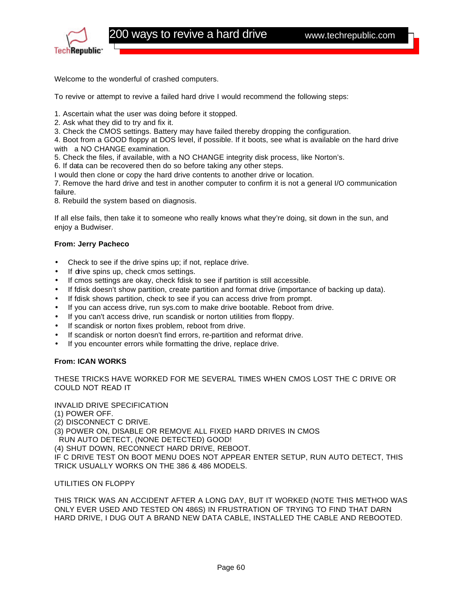Welcome to the wonderful of crashed computers.

To revive or attempt to revive a failed hard drive I would recommend the following steps:

1. Ascertain what the user was doing before it stopped.

2. Ask what they did to try and fix it.

3. Check the CMOS settings. Battery may have failed thereby dropping the configuration.

4. Boot from a GOOD floppy at DOS level, if possible. If it boots, see what is available on the hard drive with a NO CHANGE examination.

5. Check the files, if available, with a NO CHANGE integrity disk process, like Norton's.

6. If data can be recovered then do so before taking any other steps.

I would then clone or copy the hard drive contents to another drive or location.

7. Remove the hard drive and test in another computer to confirm it is not a general I/O communication failure.

8. Rebuild the system based on diagnosis.

If all else fails, then take it to someone who really knows what they're doing, sit down in the sun, and enjoy a Budwiser.

## **From: Jerry Pacheco**

- Check to see if the drive spins up; if not, replace drive.
- If drive spins up, check cmos settings.
- If cmos settings are okay, check fdisk to see if partition is still accessible.
- If fdisk doesn't show partition, create partition and format drive (importance of backing up data).
- If fdisk shows partition, check to see if you can access drive from prompt.
- If you can access drive, run sys.com to make drive bootable. Reboot from drive.
- If you can't access drive, run scandisk or norton utilities from floppy.
- If scandisk or norton fixes problem, reboot from drive.
- If scandisk or norton doesn't find errors, re-partition and reformat drive.
- If you encounter errors while formatting the drive, replace drive.

## **From: ICAN WORKS**

THESE TRICKS HAVE WORKED FOR ME SEVERAL TIMES WHEN CMOS LOST THE C DRIVE OR COULD NOT READ IT

INVALID DRIVE SPECIFICATION

(1) POWER OFF.

(2) DISCONNECT C DRIVE.

(3) POWER ON, DISABLE OR REMOVE ALL FIXED HARD DRIVES IN CMOS

RUN AUTO DETECT, (NONE DETECTED) GOOD!

(4) SHUT DOWN, RECONNECT HARD DRIVE, REBOOT.

IF C DRIVE TEST ON BOOT MENU DOES NOT APPEAR ENTER SETUP, RUN AUTO DETECT, THIS TRICK USUALLY WORKS ON THE 386 & 486 MODELS.

### UTILITIES ON FLOPPY

THIS TRICK WAS AN ACCIDENT AFTER A LONG DAY, BUT IT WORKED (NOTE THIS METHOD WAS ONLY EVER USED AND TESTED ON 486S) IN FRUSTRATION OF TRYING TO FIND THAT DARN HARD DRIVE, I DUG OUT A BRAND NEW DATA CABLE, INSTALLED THE CABLE AND REBOOTED.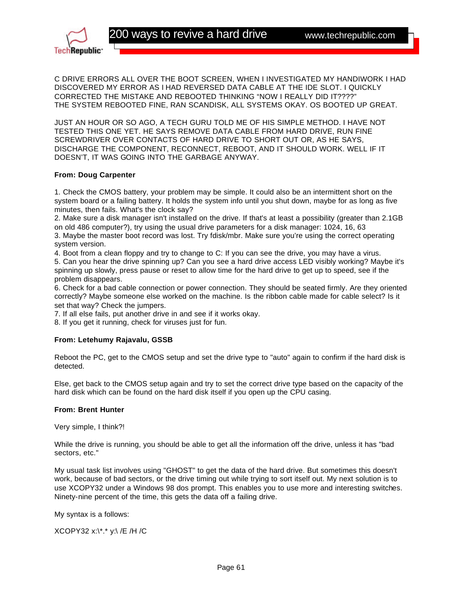

C DRIVE ERRORS ALL OVER THE BOOT SCREEN, WHEN I INVESTIGATED MY HANDIWORK I HAD DISCOVERED MY ERROR AS I HAD REVERSED DATA CABLE AT THE IDE SLOT. I QUICKLY CORRECTED THE MISTAKE AND REBOOTED THINKING "NOW I REALLY DID IT????" THE SYSTEM REBOOTED FINE, RAN SCANDISK, ALL SYSTEMS OKAY. OS BOOTED UP GREAT.

JUST AN HOUR OR SO AGO, A TECH GURU TOLD ME OF HIS SIMPLE METHOD. I HAVE NOT TESTED THIS ONE YET. HE SAYS REMOVE DATA CABLE FROM HARD DRIVE, RUN FINE SCREWDRIVER OVER CONTACTS OF HARD DRIVE TO SHORT OUT OR, AS HE SAYS, DISCHARGE THE COMPONENT, RECONNECT, REBOOT, AND IT SHOULD WORK. WELL IF IT DOESN'T, IT WAS GOING INTO THE GARBAGE ANYWAY.

## **From: Doug Carpenter**

1. Check the CMOS battery, your problem may be simple. It could also be an intermittent short on the system board or a failing battery. It holds the system info until you shut down, maybe for as long as five minutes, then fails. What's the clock say?

2. Make sure a disk manager isn't installed on the drive. If that's at least a possibility (greater than 2.1GB on old 486 computer?), try using the usual drive parameters for a disk manager: 1024, 16, 63 3. Maybe the master boot record was lost. Try fdisk/mbr. Make sure you're using the correct operating system version.

4. Boot from a clean floppy and try to change to C: If you can see the drive, you may have a virus. 5. Can you hear the drive spinning up? Can you see a hard drive access LED visibly working? Maybe it's spinning up slowly, press pause or reset to allow time for the hard drive to get up to speed, see if the problem disappears.

6. Check for a bad cable connection or power connection. They should be seated firmly. Are they oriented correctly? Maybe someone else worked on the machine. Is the ribbon cable made for cable select? Is it set that way? Check the jumpers.

7. If all else fails, put another drive in and see if it works okay.

8. If you get it running, check for viruses just for fun.

## **From: Letehumy Rajavalu, GSSB**

Reboot the PC, get to the CMOS setup and set the drive type to "auto" again to confirm if the hard disk is detected.

Else, get back to the CMOS setup again and try to set the correct drive type based on the capacity of the hard disk which can be found on the hard disk itself if you open up the CPU casing.

### **From: Brent Hunter**

Very simple, I think?!

While the drive is running, you should be able to get all the information off the drive, unless it has "bad sectors, etc."

My usual task list involves using "GHOST" to get the data of the hard drive. But sometimes this doesn't work, because of bad sectors, or the drive timing out while trying to sort itself out. My next solution is to use XCOPY32 under a Windows 98 dos prompt. This enables you to use more and interesting switches. Ninety-nine percent of the time, this gets the data off a failing drive.

My syntax is a follows:

XCOPY32 x:\\*.\* y:\ /E /H /C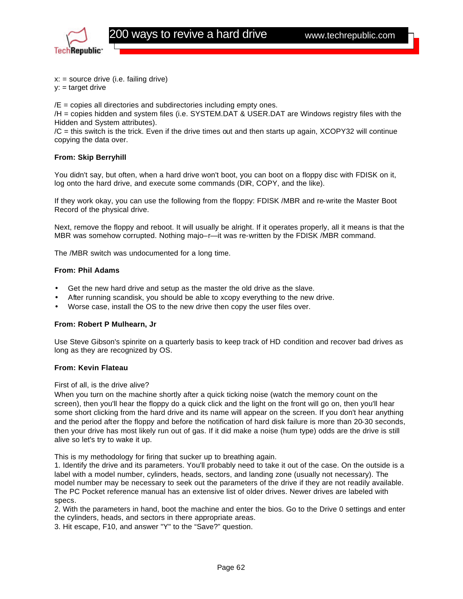

 $x: = source$  drive (i.e. failing drive)

 $y:$  = target drive

/E = copies all directories and subdirectories including empty ones.

/H = copies hidden and system files (i.e. SYSTEM.DAT & USER.DAT are Windows registry files with the Hidden and System attributes).

 $/C$  = this switch is the trick. Even if the drive times out and then starts up again, XCOPY32 will continue copying the data over.

# **From: Skip Berryhill**

You didn't say, but often, when a hard drive won't boot, you can boot on a floppy disc with FDISK on it, log onto the hard drive, and execute some commands (DIR, COPY, and the like).

If they work okay, you can use the following from the floppy: FDISK /MBR and re-write the Master Boot Record of the physical drive.

Next, remove the floppy and reboot. It will usually be alright. If it operates properly, all it means is that the MBR was somehow corrupted. Nothing majo–r—it was re-written by the FDISK /MBR command.

The /MBR switch was undocumented for a long time.

## **From: Phil Adams**

- Get the new hard drive and setup as the master the old drive as the slave.
- After running scandisk, you should be able to xcopy everything to the new drive.
- Worse case, install the OS to the new drive then copy the user files over.

## **From: Robert P Mulhearn, Jr**

Use Steve Gibson's spinrite on a quarterly basis to keep track of HD condition and recover bad drives as long as they are recognized by OS.

## **From: Kevin Flateau**

First of all, is the drive alive?

When you turn on the machine shortly after a quick ticking noise (watch the memory count on the screen), then you'll hear the floppy do a quick click and the light on the front will go on, then you'll hear some short clicking from the hard drive and its name will appear on the screen. If you don't hear anything and the period after the floppy and before the notification of hard disk failure is more than 20-30 seconds, then your drive has most likely run out of gas. If it did make a noise (hum type) odds are the drive is still alive so let's try to wake it up.

This is my methodology for firing that sucker up to breathing again.

1. Identify the drive and its parameters. You'll probably need to take it out of the case. On the outside is a label with a model number, cylinders, heads, sectors, and landing zone (usually not necessary). The model number may be necessary to seek out the parameters of the drive if they are not readily available. The PC Pocket reference manual has an extensive list of older drives. Newer drives are labeled with specs.

2. With the parameters in hand, boot the machine and enter the bios. Go to the Drive 0 settings and enter the cylinders, heads, and sectors in there appropriate areas.

3. Hit escape, F10, and answer "Y" to the "Save?" question.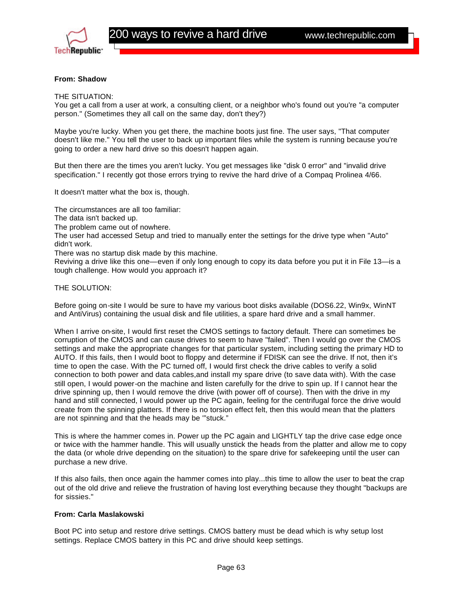

## **From: Shadow**

THE SITUATION:

You get a call from a user at work, a consulting client, or a neighbor who's found out you're "a computer person." (Sometimes they all call on the same day, don't they?)

Maybe you're lucky. When you get there, the machine boots just fine. The user says, "That computer doesn't like me." You tell the user to back up important files while the system is running because you're going to order a new hard drive so this doesn't happen again.

But then there are the times you aren't lucky. You get messages like "disk 0 error" and "invalid drive specification." I recently got those errors trying to revive the hard drive of a Compaq Prolinea 4/66.

It doesn't matter what the box is, though.

The circumstances are all too familiar:

The data isn't backed up.

The problem came out of nowhere.

The user had accessed Setup and tried to manually enter the settings for the drive type when "Auto" didn't work.

There was no startup disk made by this machine.

Reviving a drive like this one—even if only long enough to copy its data before you put it in File 13—is a tough challenge. How would you approach it?

### THE SOLUTION:

Before going on-site I would be sure to have my various boot disks available (DOS6.22, Win9x, WinNT and AntiVirus) containing the usual disk and file utilities, a spare hard drive and a small hammer.

When I arrive on-site, I would first reset the CMOS settings to factory default. There can sometimes be corruption of the CMOS and can cause drives to seem to have "failed". Then I would go over the CMOS settings and make the appropriate changes for that particular system, including setting the primary HD to AUTO. If this fails, then I would boot to floppy and determine if FDISK can see the drive. If not, then it's time to open the case. With the PC turned off, I would first check the drive cables to verify a solid connection to both power and data cables,and install my spare drive (to save data with). With the case still open, I would power-on the machine and listen carefully for the drive to spin up. If I cannot hear the drive spinning up, then I would remove the drive (with power off of course). Then with the drive in my hand and still connected, I would power up the PC again, feeling for the centrifugal force the drive would create from the spinning platters. If there is no torsion effect felt, then this would mean that the platters are not spinning and that the heads may be '"stuck."

This is where the hammer comes in. Power up the PC again and LIGHTLY tap the drive case edge once or twice with the hammer handle. This will usually unstick the heads from the platter and allow me to copy the data (or whole drive depending on the situation) to the spare drive for safekeeping until the user can purchase a new drive.

If this also fails, then once again the hammer comes into play...this time to allow the user to beat the crap out of the old drive and relieve the frustration of having lost everything because they thought "backups are for sissies."

## **From: Carla Maslakowski**

Boot PC into setup and restore drive settings. CMOS battery must be dead which is why setup lost settings. Replace CMOS battery in this PC and drive should keep settings.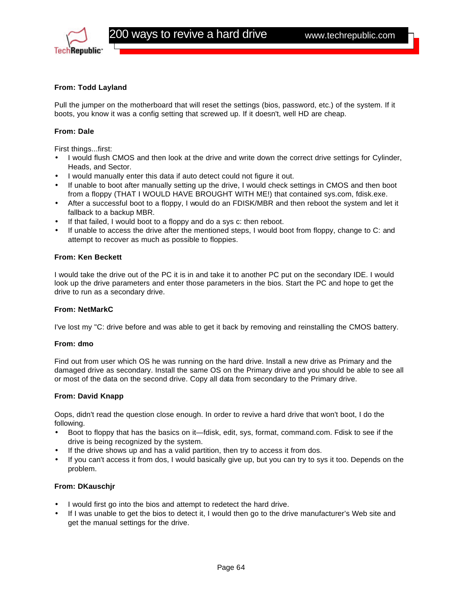

## **From: Todd Layland**

Pull the jumper on the motherboard that will reset the settings (bios, password, etc.) of the system. If it boots, you know it was a config setting that screwed up. If it doesn't, well HD are cheap.

## **From: Dale**

First things...first:

- I would flush CMOS and then look at the drive and write down the correct drive settings for Cylinder, Heads, and Sector.
- I would manually enter this data if auto detect could not figure it out.
- If unable to boot after manually setting up the drive, I would check settings in CMOS and then boot from a floppy (THAT I WOULD HAVE BROUGHT WITH ME!) that contained sys.com, fdisk.exe.
- After a successful boot to a floppy, I would do an FDISK/MBR and then reboot the system and let it fallback to a backup MBR.
- If that failed, I would boot to a floppy and do a sys c: then reboot.
- If unable to access the drive after the mentioned steps, I would boot from floppy, change to C: and attempt to recover as much as possible to floppies.

### **From: Ken Beckett**

I would take the drive out of the PC it is in and take it to another PC put on the secondary IDE. I would look up the drive parameters and enter those parameters in the bios. Start the PC and hope to get the drive to run as a secondary drive.

### **From: NetMarkC**

I've lost my "C: drive before and was able to get it back by removing and reinstalling the CMOS battery.

### **From: dmo**

Find out from user which OS he was running on the hard drive. Install a new drive as Primary and the damaged drive as secondary. Install the same OS on the Primary drive and you should be able to see all or most of the data on the second drive. Copy all data from secondary to the Primary drive.

### **From: David Knapp**

Oops, didn't read the question close enough. In order to revive a hard drive that won't boot, I do the following.

- Boot to floppy that has the basics on it—fdisk, edit, sys, format, command.com. Fdisk to see if the drive is being recognized by the system.
- If the drive shows up and has a valid partition, then try to access it from dos.
- If you can't access it from dos, I would basically give up, but you can try to sys it too. Depends on the problem.

## **From: DKauschjr**

- I would first go into the bios and attempt to redetect the hard drive.
- If I was unable to get the bios to detect it, I would then go to the drive manufacturer's Web site and get the manual settings for the drive.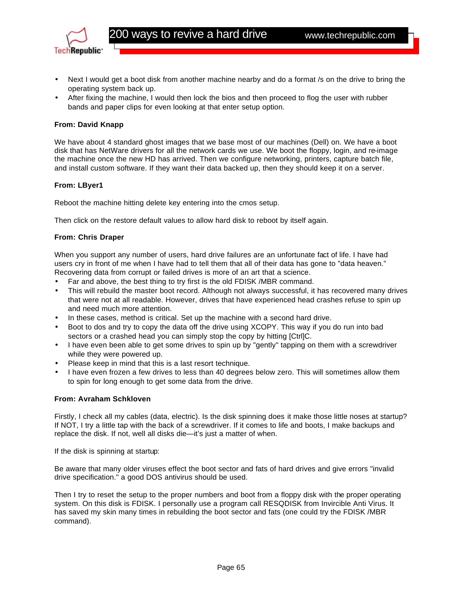

- Next I would get a boot disk from another machine nearby and do a format /s on the drive to bring the operating system back up.
- After fixing the machine, I would then lock the bios and then proceed to flog the user with rubber bands and paper clips for even looking at that enter setup option.

### **From: David Knapp**

We have about 4 standard ghost images that we base most of our machines (Dell) on. We have a boot disk that has NetWare drivers for all the network cards we use. We boot the floppy, login, and re-image the machine once the new HD has arrived. Then we configure networking, printers, capture batch file, and install custom software. If they want their data backed up, then they should keep it on a server.

### **From: LByer1**

Reboot the machine hitting delete key entering into the cmos setup.

Then click on the restore default values to allow hard disk to reboot by itself again.

200 ways to revive a hard drive

### **From: Chris Draper**

When you support any number of users, hard drive failures are an unfortunate fact of life. I have had users cry in front of me when I have had to tell them that all of their data has gone to "data heaven." Recovering data from corrupt or failed drives is more of an art that a science.

- Far and above, the best thing to try first is the old FDISK /MBR command.
- This will rebuild the master boot record. Although not always successful, it has recovered many drives that were not at all readable. However, drives that have experienced head crashes refuse to spin up and need much more attention.
- In these cases, method is critical. Set up the machine with a second hard drive.
- Boot to dos and try to copy the data off the drive using XCOPY. This way if you do run into bad sectors or a crashed head you can simply stop the copy by hitting [Ctrl]C.
- I have even been able to get some drives to spin up by "gently" tapping on them with a screwdriver while they were powered up.
- Please keep in mind that this is a last resort technique.
- I have even frozen a few drives to less than 40 degrees below zero. This will sometimes allow them to spin for long enough to get some data from the drive.

### **From: Avraham Schkloven**

Firstly, I check all my cables (data, electric). Is the disk spinning does it make those little noses at startup? If NOT, I try a little tap with the back of a screwdriver. If it comes to life and boots, I make backups and replace the disk. If not, well all disks die—it's just a matter of when.

If the disk is spinning at startup:

Be aware that many older viruses effect the boot sector and fats of hard drives and give errors "invalid drive specification." a good DOS antivirus should be used.

Then I try to reset the setup to the proper numbers and boot from a floppy disk with the proper operating system. On this disk is FDISK. I personally use a program call RESQDISK from Invircible Anti Virus. It has saved my skin many times in rebuilding the boot sector and fats (one could try the FDISK /MBR command).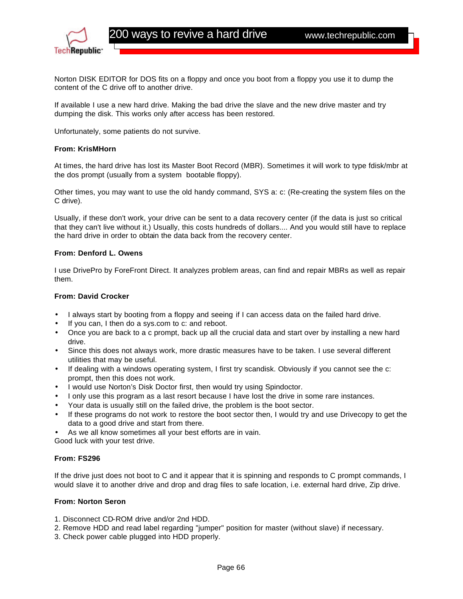

Norton DISK EDITOR for DOS fits on a floppy and once you boot from a floppy you use it to dump the content of the C drive off to another drive.

If available I use a new hard drive. Making the bad drive the slave and the new drive master and try dumping the disk. This works only after access has been restored.

Unfortunately, some patients do not survive.

### **From: KrisMHorn**

At times, the hard drive has lost its Master Boot Record (MBR). Sometimes it will work to type fdisk/mbr at the dos prompt (usually from a system bootable floppy).

Other times, you may want to use the old handy command, SYS a: c: (Re-creating the system files on the C drive).

Usually, if these don't work, your drive can be sent to a data recovery center (if the data is just so critical that they can't live without it.) Usually, this costs hundreds of dollars.... And you would still have to replace the hard drive in order to obtain the data back from the recovery center.

### **From: Denford L. Owens**

I use DrivePro by ForeFront Direct. It analyzes problem areas, can find and repair MBRs as well as repair them.

## **From: David Crocker**

- I always start by booting from a floppy and seeing if I can access data on the failed hard drive.
- If you can, I then do a sys.com to c: and reboot.
- Once you are back to a c prompt, back up all the crucial data and start over by installing a new hard drive.
- Since this does not always work, more drastic measures have to be taken. I use several different utilities that may be useful.
- If dealing with a windows operating system, I first try scandisk. Obviously if you cannot see the c: prompt, then this does not work.
- I would use Norton's Disk Doctor first, then would try using Spindoctor.
- I only use this program as a last resort because I have lost the drive in some rare instances.
- Your data is usually still on the failed drive, the problem is the boot sector.
- If these programs do not work to restore the boot sector then, I would try and use Drivecopy to get the data to a good drive and start from there.

As we all know sometimes all your best efforts are in vain. Good luck with your test drive.

## **From: FS296**

If the drive just does not boot to C and it appear that it is spinning and responds to C prompt commands, I would slave it to another drive and drop and drag files to safe location, i.e. external hard drive, Zip drive.

## **From: Norton Seron**

- 1. Disconnect CD-ROM drive and/or 2nd HDD.
- 2. Remove HDD and read label regarding "jumper" position for master (without slave) if necessary.
- 3. Check power cable plugged into HDD properly.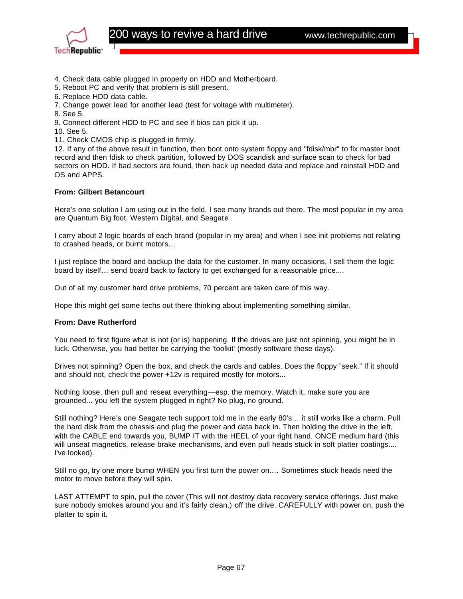

- 4. Check data cable plugged in properly on HDD and Motherboard.
- 5. Reboot PC and verify that problem is still present.
- 6. Replace HDD data cable.
- 7. Change power lead for another lead (test for voltage with multimeter).
- 8. See 5.
- 9. Connect different HDD to PC and see if bios can pick it up.
- 10. See 5.
- 11. Check CMOS chip is plugged in firmly.

12. If any of the above result in function, then boot onto system floppy and "fdisk/mbr" to fix master boot record and then fdisk to check partition, followed by DOS scandisk and surface scan to check for bad sectors on HDD. If bad sectors are found, then back up needed data and replace and reinstall HDD and OS and APPS.

## **From: Gilbert Betancourt**

Here's one solution I am using out in the field. I see many brands out there. The most popular in my area are Quantum Big foot, Western Digital, and Seagate .

I carry about 2 logic boards of each brand (popular in my area) and when I see init problems not relating to crashed heads, or burnt motors…

I just replace the board and backup the data for the customer. In many occasions, I sell them the logic board by itself… send board back to factory to get exchanged for a reasonable price....

Out of all my customer hard drive problems, 70 percent are taken care of this way.

Hope this might get some techs out there thinking about implementing something similar.

## **From: Dave Rutherford**

You need to first figure what is not (or is) happening. If the drives are just not spinning, you might be in luck. Otherwise, you had better be carrying the 'toolkit' (mostly software these days).

Drives not spinning? Open the box, and check the cards and cables. Does the floppy "seek." If it should and should not, check the power +12v is required mostly for motors...

Nothing loose, then pull and reseat everything—esp. the memory. Watch it, make sure you are grounded... you left the system plugged in right? No plug, no ground.

Still nothing? Here's one Seagate tech support told me in the early 80's… it still works like a charm. Pull the hard disk from the chassis and plug the power and data back in. Then holding the drive in the left, with the CABLE end towards you, BUMP IT with the HEEL of your right hand. ONCE medium hard (this will unseat magnetics, release brake mechanisms, and even pull heads stuck in soft platter coatings.... I've looked).

Still no go, try one more bump WHEN you first turn the power on.… Sometimes stuck heads need the motor to move before they will spin.

LAST ATTEMPT to spin, pull the cover (This will not destroy data recovery service offerings. Just make sure nobody smokes around you and it's fairly clean.) off the drive. CAREFULLY with power on, push the platter to spin it.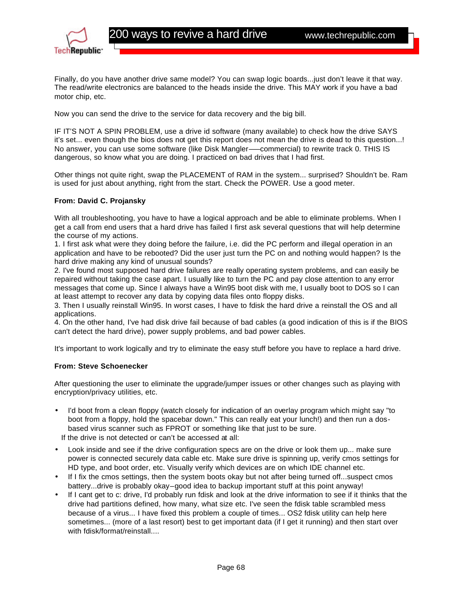

Finally, do you have another drive same model? You can swap logic boards...just don't leave it that way. The read/write electronics are balanced to the heads inside the drive. This MAY work if you have a bad motor chip, etc.

Now you can send the drive to the service for data recovery and the big bill.

IF IT'S NOT A SPIN PROBLEM, use a drive id software (many available) to check how the drive SAYS it's set... even though the bios does not get this report does not mean the drive is dead to this question...! No answer, you can use some software (like Disk Mangler–—commercial) to rewrite track 0. THIS IS dangerous, so know what you are doing. I practiced on bad drives that I had first.

Other things not quite right, swap the PLACEMENT of RAM in the system... surprised? Shouldn't be. Ram is used for just about anything, right from the start. Check the POWER. Use a good meter.

### **From: David C. Projansky**

With all troubleshooting, you have to have a logical approach and be able to eliminate problems. When I get a call from end users that a hard drive has failed I first ask several questions that will help determine the course of my actions.

1. I first ask what were they doing before the failure, i.e. did the PC perform and illegal operation in an application and have to be rebooted? Did the user just turn the PC on and nothing would happen? Is the hard drive making any kind of unusual sounds?

2. I've found most supposed hard drive failures are really operating system problems, and can easily be repaired without taking the case apart. I usually like to turn the PC and pay close attention to any error messages that come up. Since I always have a Win95 boot disk with me, I usually boot to DOS so I can at least attempt to recover any data by copying data files onto floppy disks.

3. Then I usually reinstall Win95. In worst cases, I have to fdisk the hard drive a reinstall the OS and all applications.

4. On the other hand, I've had disk drive fail because of bad cables (a good indication of this is if the BIOS can't detect the hard drive), power supply problems, and bad power cables.

It's important to work logically and try to eliminate the easy stuff before you have to replace a hard drive.

## **From: Steve Schoenecker**

After questioning the user to eliminate the upgrade/jumper issues or other changes such as playing with encryption/privacy utilities, etc.

• I'd boot from a clean floppy (watch closely for indication of an overlay program which might say "to boot from a floppy, hold the spacebar down." This can really eat your lunch!) and then run a dosbased virus scanner such as FPROT or something like that just to be sure.

If the drive is not detected or can't be accessed at all:

- Look inside and see if the drive configuration specs are on the drive or look them up... make sure power is connected securely data cable etc. Make sure drive is spinning up, verify cmos settings for HD type, and boot order, etc. Visually verify which devices are on which IDE channel etc.
- If I fix the cmos settings, then the system boots okay but not after being turned off...suspect cmos battery...drive is probably okay–good idea to backup important stuff at this point anyway!
- If I cant get to c: drive, I'd probably run fdisk and look at the drive information to see if it thinks that the drive had partitions defined, how many, what size etc. I've seen the fdisk table scrambled mess because of a virus... I have fixed this problem a couple of times... OS2 fdisk utility can help here sometimes... (more of a last resort) best to get important data (if I get it running) and then start over with fdisk/format/reinstall....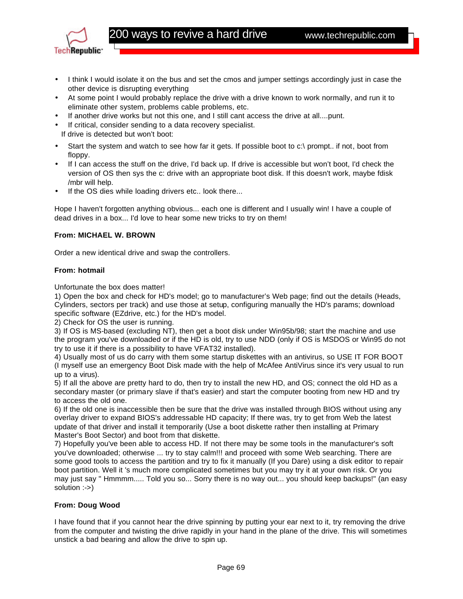

- I think I would isolate it on the bus and set the cmos and jumper settings accordingly just in case the other device is disrupting everything
- At some point I would probably replace the drive with a drive known to work normally, and run it to eliminate other system, problems cable problems, etc.
- If another drive works but not this one, and I still cant access the drive at all....punt.

200 ways to revive a hard drive

- If critical, consider sending to a data recovery specialist. If drive is detected but won't boot:
- Start the system and watch to see how far it gets. If possible boot to c:\ prompt.. if not, boot from floppy.
- If I can access the stuff on the drive, I'd back up. If drive is accessible but won't boot, I'd check the version of OS then sys the c: drive with an appropriate boot disk. If this doesn't work, maybe fdisk /mbr will help.
- If the OS dies while loading drivers etc.. look there...

Hope I haven't forgotten anything obvious... each one is different and I usually win! I have a couple of dead drives in a box... I'd love to hear some new tricks to try on them!

### **From: MICHAEL W. BROWN**

Order a new identical drive and swap the controllers.

### **From: hotmail**

Unfortunate the box does matter!

1) Open the box and check for HD's model; go to manufacturer's Web page; find out the details (Heads, Cylinders, sectors per track) and use those at setup, configuring manually the HD's params; download specific software (EZdrive, etc.) for the HD's model.

2) Check for OS the user is running.

3) If OS is MS-based (excluding NT), then get a boot disk under Win95b/98; start the machine and use the program you've downloaded or if the HD is old, try to use NDD (only if OS is MSDOS or Win95 do not try to use it if there is a possibility to have VFAT32 installed).

4) Usually most of us do carry with them some startup diskettes with an antivirus, so USE IT FOR BOOT (I myself use an emergency Boot Disk made with the help of McAfee AntiVirus since it's very usual to run up to a virus).

5) If all the above are pretty hard to do, then try to install the new HD, and OS; connect the old HD as a secondary master (or primary slave if that's easier) and start the computer booting from new HD and try to access the old one.

6) If the old one is inaccessible then be sure that the drive was installed through BIOS without using any overlay driver to expand BIOS's addressable HD capacity; If there was, try to get from Web the latest update of that driver and install it temporarily (Use a boot diskette rather then installing at Primary Master's Boot Sector) and boot from that diskette.

7) Hopefully you've been able to access HD. If not there may be some tools in the manufacturer's soft you've downloaded; otherwise ... try to stay calm!!! and proceed with some Web searching. There are some good tools to access the partition and try to fix it manually (If you Dare) using a disk editor to repair boot partition. Well it 's much more complicated sometimes but you may try it at your own risk. Or you may just say " Hmmmm..... Told you so... Sorry there is no way out... you should keep backups!" (an easy solution :->)

## **From: Doug Wood**

I have found that if you cannot hear the drive spinning by putting your ear next to it, try removing the drive from the computer and twisting the drive rapidly in your hand in the plane of the drive. This will sometimes unstick a bad bearing and allow the drive to spin up.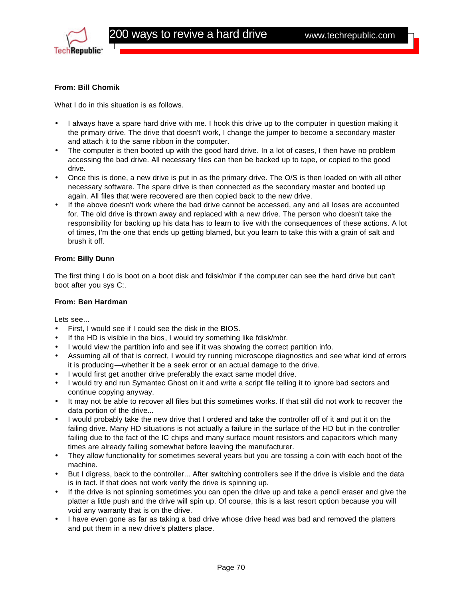

## **From: Bill Chomik**

What I do in this situation is as follows.

- I always have a spare hard drive with me. I hook this drive up to the computer in question making it the primary drive. The drive that doesn't work, I change the jumper to become a secondary master and attach it to the same ribbon in the computer.
- The computer is then booted up with the good hard drive. In a lot of cases, I then have no problem accessing the bad drive. All necessary files can then be backed up to tape, or copied to the good drive.
- Once this is done, a new drive is put in as the primary drive. The O/S is then loaded on with all other necessary software. The spare drive is then connected as the secondary master and booted up again. All files that were recovered are then copied back to the new drive.
- If the above doesn't work where the bad drive cannot be accessed, any and all loses are accounted for. The old drive is thrown away and replaced with a new drive. The person who doesn't take the responsibility for backing up his data has to learn to live with the consequences of these actions. A lot of times, I'm the one that ends up getting blamed, but you learn to take this with a grain of salt and brush it off.

# **From: Billy Dunn**

The first thing I do is boot on a boot disk and fdisk/mbr if the computer can see the hard drive but can't boot after you sys C:.

## **From: Ben Hardman**

Lets see...

- First, I would see if I could see the disk in the BIOS.
- If the HD is visible in the bios, I would try something like fdisk/mbr.
- I would view the partition info and see if it was showing the correct partition info.
- Assuming all of that is correct, I would try running microscope diagnostics and see what kind of errors it is producing—whether it be a seek error or an actual damage to the drive.
- I would first get another drive preferably the exact same model drive.
- I would try and run Symantec Ghost on it and write a script file telling it to ignore bad sectors and continue copying anyway.
- It may not be able to recover all files but this sometimes works. If that still did not work to recover the data portion of the drive...
- I would probably take the new drive that I ordered and take the controller off of it and put it on the failing drive. Many HD situations is not actually a failure in the surface of the HD but in the controller failing due to the fact of the IC chips and many surface mount resistors and capacitors which many times are already failing somewhat before leaving the manufacturer.
- They allow functionality for sometimes several years but you are tossing a coin with each boot of the machine.
- But I digress, back to the controller... After switching controllers see if the drive is visible and the data is in tact. If that does not work verify the drive is spinning up.
- If the drive is not spinning sometimes you can open the drive up and take a pencil eraser and give the platter a little push and the drive will spin up. Of course, this is a last resort option because you will void any warranty that is on the drive.
- I have even gone as far as taking a bad drive whose drive head was bad and removed the platters and put them in a new drive's platters place.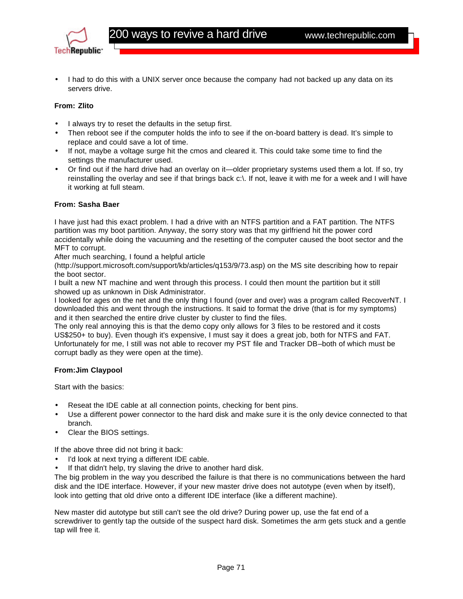

• I had to do this with a UNIX server once because the company had not backed up any data on its servers drive.

## **From: Zlito**

- I always try to reset the defaults in the setup first.
- Then reboot see if the computer holds the info to see if the on-board battery is dead. It's simple to replace and could save a lot of time.
- If not, maybe a voltage surge hit the cmos and cleared it. This could take some time to find the settings the manufacturer used.
- Or find out if the hard drive had an overlay on it—older proprietary systems used them a lot. If so, try reinstalling the overlay and see if that brings back c:\. If not, leave it with me for a week and I will have it working at full steam.

## **From: Sasha Baer**

I have just had this exact problem. I had a drive with an NTFS partition and a FAT partition. The NTFS partition was my boot partition. Anyway, the sorry story was that my girlfriend hit the power cord accidentally while doing the vacuuming and the resetting of the computer caused the boot sector and the MFT to corrupt.

After much searching, I found a helpful article

(http://support.microsoft.com/support/kb/articles/q153/9/73.asp) on the MS site describing how to repair the boot sector.

I built a new NT machine and went through this process. I could then mount the partition but it still showed up as unknown in Disk Administrator.

I looked for ages on the net and the only thing I found (over and over) was a program called RecoverNT. I downloaded this and went through the instructions. It said to format the drive (that is for my symptoms) and it then searched the entire drive cluster by cluster to find the files.

The only real annoying this is that the demo copy only allows for 3 files to be restored and it costs US\$250+ to buy). Even though it's expensive, I must say it does a great job, both for NTFS and FAT. Unfortunately for me, I still was not able to recover my PST file and Tracker DB–both of which must be corrupt badly as they were open at the time).

## **From:Jim Claypool**

Start with the basics:

- Reseat the IDE cable at all connection points, checking for bent pins.
- Use a different power connector to the hard disk and make sure it is the only device connected to that branch.
- Clear the BIOS settings.

If the above three did not bring it back:

- I'd look at next trying a different IDE cable.
- If that didn't help, try slaving the drive to another hard disk.

The big problem in the way you described the failure is that there is no communications between the hard disk and the IDE interface. However, if your new master drive does not autotype (even when by itself), look into getting that old drive onto a different IDE interface (like a different machine).

New master did autotype but still can't see the old drive? During power up, use the fat end of a screwdriver to gently tap the outside of the suspect hard disk. Sometimes the arm gets stuck and a gentle tap will free it.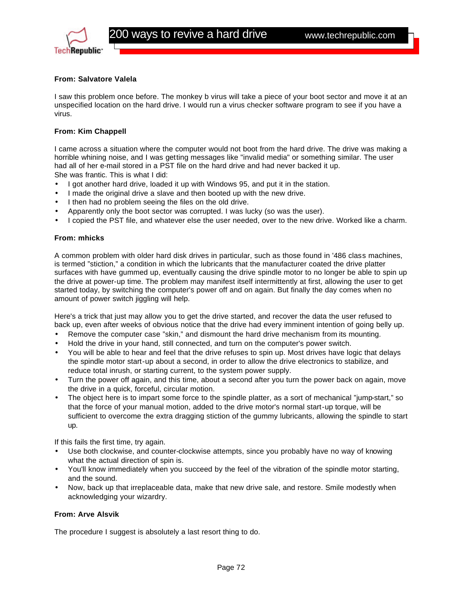

### **From: Salvatore Valela**

I saw this problem once before. The monkey b virus will take a piece of your boot sector and move it at an unspecified location on the hard drive. I would run a virus checker software program to see if you have a virus.

## **From: Kim Chappell**

I came across a situation where the computer would not boot from the hard drive. The drive was making a horrible whining noise, and I was getting messages like "invalid media" or something similar. The user had all of her e-mail stored in a PST file on the hard drive and had never backed it up. She was frantic. This is what I did:

- I got another hard drive, loaded it up with Windows 95, and put it in the station.
- I made the original drive a slave and then booted up with the new drive.
- I then had no problem seeing the files on the old drive.
- Apparently only the boot sector was corrupted. I was lucky (so was the user).
- I copied the PST file, and whatever else the user needed, over to the new drive. Worked like a charm.

### **From: mhicks**

A common problem with older hard disk drives in particular, such as those found in '486 class machines, is termed "stiction," a condition in which the lubricants that the manufacturer coated the drive platter surfaces with have gummed up, eventually causing the drive spindle motor to no longer be able to spin up the drive at power-up time. The problem may manifest itself intermittently at first, allowing the user to get started today, by switching the computer's power off and on again. But finally the day comes when no amount of power switch jiggling will help.

Here's a trick that just may allow you to get the drive started, and recover the data the user refused to back up, even after weeks of obvious notice that the drive had every imminent intention of going belly up.

- Remove the computer case "skin," and dismount the hard drive mechanism from its mounting.
- Hold the drive in your hand, still connected, and turn on the computer's power switch.
- You will be able to hear and feel that the drive refuses to spin up. Most drives have logic that delays the spindle motor start-up about a second, in order to allow the drive electronics to stabilize, and reduce total inrush, or starting current, to the system power supply.
- Turn the power off again, and this time, about a second after you turn the power back on again, move the drive in a quick, forceful, circular motion.
- The object here is to impart some force to the spindle platter, as a sort of mechanical "jump-start," so that the force of your manual motion, added to the drive motor's normal start-up torque, will be sufficient to overcome the extra dragging stiction of the gummy lubricants, allowing the spindle to start up.

If this fails the first time, try again.

- Use both clockwise, and counter-clockwise attempts, since you probably have no way of knowing what the actual direction of spin is.
- You'll know immediately when you succeed by the feel of the vibration of the spindle motor starting, and the sound.
- Now, back up that irreplaceable data, make that new drive sale, and restore. Smile modestly when acknowledging your wizardry.

## **From: Arve Alsvik**

The procedure I suggest is absolutely a last resort thing to do.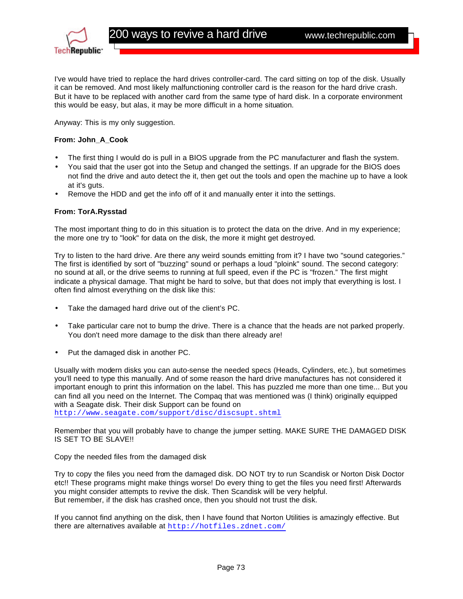

I've would have tried to replace the hard drives controller-card. The card sitting on top of the disk. Usually it can be removed. And most likely malfunctioning controller card is the reason for the hard drive crash. But it have to be replaced with another card from the same type of hard disk. In a corporate environment this would be easy, but alas, it may be more difficult in a home situation.

Anyway: This is my only suggestion.

## **From: John\_A\_Cook**

- The first thing I would do is pull in a BIOS upgrade from the PC manufacturer and flash the system.
- You said that the user got into the Setup and changed the settings. If an upgrade for the BIOS does not find the drive and auto detect the it, then get out the tools and open the machine up to have a look at it's guts.
- Remove the HDD and get the info off of it and manually enter it into the settings.

## **From: TorA.Rysstad**

The most important thing to do in this situation is to protect the data on the drive. And in my experience; the more one try to "look" for data on the disk, the more it might get destroyed.

Try to listen to the hard drive. Are there any weird sounds emitting from it? I have two "sound categories." The first is identified by sort of "buzzing" sound or perhaps a loud "ploink" sound. The second category: no sound at all, or the drive seems to running at full speed, even if the PC is "frozen." The first might indicate a physical damage. That might be hard to solve, but that does not imply that everything is lost. I often find almost everything on the disk like this:

- Take the damaged hard drive out of the client's PC.
- Take particular care not to bump the drive. There is a chance that the heads are not parked properly. You don't need more damage to the disk than there already are!
- Put the damaged disk in another PC.

Usually with modern disks you can auto-sense the needed specs (Heads, Cylinders, etc.), but sometimes you'll need to type this manually. And of some reason the hard drive manufactures has not considered it important enough to print this information on the label. This has puzzled me more than one time... But you can find all you need on the Internet. The Compaq that was mentioned was (I think) originally equipped with a Seagate disk. Their disk Support can be found on

http://www.seagate.com/support/disc/discsupt.shtml

Remember that you will probably have to change the jumper setting. MAKE SURE THE DAMAGED DISK IS SET TO BE SLAVE!!

Copy the needed files from the damaged disk

Try to copy the files you need from the damaged disk. DO NOT try to run Scandisk or Norton Disk Doctor etc!! These programs might make things worse! Do every thing to get the files you need first! Afterwards you might consider attempts to revive the disk. Then Scandisk will be very helpful. But remember, if the disk has crashed once, then you should not trust the disk.

If you cannot find anything on the disk, then I have found that Norton Utilities is amazingly effective. But there are alternatives available at http://hotfiles.zdnet.com/